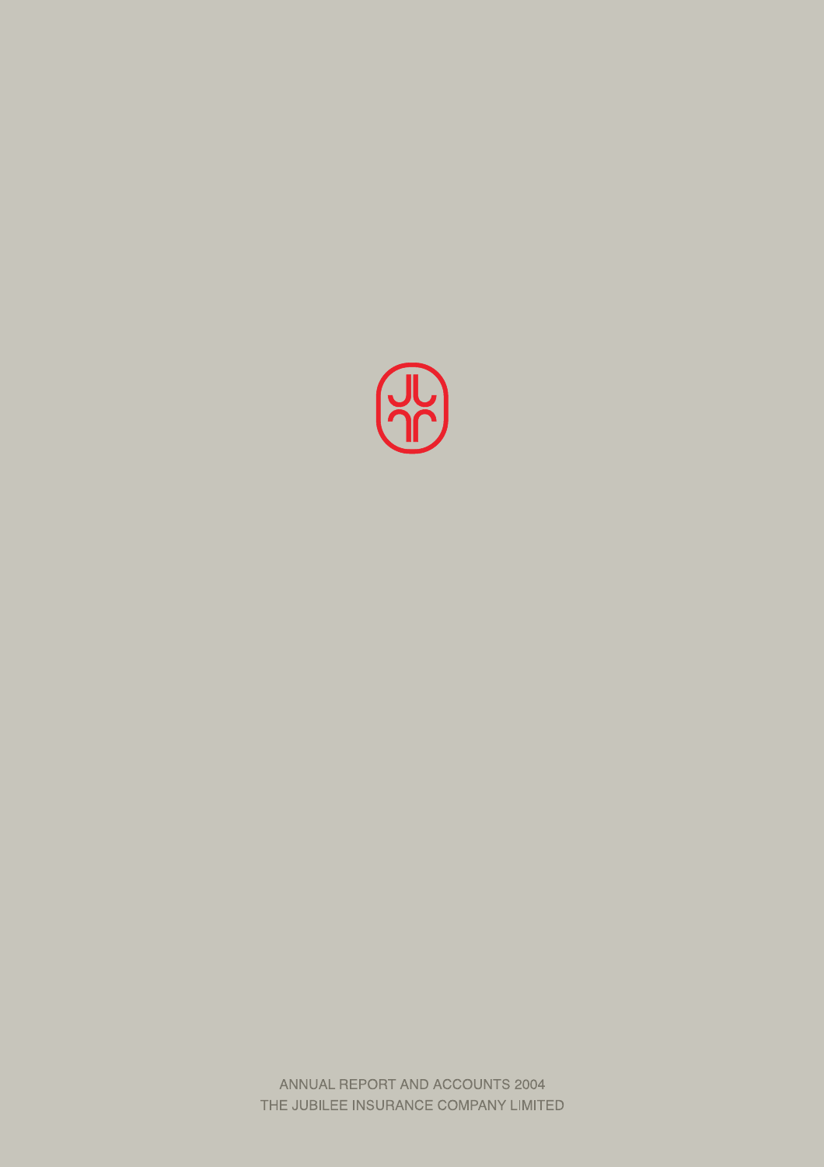

ANNUAL REPORT AND ACCOUNTS 2004 THE JUBILEE INSURANCE COMPANY LIMITED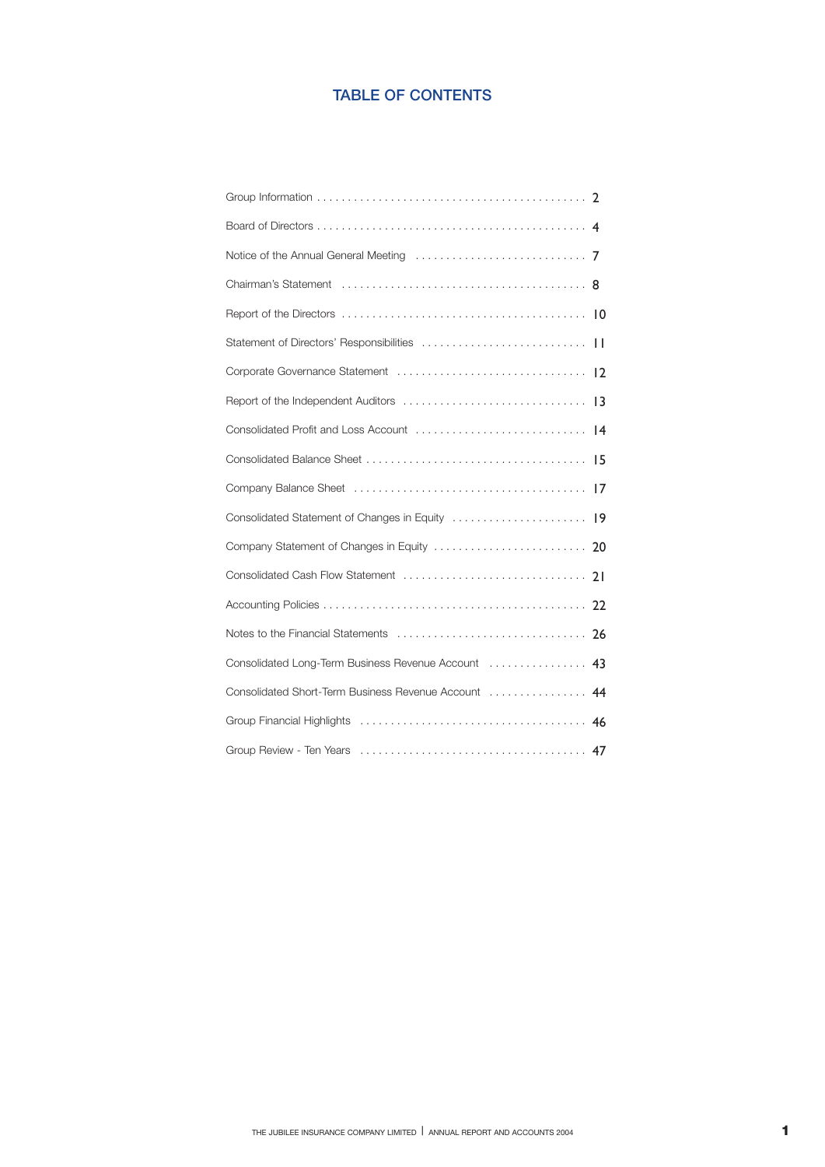## **TABLE OF CONTENTS**

| Notice of the Annual General Meeting $\ldots \ldots \ldots \ldots \ldots \ldots \ldots$ |
|-----------------------------------------------------------------------------------------|
|                                                                                         |
|                                                                                         |
|                                                                                         |
|                                                                                         |
|                                                                                         |
|                                                                                         |
|                                                                                         |
|                                                                                         |
|                                                                                         |
|                                                                                         |
| Consolidated Cash Flow Statement<br>21                                                  |
|                                                                                         |
|                                                                                         |
| Consolidated Long-Term Business Revenue Account  43                                     |
| Consolidated Short-Term Business Revenue Account  44                                    |
| 46                                                                                      |
|                                                                                         |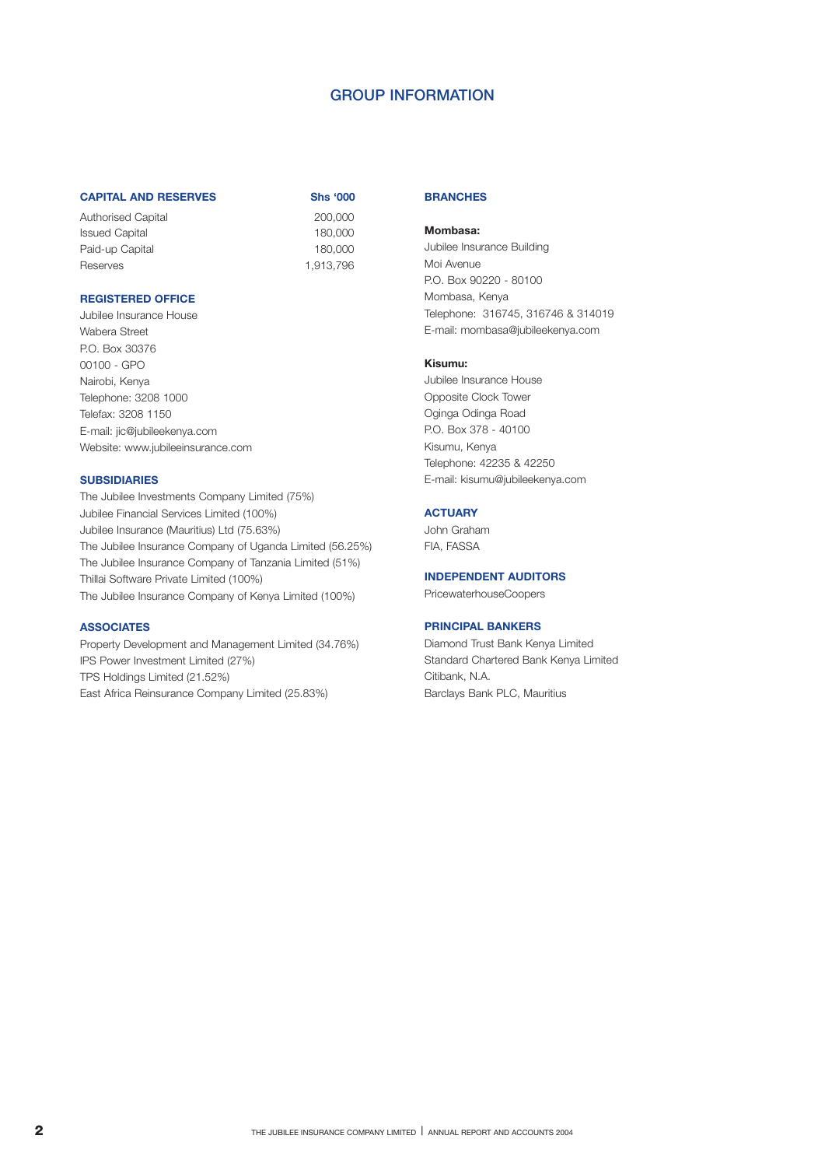## **GROUP INFORMATION**

### **CAPITAL AND RESERVES Shs '000**

Authorised Capital 200,000 Issued Capital 180,000 Paid-up Capital 180,000 Reserves 1,913,796

| Shs '0   |  |
|----------|--|
| 200,00   |  |
| 180,00   |  |
| 180,00   |  |
| 1,913,79 |  |

## **REGISTERED OFFICE**

Jubilee Insurance House Wabera Street P.O. Box 30376 00100 - GPO Nairobi, Kenya Telephone: 3208 1000 Telefax: 3208 1150 E-mail: jic@jubileekenya.com Website: www.jubileeinsurance.com

## **SUBSIDIARIES**

The Jubilee Investments Company Limited (75%) Jubilee Financial Services Limited (100%) Jubilee Insurance (Mauritius) Ltd (75.63%) The Jubilee Insurance Company of Uganda Limited (56.25%) The Jubilee Insurance Company of Tanzania Limited (51%) Thillai Software Private Limited (100%) The Jubilee Insurance Company of Kenya Limited (100%)

## **ASSOCIATES**

Property Development and Management Limited (34.76%) IPS Power Investment Limited (27%) TPS Holdings Limited (21.52%) East Africa Reinsurance Company Limited (25.83%)

## **BRANCHES**

### **Mombasa:**

Jubilee Insurance Building Moi Avenue P.O. Box 90220 - 80100 Mombasa, Kenya Telephone: 316745, 316746 & 314019 E-mail: mombasa@jubileekenya.com

## **Kisumu:**

Jubilee Insurance House Opposite Clock Tower Oginga Odinga Road P.O. Box 378 - 40100 Kisumu, Kenya Telephone: 42235 & 42250 E-mail: kisumu@jubileekenya.com

### **ACTUARY**

John Graham FIA, FASSA

## **INDEPENDENT AUDITORS**

PricewaterhouseCoopers

### **PRINCIPAL BANKERS**

Diamond Trust Bank Kenya Limited Standard Chartered Bank Kenya Limited Citibank, N.A. Barclays Bank PLC, Mauritius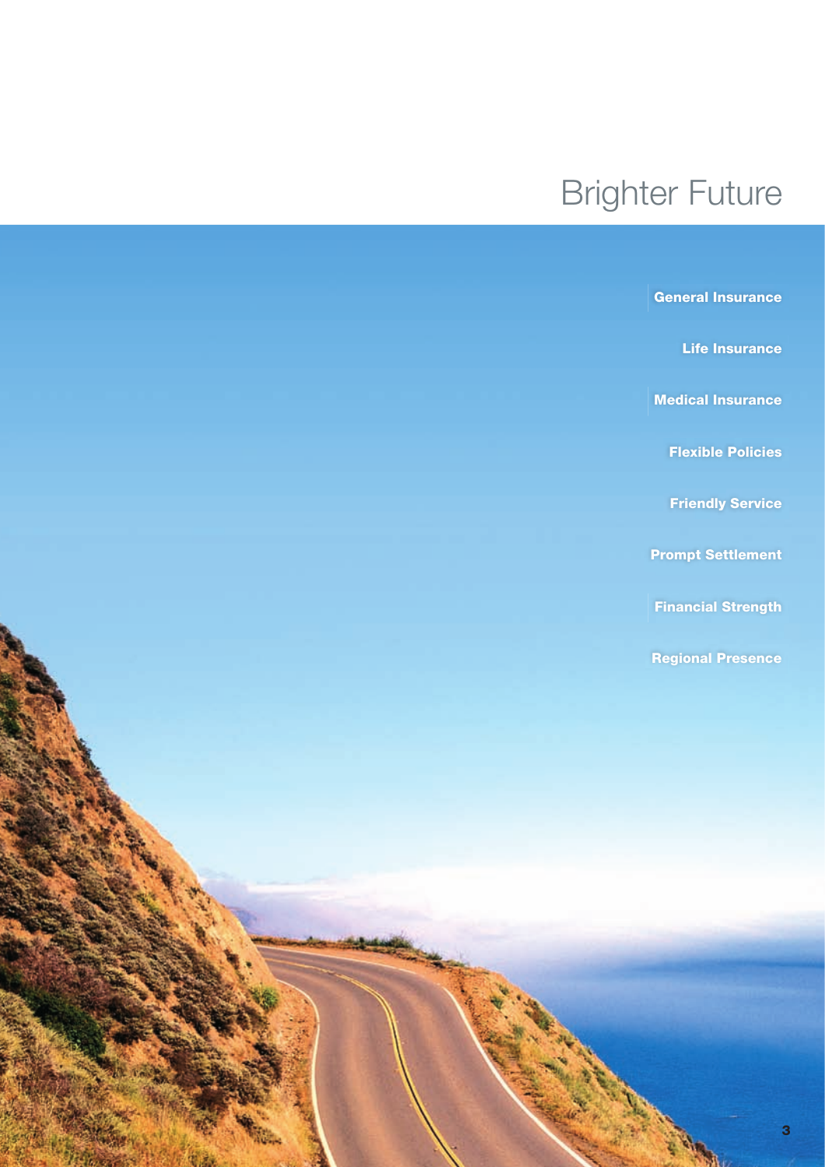# Brighter Future

| <b>General Insurance</b>  |
|---------------------------|
| <b>Life Insurance</b>     |
| <b>Medical Insurance</b>  |
| <b>Flexible Policies</b>  |
| <b>Friendly Service</b>   |
| <b>Prompt Settlement</b>  |
| <b>Financial Strength</b> |
| <b>Regional Presence</b>  |
|                           |
|                           |
|                           |
|                           |
|                           |
|                           |
|                           |
|                           |
|                           |
| 3                         |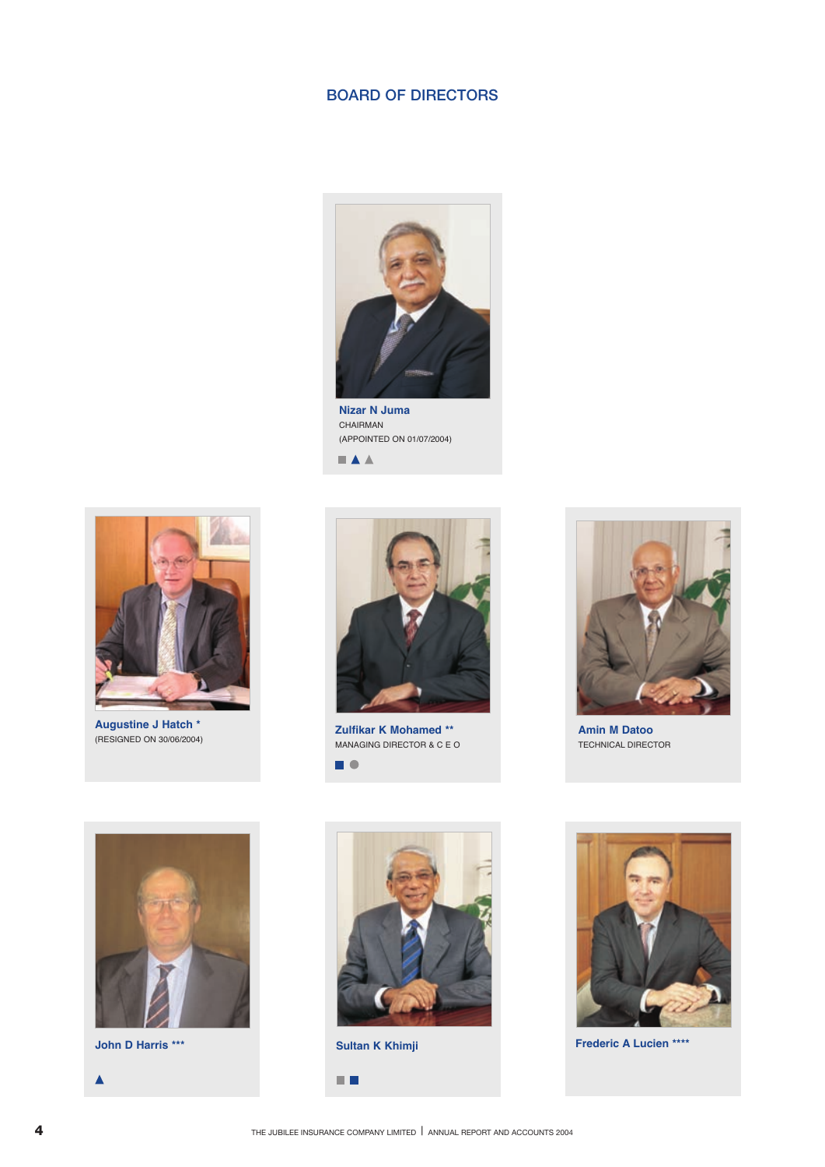## **BOARD OF DIRECTORS**



**Nizar N Juma** CHAIRMAN (APPOINTED ON 01/07/2004) $\blacksquare$   $\blacktriangle$   $\blacktriangle$ 



**Augustine J Hatch \*** (RESIGNED ON 30/06/2004)



**Zulfikar K Mohamed \*\*** MANAGING DIRECTOR & C E O  $\blacksquare$ 



**Amin M Datoo** TECHNICAL DIRECTOR



 $\blacktriangle$ 





**John D Harris \*\*\* Frederic A Lucien \*\*\*\* Sultan K Khimji**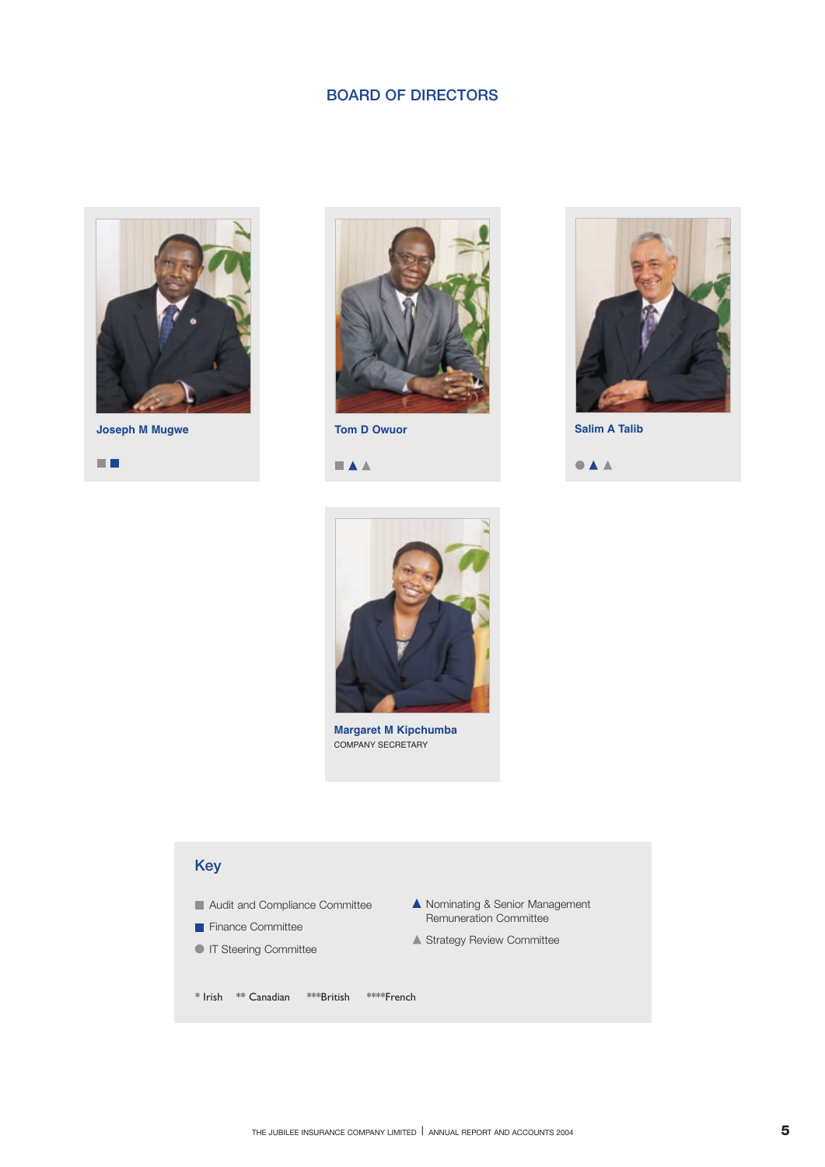## **BOARD OF DIRECTORS**



**Joseph M Mugwe Tom D Owuor Tom D Owuor Salim A Talib** 





 $\blacksquare$   $\blacktriangle$   $\blacktriangle$ 



 $\bullet$   $\blacktriangle$   $\blacktriangle$ 



**Margaret M Kipchumba** COMPANY SECRETARY

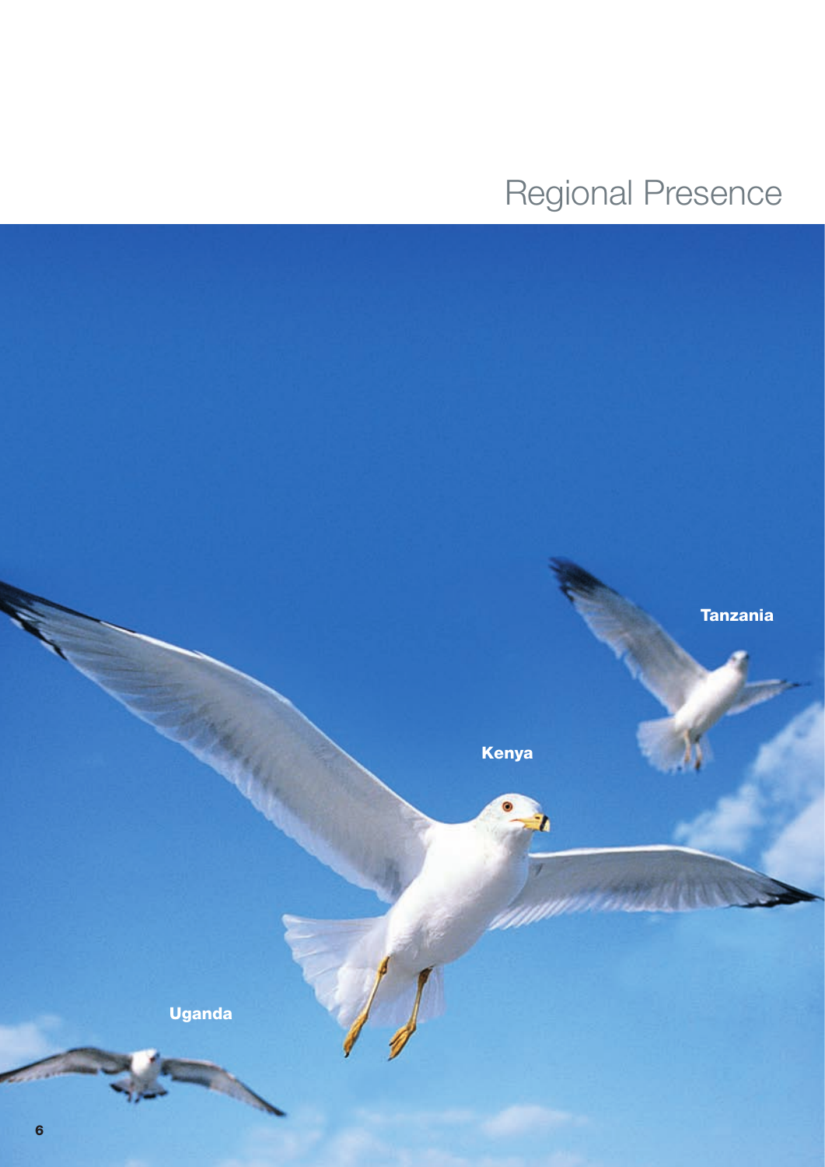Regional Presence

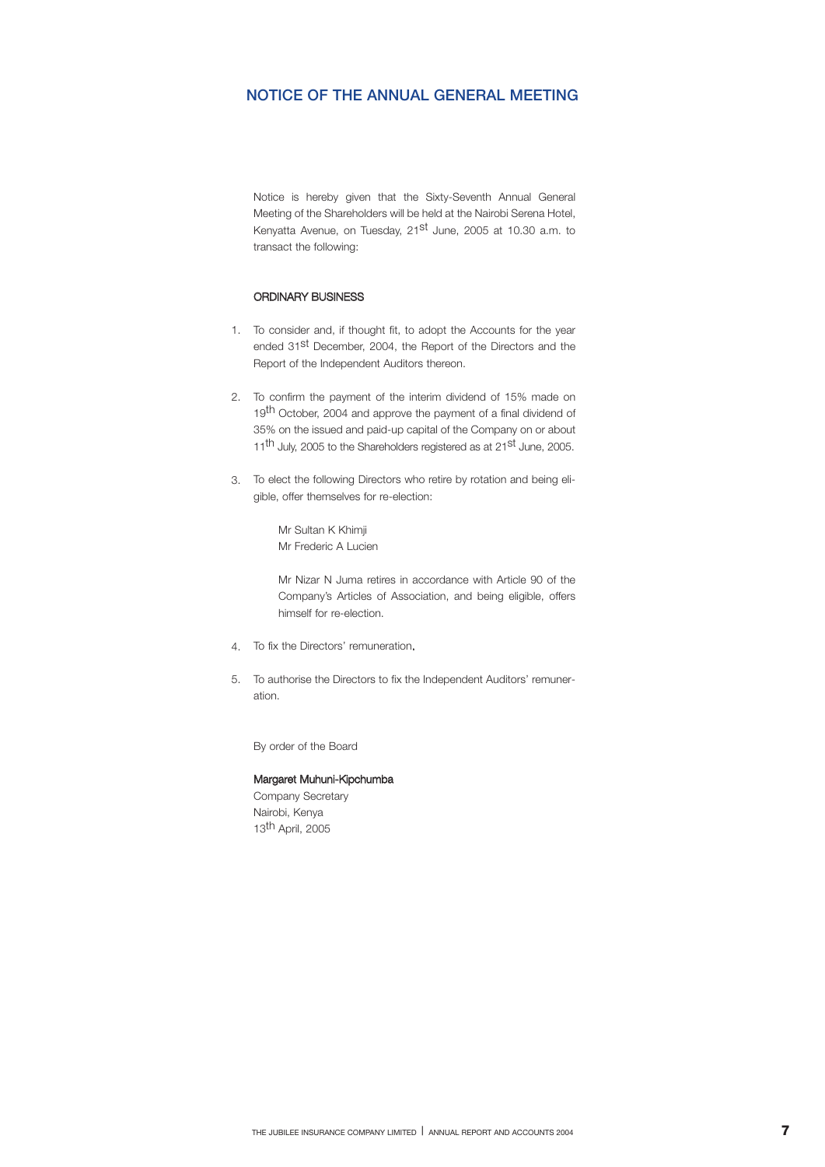## **NOTICE OF THE ANNUAL GENERAL MEETING**

Notice is hereby given that the Sixty-Seventh Annual General Meeting of the Shareholders will be held at the Nairobi Serena Hotel, Kenyatta Avenue, on Tuesday, 21<sup>st</sup> June, 2005 at 10.30 a.m. to transact the following:

## ORDINARY BUSINESS

- 1. To consider and, if thought fit, to adopt the Accounts for the year ended 31<sup>st</sup> December, 2004, the Report of the Directors and the Report of the Independent Auditors thereon.
- To confirm the payment of the interim dividend of 15% made on 2. 19<sup>th</sup> October, 2004 and approve the payment of a final dividend of 35% on the issued and paid-up capital of the Company on or about 11<sup>th</sup> July, 2005 to the Shareholders registered as at 21<sup>st</sup> June, 2005.
- To elect the following Directors who retire by rotation and being eli-3. gible, offer themselves for re-election:

Mr Sultan K Khimji Mr Frederic A Lucien

Mr Nizar N Juma retires in accordance with Article 90 of the Company's Articles of Association, and being eligible, offers himself for re-election.

- 4. To fix the Directors' remuneration.
- To authorise the Directors to fix the Independent Auditors' remuner-5.ation.

By order of the Board

## Margaret Muhuni-Kipchumba

Company Secretary Nairobi, Kenya 13th April, 2005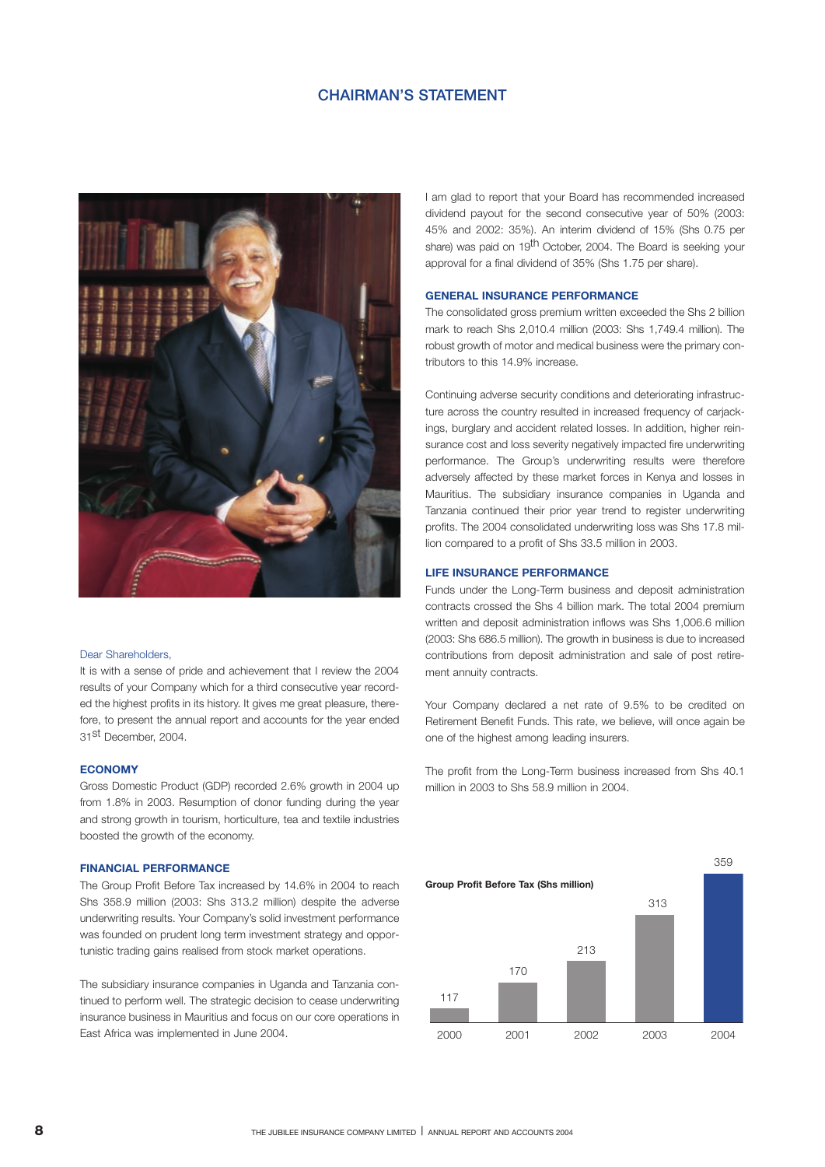## **CHAIRMAN'S STATEMENT**



## Dear Shareholders,

It is with a sense of pride and achievement that I review the 2004 results of your Company which for a third consecutive year recorded the highest profits in its history. It gives me great pleasure, therefore, to present the annual report and accounts for the year ended 31st December, 2004.

### **ECONOMY**

Gross Domestic Product (GDP) recorded 2.6% growth in 2004 up from 1.8% in 2003. Resumption of donor funding during the year and strong growth in tourism, horticulture, tea and textile industries boosted the growth of the economy.

### **FINANCIAL PERFORMANCE**

The Group Profit Before Tax increased by 14.6% in 2004 to reach Shs 358.9 million (2003: Shs 313.2 million) despite the adverse underwriting results. Your Company's solid investment performance was founded on prudent long term investment strategy and opportunistic trading gains realised from stock market operations.

The subsidiary insurance companies in Uganda and Tanzania continued to perform well. The strategic decision to cease underwriting insurance business in Mauritius and focus on our core operations in East Africa was implemented in June 2004.

I am glad to report that your Board has recommended increased dividend payout for the second consecutive year of 50% (2003: 45% and 2002: 35%). An interim dividend of 15% (Shs 0.75 per share) was paid on 19<sup>th</sup> October, 2004. The Board is seeking your approval for a final dividend of 35% (Shs 1.75 per share).

## **GENERAL INSURANCE PERFORMANCE**

The consolidated gross premium written exceeded the Shs 2 billion mark to reach Shs 2,010.4 million (2003: Shs 1,749.4 million). The robust growth of motor and medical business were the primary contributors to this 14.9% increase.

Continuing adverse security conditions and deteriorating infrastructure across the country resulted in increased frequency of carjackings, burglary and accident related losses. In addition, higher reinsurance cost and loss severity negatively impacted fire underwriting performance. The Group's underwriting results were therefore adversely affected by these market forces in Kenya and losses in Mauritius. The subsidiary insurance companies in Uganda and Tanzania continued their prior year trend to register underwriting profits. The 2004 consolidated underwriting loss was Shs 17.8 million compared to a profit of Shs 33.5 million in 2003.

## **LIFE INSURANCE PERFORMANCE**

Funds under the Long-Term business and deposit administration contracts crossed the Shs 4 billion mark. The total 2004 premium written and deposit administration inflows was Shs 1,006.6 million (2003: Shs 686.5 million). The growth in business is due to increased contributions from deposit administration and sale of post retirement annuity contracts.

Your Company declared a net rate of 9.5% to be credited on Retirement Benefit Funds. This rate, we believe, will once again be one of the highest among leading insurers.

The profit from the Long-Term business increased from Shs 40.1 million in 2003 to Shs 58.9 million in 2004.

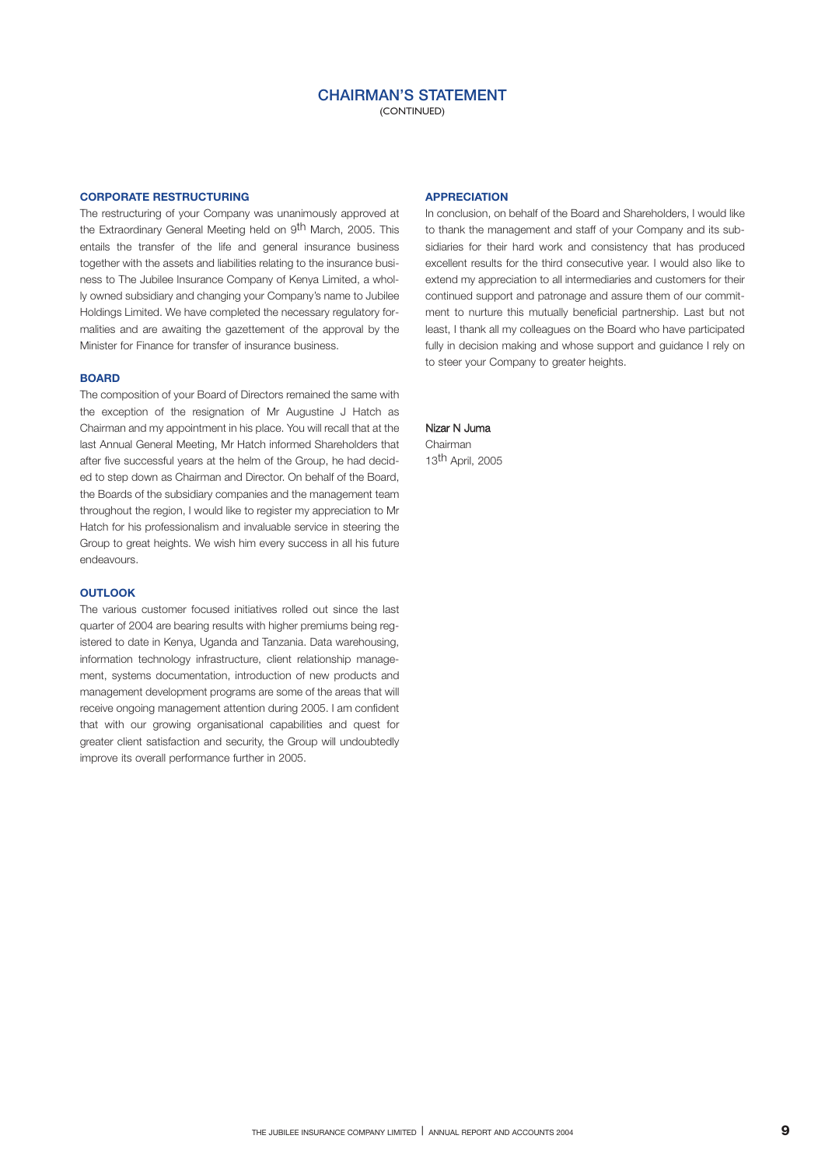(CONTINUED)

### **CORPORATE RESTRUCTURING**

The restructuring of your Company was unanimously approved at the Extraordinary General Meeting held on 9<sup>th</sup> March, 2005. This entails the transfer of the life and general insurance business together with the assets and liabilities relating to the insurance business to The Jubilee Insurance Company of Kenya Limited, a wholly owned subsidiary and changing your Company's name to Jubilee Holdings Limited. We have completed the necessary regulatory formalities and are awaiting the gazettement of the approval by the Minister for Finance for transfer of insurance business.

### **BOARD**

The composition of your Board of Directors remained the same with the exception of the resignation of Mr Augustine J Hatch as Chairman and my appointment in his place. You will recall that at the last Annual General Meeting, Mr Hatch informed Shareholders that after five successful years at the helm of the Group, he had decided to step down as Chairman and Director. On behalf of the Board, the Boards of the subsidiary companies and the management team throughout the region, I would like to register my appreciation to Mr Hatch for his professionalism and invaluable service in steering the Group to great heights. We wish him every success in all his future endeavours.

## **OUTLOOK**

The various customer focused initiatives rolled out since the last quarter of 2004 are bearing results with higher premiums being registered to date in Kenya, Uganda and Tanzania. Data warehousing, information technology infrastructure, client relationship management, systems documentation, introduction of new products and management development programs are some of the areas that will receive ongoing management attention during 2005. I am confident that with our growing organisational capabilities and quest for greater client satisfaction and security, the Group will undoubtedly improve its overall performance further in 2005.

### **APPRECIATION**

In conclusion, on behalf of the Board and Shareholders, I would like to thank the management and staff of your Company and its subsidiaries for their hard work and consistency that has produced excellent results for the third consecutive year. I would also like to extend my appreciation to all intermediaries and customers for their continued support and patronage and assure them of our commitment to nurture this mutually beneficial partnership. Last but not least, I thank all my colleagues on the Board who have participated fully in decision making and whose support and guidance I rely on to steer your Company to greater heights.

## Nizar N Juma

Chairman 13th April, 2005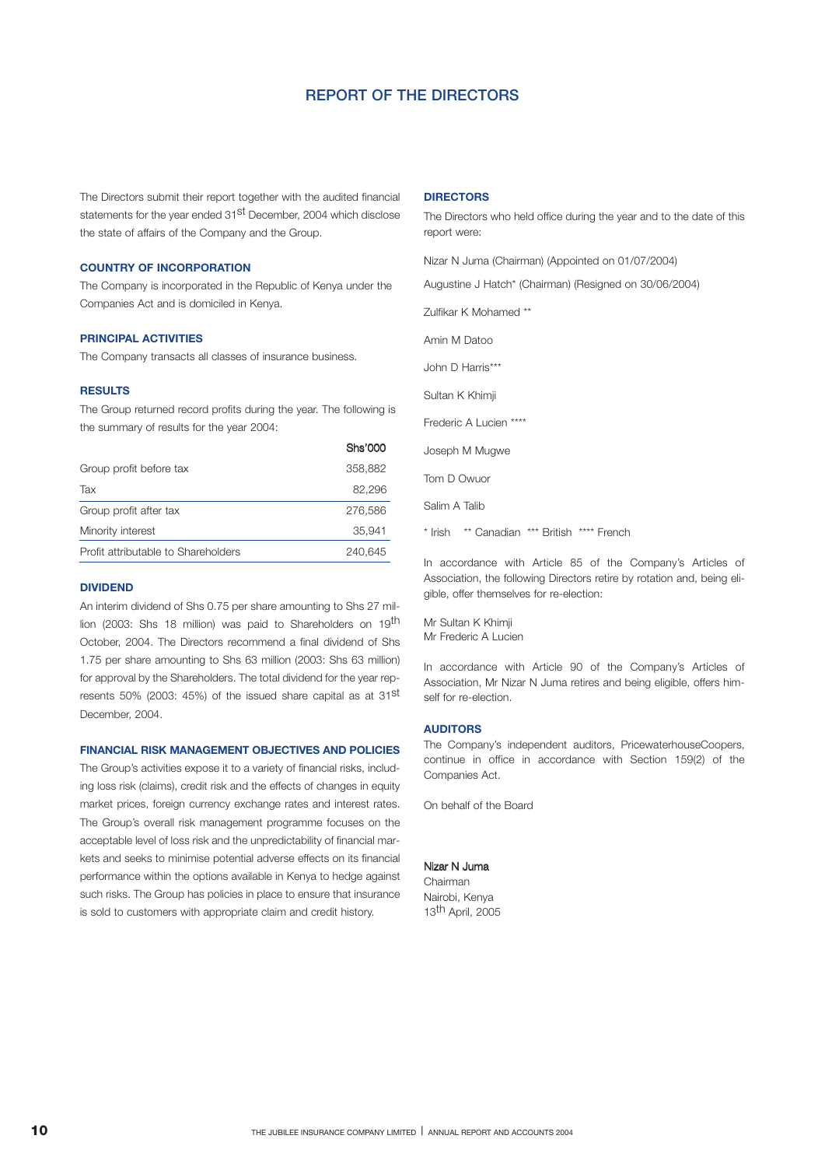## **REPORT OF THE DIRECTORS**

The Directors submit their report together with the audited financial statements for the year ended 31st December, 2004 which disclose the state of affairs of the Company and the Group.

## **COUNTRY OF INCORPORATION**

The Company is incorporated in the Republic of Kenya under the Companies Act and is domiciled in Kenya.

### **PRINCIPAL ACTIVITIES**

The Company transacts all classes of insurance business.

## **RESULTS**

The Group returned record profits during the year. The following is the summary of results for the year 2004:

|                                     | u is vvv |
|-------------------------------------|----------|
| Group profit before tax             | 358,882  |
| Tax                                 | 82,296   |
| Group profit after tax              | 276,586  |
| Minority interest                   | 35.941   |
| Profit attributable to Shareholders | 240.645  |

### **DIVIDEND**

An interim dividend of Shs 0.75 per share amounting to Shs 27 million (2003: Shs 18 million) was paid to Shareholders on 19<sup>th</sup> October, 2004. The Directors recommend a final dividend of Shs 1.75 per share amounting to Shs 63 million (2003: Shs 63 million) for approval by the Shareholders. The total dividend for the year represents 50% (2003: 45%) of the issued share capital as at 31<sup>st</sup> December, 2004.

### **FINANCIAL RISK MANAGEMENT OBJECTIVES AND POLICIES**

The Group's activities expose it to a variety of financial risks, including loss risk (claims), credit risk and the effects of changes in equity market prices, foreign currency exchange rates and interest rates. The Group's overall risk management programme focuses on the acceptable level of loss risk and the unpredictability of financial markets and seeks to minimise potential adverse effects on its financial performance within the options available in Kenya to hedge against such risks. The Group has policies in place to ensure that insurance is sold to customers with appropriate claim and credit history.

### **DIRECTORS**

The Directors who held office during the year and to the date of this report were:

Nizar N Juma (Chairman) (Appointed on 01/07/2004)

Augustine J Hatch\* (Chairman) (Resigned on 30/06/2004)

Zulfikar K Mohamed \*\*

Amin M Datoo

John D Harris\*\*\*

Sultan K Khimji

Frederic A Lucien \*\*\*\*

Joseph M Mugwe

Tom D Owuor

She'000

Salim A Talib

\* Irish \*\* Canadian \*\*\* British \*\*\*\* French

In accordance with Article 85 of the Company's Articles of Association, the following Directors retire by rotation and, being eligible, offer themselves for re-election:

Mr Sultan K Khimji Mr Frederic A Lucien

In accordance with Article 90 of the Company's Articles of Association, Mr Nizar N Juma retires and being eligible, offers himself for re-election.

## **AUDITORS**

The Company's independent auditors, PricewaterhouseCoopers, continue in office in accordance with Section 159(2) of the Companies Act.

On behalf of the Board

### Nizar N Juma

Chairman Nairobi, Kenya 13th April, 2005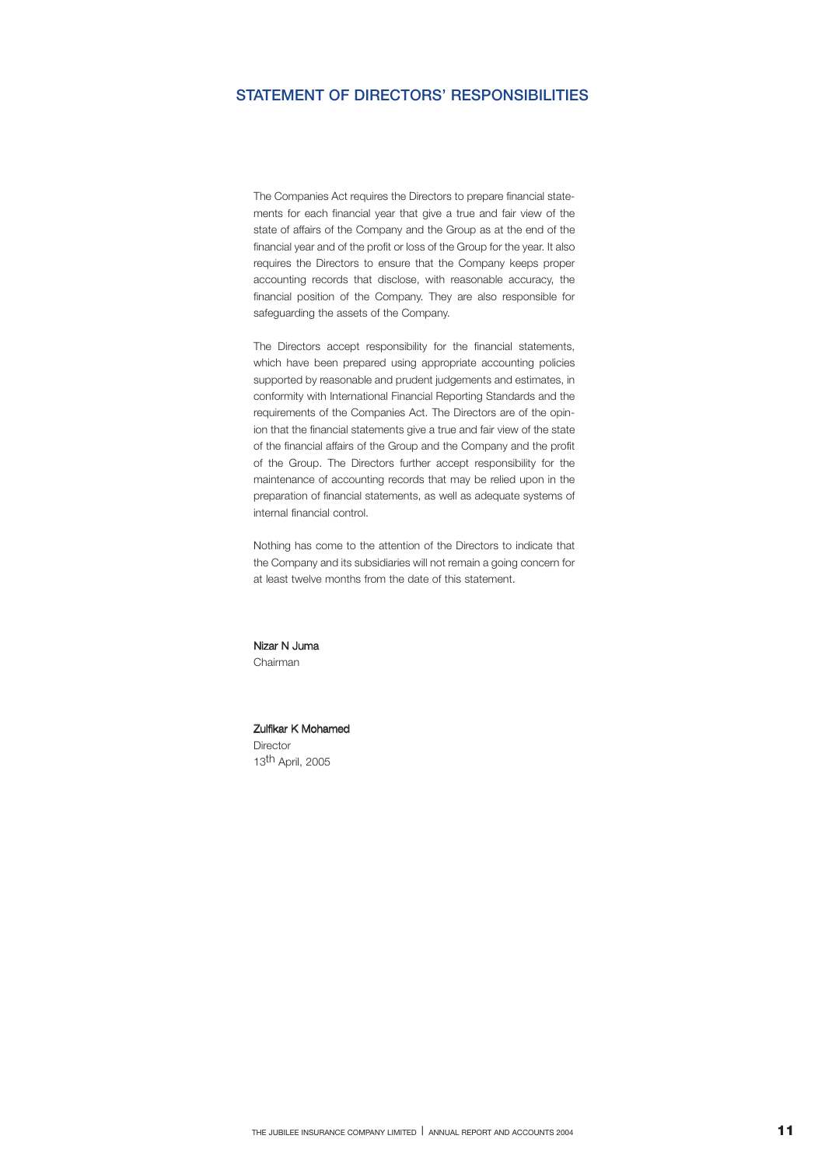## **STATEMENT OF DIRECTORS' RESPONSIBILITIES**

The Companies Act requires the Directors to prepare financial statements for each financial year that give a true and fair view of the state of affairs of the Company and the Group as at the end of the financial year and of the profit or loss of the Group for the year. It also requires the Directors to ensure that the Company keeps proper accounting records that disclose, with reasonable accuracy, the financial position of the Company. They are also responsible for safeguarding the assets of the Company.

The Directors accept responsibility for the financial statements, which have been prepared using appropriate accounting policies supported by reasonable and prudent judgements and estimates, in conformity with International Financial Reporting Standards and the requirements of the Companies Act. The Directors are of the opinion that the financial statements give a true and fair view of the state of the financial affairs of the Group and the Company and the profit of the Group. The Directors further accept responsibility for the maintenance of accounting records that may be relied upon in the preparation of financial statements, as well as adequate systems of internal financial control.

Nothing has come to the attention of the Directors to indicate that the Company and its subsidiaries will not remain a going concern for at least twelve months from the date of this statement.

Nizar N Juma Chairman

### Zulfikar K Mohamed Director

13th April, 2005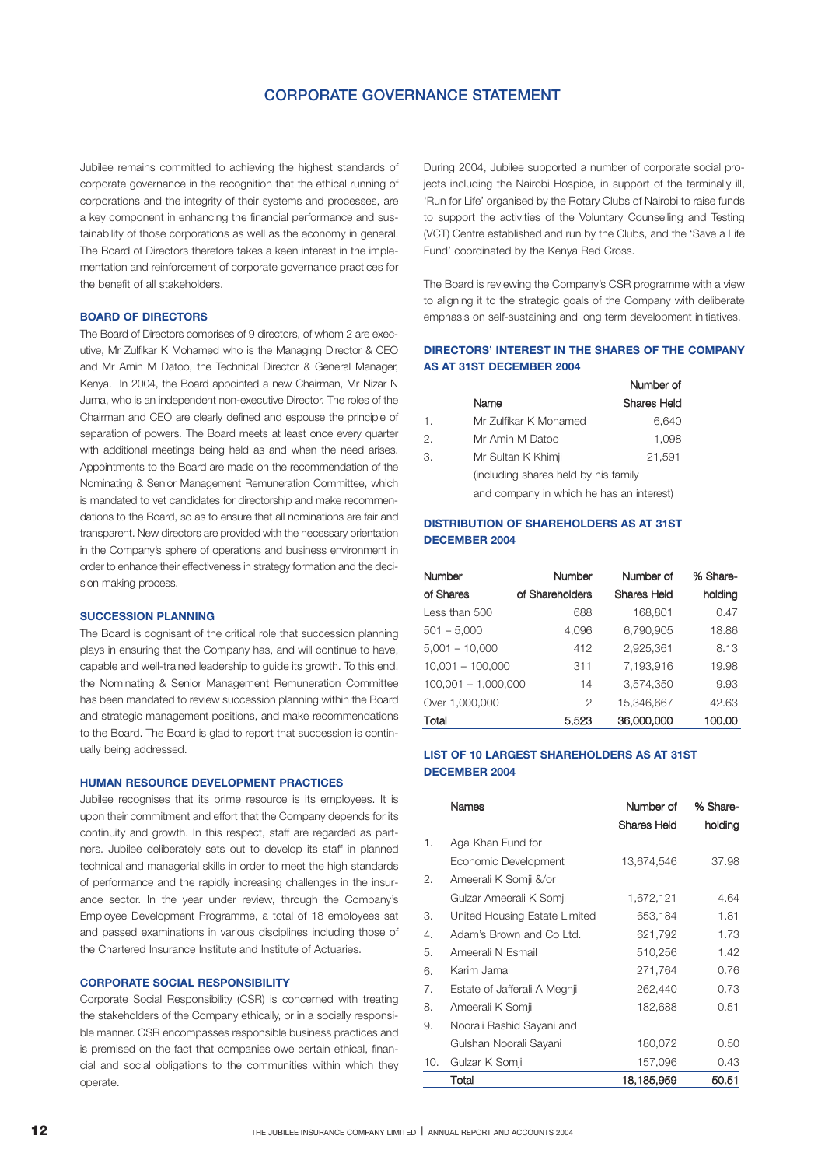## **CORPORATE GOVERNANCE STATEMENT**

Jubilee remains committed to achieving the highest standards of corporate governance in the recognition that the ethical running of corporations and the integrity of their systems and processes, are a key component in enhancing the financial performance and sustainability of those corporations as well as the economy in general. The Board of Directors therefore takes a keen interest in the implementation and reinforcement of corporate governance practices for the benefit of all stakeholders.

## **BOARD OF DIRECTORS**

The Board of Directors comprises of 9 directors, of whom 2 are executive, Mr Zulfikar K Mohamed who is the Managing Director & CEO and Mr Amin M Datoo, the Technical Director & General Manager, Kenya. In 2004, the Board appointed a new Chairman, Mr Nizar N Juma, who is an independent non-executive Director. The roles of the Chairman and CEO are clearly defined and espouse the principle of separation of powers. The Board meets at least once every quarter with additional meetings being held as and when the need arises. Appointments to the Board are made on the recommendation of the Nominating & Senior Management Remuneration Committee, which is mandated to vet candidates for directorship and make recommendations to the Board, so as to ensure that all nominations are fair and transparent. New directors are provided with the necessary orientation in the Company's sphere of operations and business environment in order to enhance their effectiveness in strategy formation and the decision making process.

### **SUCCESSION PLANNING**

The Board is cognisant of the critical role that succession planning plays in ensuring that the Company has, and will continue to have, capable and well-trained leadership to guide its growth. To this end, the Nominating & Senior Management Remuneration Committee has been mandated to review succession planning within the Board and strategic management positions, and make recommendations to the Board. The Board is glad to report that succession is continually being addressed.

## **HUMAN RESOURCE DEVELOPMENT PRACTICES**

Jubilee recognises that its prime resource is its employees. It is upon their commitment and effort that the Company depends for its continuity and growth. In this respect, staff are regarded as partners. Jubilee deliberately sets out to develop its staff in planned technical and managerial skills in order to meet the high standards of performance and the rapidly increasing challenges in the insurance sector. In the year under review, through the Company's Employee Development Programme, a total of 18 employees sat and passed examinations in various disciplines including those of the Chartered Insurance Institute and Institute of Actuaries.

## **CORPORATE SOCIAL RESPONSIBILITY**

Corporate Social Responsibility (CSR) is concerned with treating the stakeholders of the Company ethically, or in a socially responsible manner. CSR encompasses responsible business practices and is premised on the fact that companies owe certain ethical, financial and social obligations to the communities within which they operate.

During 2004, Jubilee supported a number of corporate social projects including the Nairobi Hospice, in support of the terminally ill, 'Run for Life' organised by the Rotary Clubs of Nairobi to raise funds to support the activities of the Voluntary Counselling and Testing (VCT) Centre established and run by the Clubs, and the 'Save a Life Fund' coordinated by the Kenya Red Cross.

The Board is reviewing the Company's CSR programme with a view to aligning it to the strategic goals of the Company with deliberate emphasis on self-sustaining and long term development initiatives.

## **DIRECTORS' INTEREST IN THE SHARES OF THE COMPANY AS AT 31ST DECEMBER 2004**

|                |                                          | Number of   |
|----------------|------------------------------------------|-------------|
|                | Name                                     | Shares Held |
| $\mathbf{1}$ . | Mr Zulfikar K Mohamed                    | 6.640       |
| 2.             | Mr Amin M Datoo                          | 1,098       |
| 3.             | Mr Sultan K Khimji                       | 21.591      |
|                | (including shares held by his family     |             |
|                | and company in which he has an interest) |             |

## **DISTRIBUTION OF SHAREHOLDERS AS AT 31ST DECEMBER 2004**

| <b>Number</b>         | <b>Number</b>   | Number of          | % Share- |
|-----------------------|-----------------|--------------------|----------|
| of Shares             | of Shareholders | <b>Shares Held</b> | holding  |
| Less than 500         | 688             | 168,801            | 0.47     |
| $501 - 5,000$         | 4,096           | 6,790,905          | 18.86    |
| $5,001 - 10,000$      | 412             | 2,925,361          | 8.13     |
| $10,001 - 100,000$    | 311             | 7,193,916          | 19.98    |
| $100,001 - 1,000,000$ | 14              | 3,574,350          | 9.93     |
| Over 1,000,000        | 2               | 15.346.667         | 42.63    |
| Total                 | 5,523           | 36,000,000         | 100.00   |

## **LIST OF 10 LARGEST SHAREHOLDERS AS AT 31ST DECEMBER 2004**

|     | Names                         | Number of          | % Share- |
|-----|-------------------------------|--------------------|----------|
|     |                               | <b>Shares Held</b> | holding  |
| 1.  | Aga Khan Fund for             |                    |          |
|     | Economic Development          | 13,674,546         | 37.98    |
| 2.  | Ameerali K Somji &/or         |                    |          |
|     | Gulzar Ameerali K Somji       | 1,672,121          | 4.64     |
| З.  | United Housing Estate Limited | 653,184            | 1.81     |
| 4.  | Adam's Brown and Co Ltd.      | 621,792            | 1.73     |
| 5.  | Ameerali N Esmail             | 510,256            | 1.42     |
| 6.  | Karim Jamal                   | 271,764            | 0.76     |
| 7.  | Estate of Jafferali A Meghii  | 262,440            | 0.73     |
| 8.  | Ameerali K Somji              | 182,688            | 0.51     |
| 9.  | Noorali Rashid Sayani and     |                    |          |
|     | Gulshan Noorali Sayani        | 180,072            | 0.50     |
| 10. | Gulzar K Somji                | 157,096            | 0.43     |
|     | Total                         | 18,185,959         | 50.51    |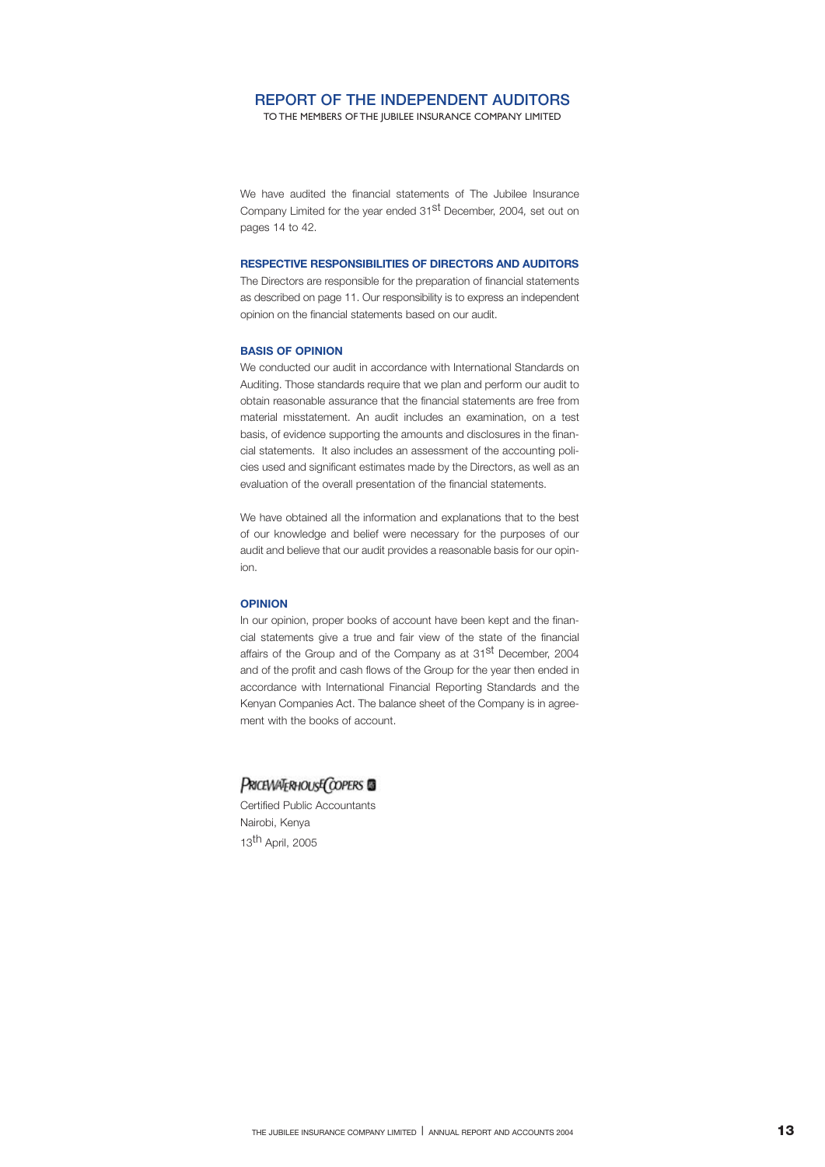## **REPORT OF THE INDEPENDENT AUDITORS**

TO THE MEMBERS OF THE JUBILEE INSURANCE COMPANY LIMITED

We have audited the financial statements of The Jubilee Insurance Company Limited for the year ended 31st December, 2004*,* set out on pages 14 to 42.

### **RESPECTIVE RESPONSIBILITIES OF DIRECTORS AND AUDITORS**

The Directors are responsible for the preparation of financial statements as described on page 11. Our responsibility is to express an independent opinion on the financial statements based on our audit.

### **BASIS OF OPINION**

We conducted our audit in accordance with International Standards on Auditing. Those standards require that we plan and perform our audit to obtain reasonable assurance that the financial statements are free from material misstatement. An audit includes an examination, on a test basis, of evidence supporting the amounts and disclosures in the financial statements. It also includes an assessment of the accounting policies used and significant estimates made by the Directors, as well as an evaluation of the overall presentation of the financial statements.

We have obtained all the information and explanations that to the best of our knowledge and belief were necessary for the purposes of our audit and believe that our audit provides a reasonable basis for our opinion.

### **OPINION**

In our opinion, proper books of account have been kept and the financial statements give a true and fair view of the state of the financial affairs of the Group and of the Company as at 31<sup>st</sup> December, 2004 and of the profit and cash flows of the Group for the year then ended in accordance with International Financial Reporting Standards and the Kenyan Companies Act. The balance sheet of the Company is in agreement with the books of account.

## PRICEWATERHOUSE COPERS **S**

Certified Public Accountants Nairobi, Kenya 13th April, 2005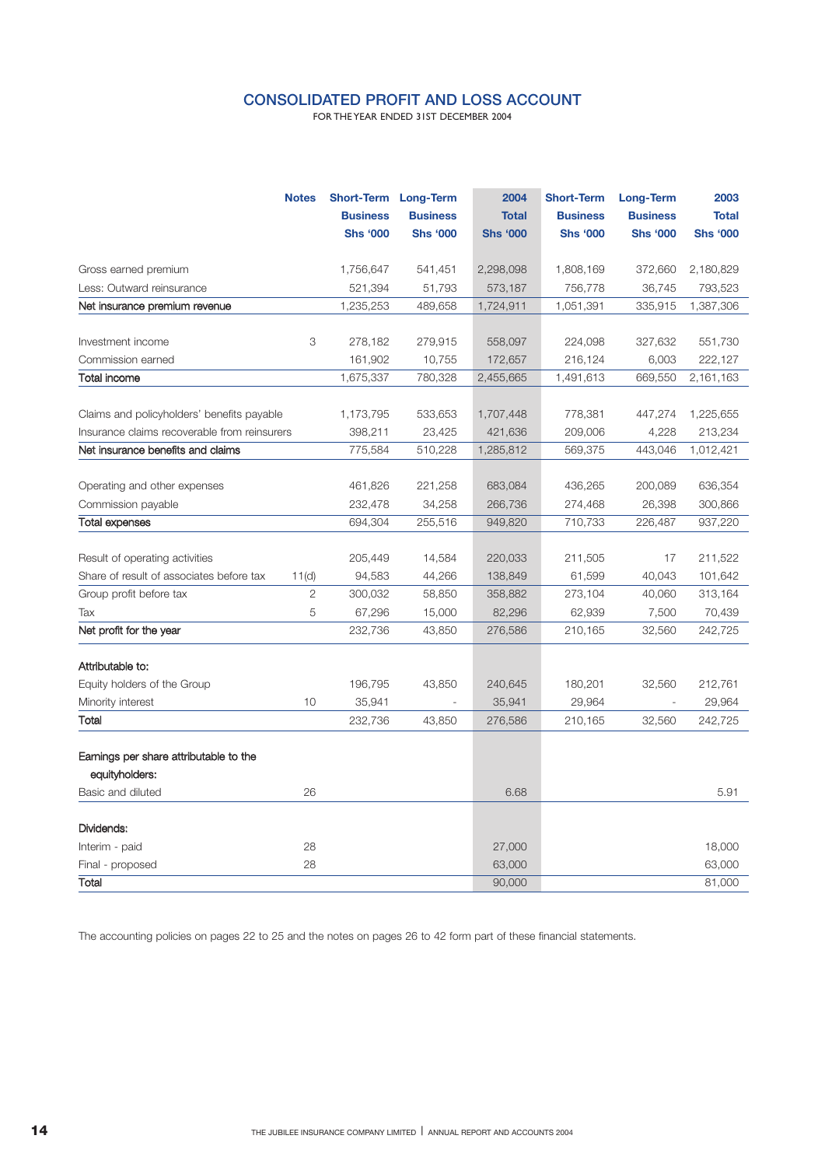## **CONSOLIDATED PROFIT AND LOSS ACCOUNT**

FOR THE YEAR ENDED 31ST DECEMBER 2004

|                                                          | <b>Notes</b>   |                 | Short-Term Long-Term | 2004            | <b>Short-Term</b> | Long-Term       | 2003            |
|----------------------------------------------------------|----------------|-----------------|----------------------|-----------------|-------------------|-----------------|-----------------|
|                                                          |                | <b>Business</b> | <b>Business</b>      | <b>Total</b>    | <b>Business</b>   | <b>Business</b> | <b>Total</b>    |
|                                                          |                | <b>Shs '000</b> | <b>Shs '000</b>      | <b>Shs '000</b> | <b>Shs '000</b>   | <b>Shs '000</b> | <b>Shs '000</b> |
| Gross earned premium                                     |                | 1,756,647       | 541,451              | 2,298,098       | 1,808,169         | 372,660         | 2,180,829       |
| Less: Outward reinsurance                                |                | 521,394         | 51,793               | 573,187         | 756,778           | 36,745          | 793,523         |
| Net insurance premium revenue                            |                | 1,235,253       | 489,658              | 1,724,911       | 1,051,391         | 335,915         | 1,387,306       |
|                                                          |                |                 |                      |                 |                   |                 |                 |
| Investment income                                        | 3              | 278,182         | 279,915              | 558,097         | 224,098           | 327,632         | 551,730         |
| Commission earned                                        |                | 161,902         | 10,755               | 172,657         | 216,124           | 6,003           | 222,127         |
| Total income                                             |                | 1,675,337       | 780,328              | 2,455,665       | 1,491,613         | 669,550         | 2,161,163       |
| Claims and policyholders' benefits payable               |                | 1,173,795       | 533,653              | 1,707,448       | 778,381           | 447,274         | 1,225,655       |
| Insurance claims recoverable from reinsurers             |                | 398,211         | 23,425               | 421,636         | 209,006           | 4,228           | 213,234         |
| Net insurance benefits and claims                        |                | 775,584         | 510,228              | 1,285,812       | 569,375           | 443,046         | 1,012,421       |
|                                                          |                |                 |                      |                 |                   |                 |                 |
| Operating and other expenses                             |                | 461,826         | 221,258              | 683,084         | 436,265           | 200,089         | 636,354         |
| Commission payable                                       |                | 232,478         | 34,258               | 266,736         | 274,468           | 26,398          | 300,866         |
| <b>Total expenses</b>                                    |                | 694,304         | 255,516              | 949,820         | 710,733           | 226,487         | 937,220         |
| Result of operating activities                           |                | 205,449         | 14,584               | 220,033         | 211,505           | 17              | 211,522         |
| Share of result of associates before tax                 | 11(d)          | 94,583          | 44,266               | 138,849         | 61,599            | 40,043          | 101,642         |
| Group profit before tax                                  | $\overline{2}$ | 300,032         | 58,850               | 358,882         | 273,104           | 40,060          | 313,164         |
| Tax                                                      | 5              | 67,296          | 15,000               | 82,296          | 62,939            | 7,500           | 70,439          |
| Net profit for the year                                  |                | 232,736         | 43,850               | 276,586         | 210,165           | 32,560          | 242,725         |
| Attributable to:                                         |                |                 |                      |                 |                   |                 |                 |
| Equity holders of the Group                              |                | 196,795         | 43,850               | 240,645         | 180,201           | 32,560          | 212,761         |
| Minority interest                                        | 10             | 35,941          | $\overline{a}$       | 35,941          | 29,964            |                 | 29,964          |
| Total                                                    |                | 232,736         | 43,850               | 276,586         | 210,165           | 32,560          | 242,725         |
|                                                          |                |                 |                      |                 |                   |                 |                 |
| Earnings per share attributable to the<br>equityholders: |                |                 |                      |                 |                   |                 |                 |
| Basic and diluted                                        | 26             |                 |                      | 6.68            |                   |                 | 5.91            |
|                                                          |                |                 |                      |                 |                   |                 |                 |
| Dividends:                                               | 28             |                 |                      | 27,000          |                   |                 | 18,000          |
| Interim - paid<br>Final - proposed                       | 28             |                 |                      | 63,000          |                   |                 | 63,000          |
| Total                                                    |                |                 |                      | 90,000          |                   |                 | 81,000          |
|                                                          |                |                 |                      |                 |                   |                 |                 |

The accounting policies on pages 22 to 25 and the notes on pages 26 to 42 form part of these financial statements.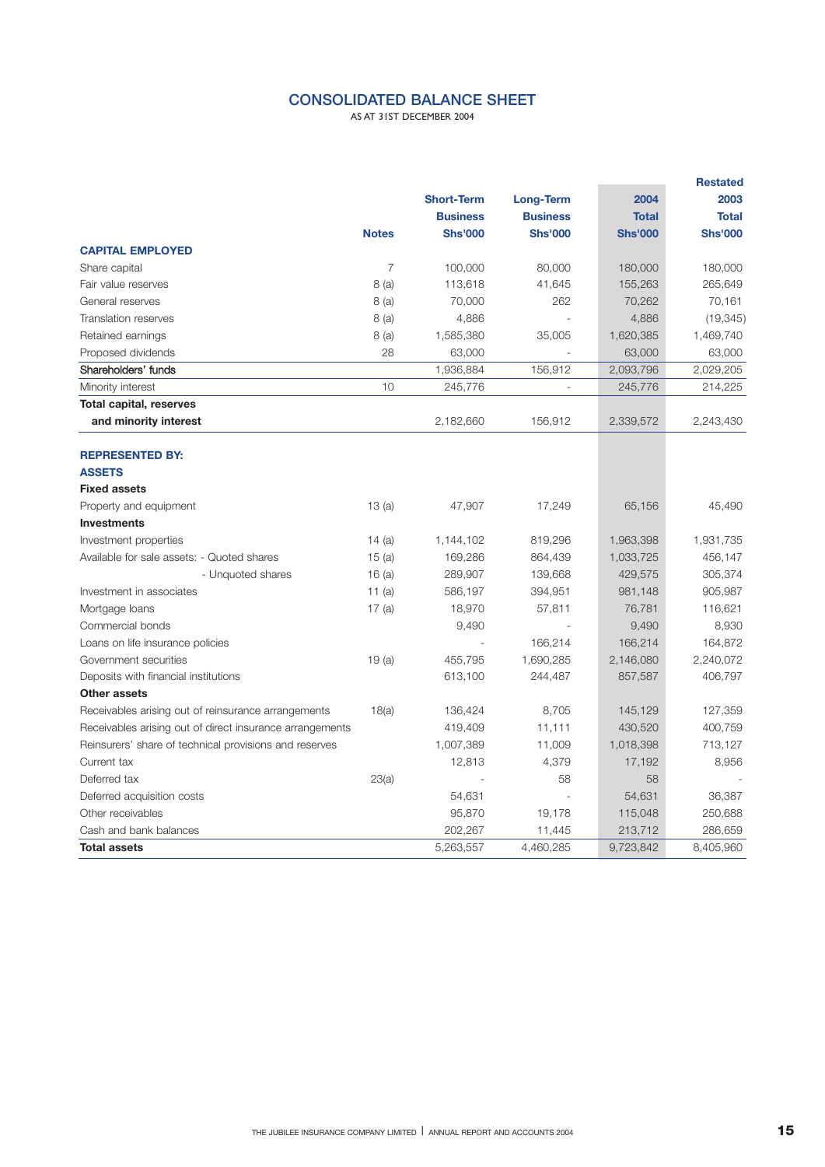## **CONSOLIDATED BALANCE SHEET**

AS AT 31ST DECEMBER 2004

|                                                          |                |                   |                 |                | <b>Restated</b> |  |
|----------------------------------------------------------|----------------|-------------------|-----------------|----------------|-----------------|--|
|                                                          |                | <b>Short-Term</b> | Long-Term       | 2004           | 2003            |  |
|                                                          |                | <b>Business</b>   | <b>Business</b> | <b>Total</b>   | <b>Total</b>    |  |
|                                                          | <b>Notes</b>   | <b>Shs'000</b>    | <b>Shs'000</b>  | <b>Shs'000</b> | <b>Shs'000</b>  |  |
| <b>CAPITAL EMPLOYED</b>                                  |                |                   |                 |                |                 |  |
| Share capital                                            | $\overline{7}$ | 100,000           | 80,000          | 180,000        | 180,000         |  |
| Fair value reserves                                      | 8(a)           | 113,618           | 41,645          | 155,263        | 265,649         |  |
| General reserves                                         | 8 (a)          | 70,000            | 262             | 70,262         | 70,161          |  |
| <b>Translation reserves</b>                              | 8(a)           | 4,886             |                 | 4,886          | (19, 345)       |  |
| Retained earnings                                        | 8(a)           | 1,585,380         | 35,005          | 1,620,385      | 1,469,740       |  |
| Proposed dividends                                       | 28             | 63,000            |                 | 63,000         | 63,000          |  |
| Shareholders' funds                                      |                | 1,936,884         | 156,912         | 2,093,796      | 2,029,205       |  |
| Minority interest                                        | 10             | 245,776           |                 | 245,776        | 214,225         |  |
| <b>Total capital, reserves</b>                           |                |                   |                 |                |                 |  |
| and minority interest                                    |                | 2,182,660         | 156,912         | 2,339,572      | 2,243,430       |  |
| <b>REPRESENTED BY:</b>                                   |                |                   |                 |                |                 |  |
| <b>ASSETS</b>                                            |                |                   |                 |                |                 |  |
| <b>Fixed assets</b>                                      |                |                   |                 |                |                 |  |
| Property and equipment                                   | 13(a)          | 47,907            | 17,249          | 65,156         | 45,490          |  |
| <b>Investments</b>                                       |                |                   |                 |                |                 |  |
| Investment properties                                    | 14(a)          | 1,144,102         | 819,296         | 1,963,398      | 1,931,735       |  |
| Available for sale assets: - Quoted shares               | 15(a)          | 169,286           | 864,439         | 1,033,725      | 456,147         |  |
| - Unquoted shares                                        | 16(a)          | 289,907           | 139,668         | 429,575        | 305,374         |  |
| Investment in associates                                 | 11 $(a)$       | 586,197           | 394,951         | 981,148        | 905,987         |  |
| Mortgage loans                                           | 17(a)          | 18,970            | 57,811          | 76,781         | 116,621         |  |
| Commercial bonds                                         |                | 9,490             |                 | 9,490          | 8,930           |  |
| Loans on life insurance policies                         |                |                   | 166,214         | 166,214        | 164,872         |  |
| Government securities                                    | 19(a)          | 455,795           | 1,690,285       | 2,146,080      | 2,240,072       |  |
| Deposits with financial institutions                     |                | 613,100           | 244,487         | 857,587        | 406,797         |  |
| Other assets                                             |                |                   |                 |                |                 |  |
| Receivables arising out of reinsurance arrangements      | 18(a)          | 136,424           | 8,705           | 145,129        | 127,359         |  |
| Receivables arising out of direct insurance arrangements |                | 419,409           | 11,111          | 430,520        | 400,759         |  |
| Reinsurers' share of technical provisions and reserves   |                | 1,007,389         | 11,009          | 1,018,398      | 713,127         |  |
| Current tax                                              |                | 12,813            | 4,379           | 17,192         | 8,956           |  |
| Deferred tax                                             | 23(a)          |                   | 58              | 58             |                 |  |
| Deferred acquisition costs                               |                | 54,631            |                 | 54,631         | 36,387          |  |
| Other receivables                                        |                | 95,870            | 19,178          | 115,048        | 250,688         |  |
| Cash and bank balances                                   |                | 202,267           | 11,445          | 213,712        | 286,659         |  |
| <b>Total assets</b>                                      |                | 5,263,557         | 4,460,285       | 9,723,842      | 8,405,960       |  |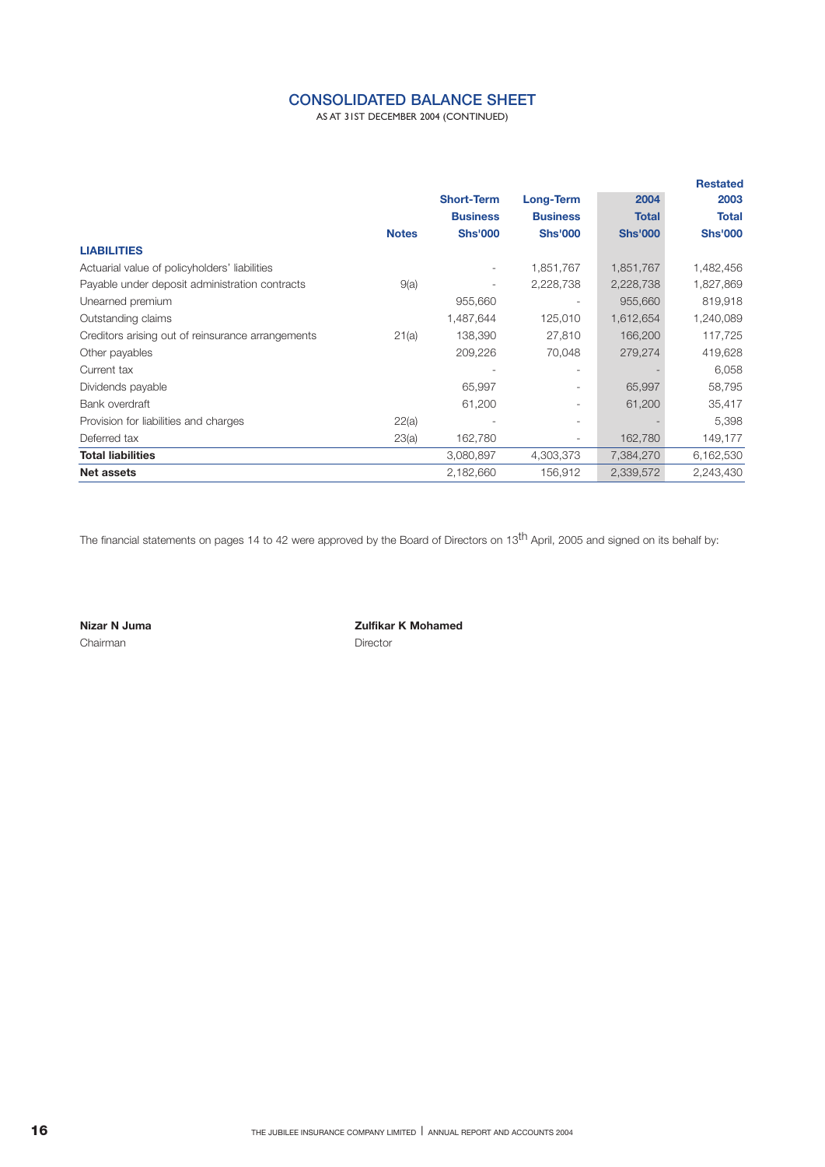## **CONSOLIDATED BALANCE SHEET**

AS AT 31ST DECEMBER 2004 (CONTINUED)

|              |                   |                          |                | <b>Restated</b> |
|--------------|-------------------|--------------------------|----------------|-----------------|
|              | <b>Short-Term</b> | Long-Term                | 2004           | 2003            |
|              | <b>Business</b>   | <b>Business</b>          | <b>Total</b>   | <b>Total</b>    |
| <b>Notes</b> | <b>Shs'000</b>    | <b>Shs'000</b>           | <b>Shs'000</b> | <b>Shs'000</b>  |
|              |                   |                          |                |                 |
|              |                   | 1,851,767                | 1,851,767      | 1,482,456       |
| 9(a)         |                   | 2,228,738                | 2,228,738      | 1,827,869       |
|              | 955,660           |                          | 955,660        | 819,918         |
|              | 1,487,644         | 125,010                  | 1,612,654      | 1,240,089       |
| 21(a)        | 138,390           | 27,810                   | 166,200        | 117,725         |
|              | 209,226           | 70,048                   | 279,274        | 419,628         |
|              |                   |                          |                | 6,058           |
|              | 65,997            | ۰.                       | 65,997         | 58,795          |
|              | 61,200            | -                        | 61,200         | 35,417          |
| 22(a)        |                   | ٠.                       |                | 5,398           |
| 23(a)        | 162,780           | $\overline{\phantom{a}}$ | 162,780        | 149,177         |
|              | 3,080,897         | 4,303,373                | 7,384,270      | 6,162,530       |
|              | 2,182,660         | 156,912                  | 2,339,572      | 2,243,430       |
|              |                   |                          |                |                 |

The financial statements on pages 14 to 42 were approved by the Board of Directors on 13<sup>th</sup> April, 2005 and signed on its behalf by:

Chairman **Director** 

**Nizar N Juma Nizar N Juma Zulfikar K Mohamed**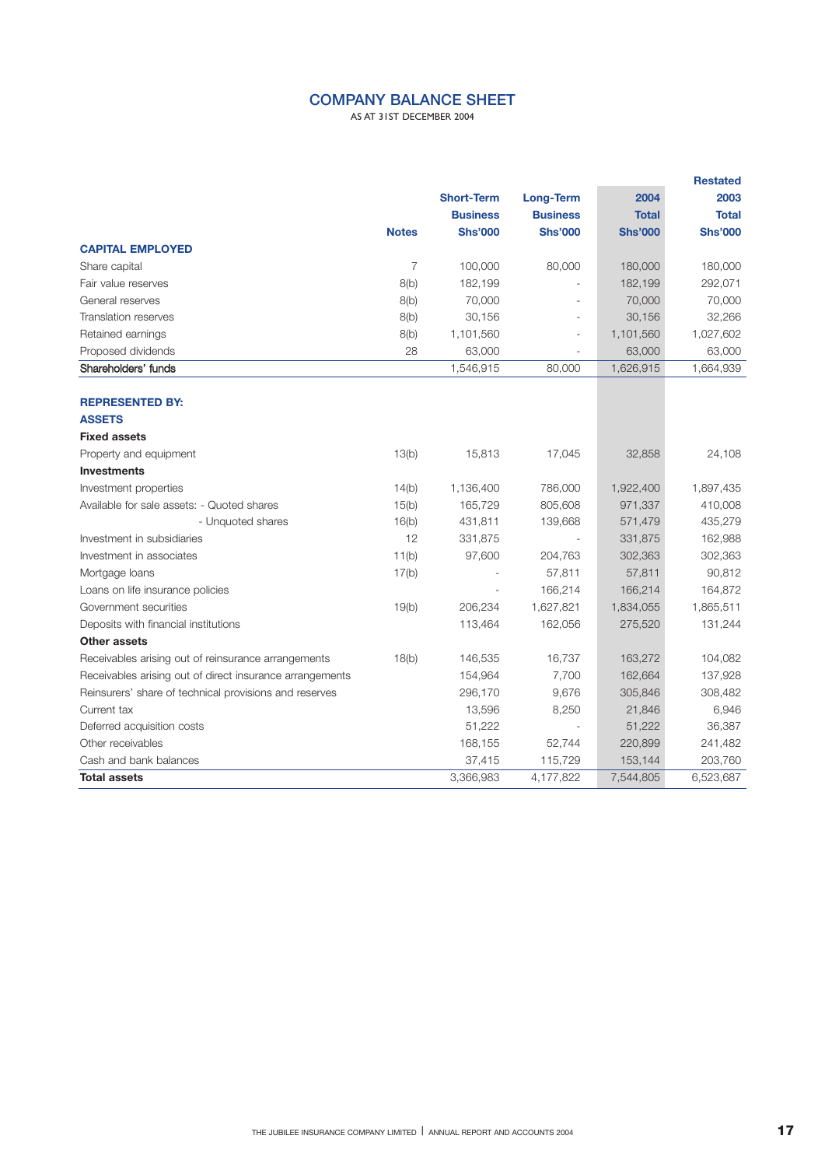## **COMPANY BALANCE SHEET**

AS AT 31ST DECEMBER 2004

|                                                          |                |                   |                 |                | <b>Restated</b> |
|----------------------------------------------------------|----------------|-------------------|-----------------|----------------|-----------------|
|                                                          |                | <b>Short-Term</b> | Long-Term       | 2004           | 2003            |
|                                                          |                | <b>Business</b>   | <b>Business</b> | <b>Total</b>   | <b>Total</b>    |
|                                                          | <b>Notes</b>   | <b>Shs'000</b>    | <b>Shs'000</b>  | <b>Shs'000</b> | <b>Shs'000</b>  |
| <b>CAPITAL EMPLOYED</b>                                  |                |                   |                 |                |                 |
| Share capital                                            | $\overline{7}$ | 100,000           | 80,000          | 180,000        | 180,000         |
| Fair value reserves                                      | 8(b)           | 182,199           |                 | 182,199        | 292,071         |
| General reserves                                         | 8(b)           | 70,000            |                 | 70,000         | 70,000          |
| <b>Translation reserves</b>                              | 8(b)           | 30,156            |                 | 30,156         | 32,266          |
| Retained earnings                                        | 8(b)           | 1,101,560         |                 | 1,101,560      | 1,027,602       |
| Proposed dividends                                       | 28             | 63,000            |                 | 63,000         | 63,000          |
| Shareholders' funds                                      |                | 1,546,915         | 80,000          | 1,626,915      | 1,664,939       |
|                                                          |                |                   |                 |                |                 |
| <b>REPRESENTED BY:</b>                                   |                |                   |                 |                |                 |
| <b>ASSETS</b>                                            |                |                   |                 |                |                 |
| <b>Fixed assets</b>                                      |                |                   |                 |                |                 |
| Property and equipment                                   | 13(b)          | 15,813            | 17,045          | 32,858         | 24,108          |
| <b>Investments</b>                                       |                |                   |                 |                |                 |
| Investment properties                                    | 14(b)          | 1,136,400         | 786,000         | 1,922,400      | 1,897,435       |
| Available for sale assets: - Quoted shares               | 15(b)          | 165,729           | 805,608         | 971,337        | 410,008         |
| - Unquoted shares                                        | 16(b)          | 431,811           | 139,668         | 571,479        | 435,279         |
| Investment in subsidiaries                               | 12             | 331,875           |                 | 331,875        | 162,988         |
| Investment in associates                                 | 11(b)          | 97,600            | 204,763         | 302,363        | 302,363         |
| Mortgage loans                                           | 17(b)          |                   | 57,811          | 57,811         | 90,812          |
| Loans on life insurance policies                         |                |                   | 166,214         | 166,214        | 164,872         |
| Government securities                                    | 19(b)          | 206,234           | 1,627,821       | 1,834,055      | 1,865,511       |
| Deposits with financial institutions                     |                | 113,464           | 162,056         | 275,520        | 131,244         |
| <b>Other assets</b>                                      |                |                   |                 |                |                 |
| Receivables arising out of reinsurance arrangements      | 18(b)          | 146,535           | 16,737          | 163,272        | 104,082         |
| Receivables arising out of direct insurance arrangements |                | 154,964           | 7,700           | 162,664        | 137,928         |
| Reinsurers' share of technical provisions and reserves   |                | 296,170           | 9,676           | 305,846        | 308,482         |
| Current tax                                              |                | 13,596            | 8,250           | 21,846         | 6,946           |
| Deferred acquisition costs                               |                | 51,222            |                 | 51,222         | 36,387          |
| Other receivables                                        |                | 168,155           | 52,744          | 220,899        | 241,482         |
| Cash and bank balances                                   |                | 37,415            | 115,729         | 153,144        | 203,760         |
| <b>Total assets</b>                                      |                | 3,366,983         | 4,177,822       | 7,544,805      | 6,523,687       |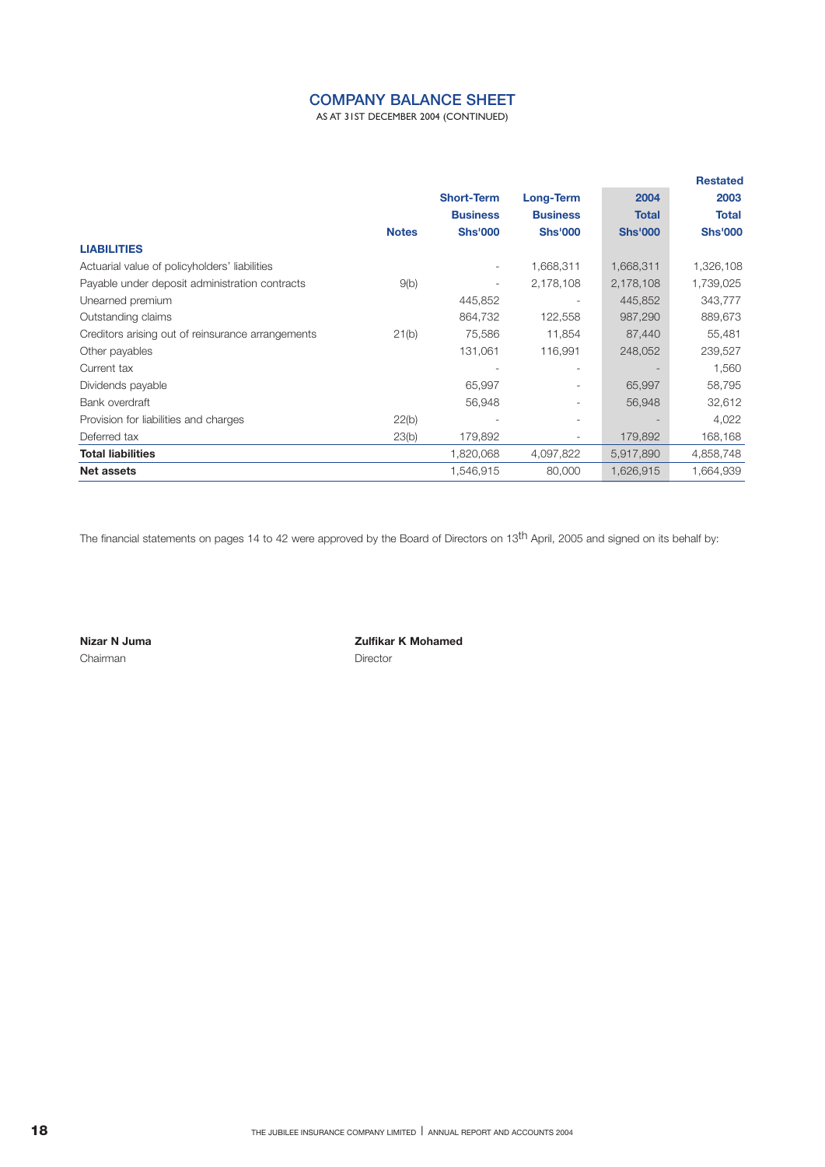## **COMPANY BALANCE SHEET**

AS AT 31ST DECEMBER 2004 (CONTINUED)

|                                                   |              |                   |                 |                | <b>Restated</b> |
|---------------------------------------------------|--------------|-------------------|-----------------|----------------|-----------------|
|                                                   |              | <b>Short-Term</b> | Long-Term       | 2004           | 2003            |
|                                                   |              | <b>Business</b>   | <b>Business</b> | <b>Total</b>   | <b>Total</b>    |
|                                                   | <b>Notes</b> | <b>Shs'000</b>    | <b>Shs'000</b>  | <b>Shs'000</b> | <b>Shs'000</b>  |
| <b>LIABILITIES</b>                                |              |                   |                 |                |                 |
| Actuarial value of policyholders' liabilities     |              |                   | 1,668,311       | 1,668,311      | 1,326,108       |
| Payable under deposit administration contracts    | 9(b)         |                   | 2,178,108       | 2,178,108      | 1,739,025       |
| Unearned premium                                  |              | 445,852           |                 | 445,852        | 343,777         |
| Outstanding claims                                |              | 864,732           | 122,558         | 987,290        | 889,673         |
| Creditors arising out of reinsurance arrangements | 21(b)        | 75,586            | 11,854          | 87,440         | 55,481          |
| Other payables                                    |              | 131,061           | 116,991         | 248,052        | 239,527         |
| Current tax                                       |              |                   |                 |                | 1,560           |
| Dividends payable                                 |              | 65,997            |                 | 65,997         | 58,795          |
| Bank overdraft                                    |              | 56,948            |                 | 56,948         | 32,612          |
| Provision for liabilities and charges             | 22(b)        |                   |                 |                | 4,022           |
| Deferred tax                                      | 23(b)        | 179,892           | ۰.              | 179,892        | 168,168         |
| <b>Total liabilities</b>                          |              | 1,820,068         | 4,097,822       | 5,917,890      | 4,858,748       |
| <b>Net assets</b>                                 |              | 1,546,915         | 80,000          | 1,626,915      | 1,664,939       |

The financial statements on pages 14 to 42 were approved by the Board of Directors on 13<sup>th</sup> April, 2005 and signed on its behalf by:

Chairman **Director** 

**Nizar N Juma Zulfikar K Mohamed**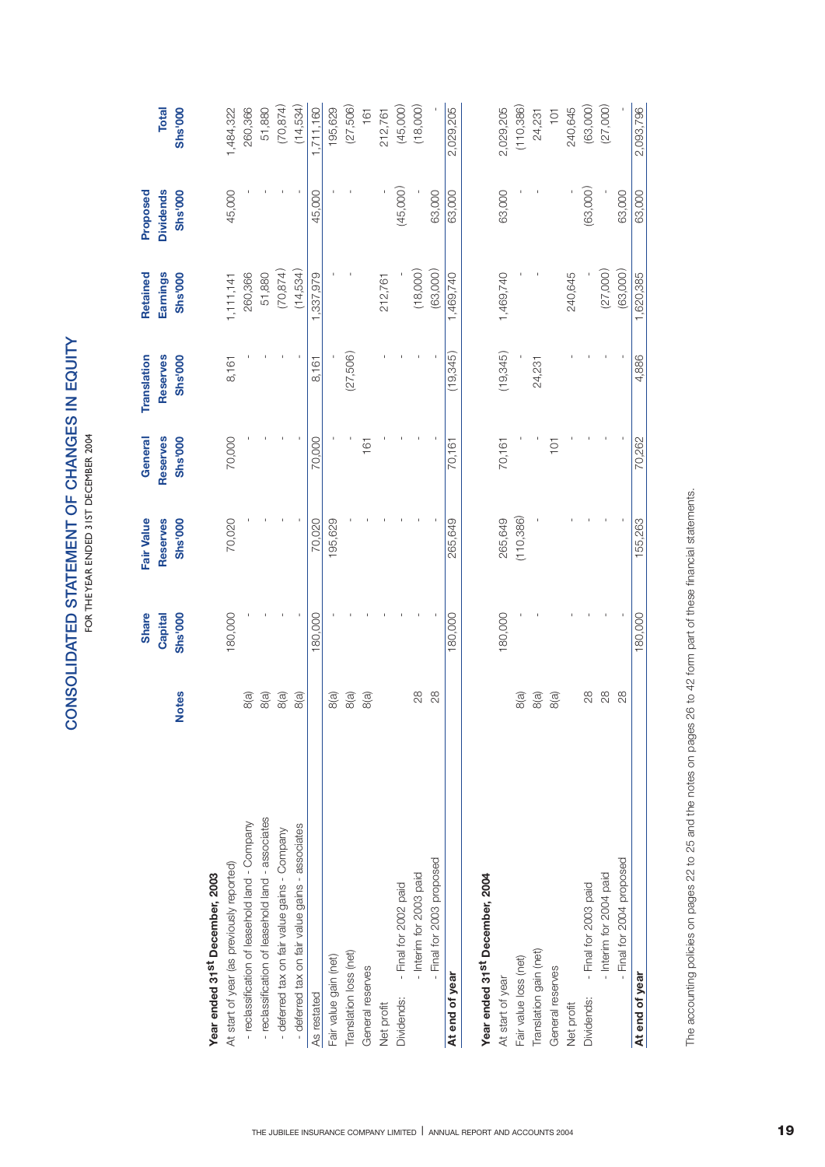|                                                   | <b>Notes</b>  | <b>Share</b><br>Capital<br><b>Shs'000</b> | Fair Value<br>Reserves<br><b>Shs'000</b> | Reserves<br><b>Shs'000</b><br>General | Translation<br>Reserves<br><b>Shs'000</b> | Earnings<br><b>Shs'000</b><br>Retained | Shs'000<br>Proposed<br><b>Dividends</b> | <b>Total</b><br><b>Shs'000</b> |
|---------------------------------------------------|---------------|-------------------------------------------|------------------------------------------|---------------------------------------|-------------------------------------------|----------------------------------------|-----------------------------------------|--------------------------------|
| Year ended 31 <sup>st</sup> December, 2003        |               |                                           |                                          |                                       |                                           |                                        |                                         |                                |
| At start of year (as previously reported)         |               | 180,000                                   | 70,020                                   | 70,000                                | 8,161                                     | 1,111,141                              | 45,000                                  | 1,484,322                      |
| - reclassification of leasehold land - Company    | 8(a)          |                                           |                                          |                                       |                                           | 260,366                                |                                         | 260,366                        |
| - reclassification of leasehold land - associates | 8(a)          |                                           |                                          |                                       |                                           | 51,880                                 |                                         | 51,880                         |
| - deferred tax on fair value gains - Company      | 8(a)          |                                           |                                          |                                       |                                           | (70, 874)                              |                                         | (70, 874)                      |
| - deferred tax on fair value gains - associates   | 8(a)          |                                           |                                          |                                       |                                           | (14,534)                               |                                         | (14,534)                       |
| As restated                                       |               | 180,000                                   | 70,020                                   | 70,000                                | 8,161                                     | 1,337,979                              | 45,000                                  | 1,711,160                      |
| Fair value gain (net)                             | 8(a)          |                                           | 195,629                                  |                                       |                                           |                                        |                                         | 195,629                        |
| Translation loss (net)                            | 8(a)          |                                           |                                          |                                       | (27,506)                                  |                                        |                                         | (27,506)                       |
| General reserves                                  | 8(a)          |                                           |                                          | 161                                   |                                           |                                        |                                         | 161                            |
| Net profit                                        |               |                                           |                                          |                                       |                                           | 212,761                                |                                         | 212,761                        |
| - Final for 2002 paid<br>Dividends:               |               |                                           |                                          |                                       |                                           |                                        | (45,000)                                | (45,000)                       |
| - Interim for 2003 paid                           | $\frac{8}{2}$ |                                           |                                          |                                       |                                           | (18,000)                               |                                         | (18,000)                       |
| - Final for 2003 proposed                         | 28            |                                           |                                          |                                       |                                           | (63,000)                               | 63,000                                  |                                |
| At end of year                                    |               | 180,000                                   | 265,649                                  | 70,161                                | (19, 345)                                 | 1,469,740                              | 63,000                                  | 2,029,205                      |
| Year ended 31 <sup>st</sup> December, 2004        |               |                                           |                                          |                                       |                                           |                                        |                                         |                                |
| At start of year                                  |               | 180,000                                   | 265,649                                  | 70,161                                | (19, 345)                                 | 1,469,740                              | 63,000                                  | 2,029,205                      |
| Fair value loss (net)                             | 8(a)          |                                           | (110, 386)                               |                                       |                                           |                                        |                                         | (110,386)                      |
| Translation gain (net)                            | 8(a)          |                                           |                                          |                                       | 24,231                                    |                                        |                                         | 24,231                         |
| General reserves                                  | 8(a)          |                                           |                                          | $\overline{C}$                        |                                           |                                        |                                         | $\overline{101}$               |
| Net profit                                        |               |                                           |                                          |                                       |                                           | 240,645                                |                                         | 240,645                        |
| - Final for 2003 paid<br>Dividends:               | 28            |                                           |                                          |                                       |                                           |                                        | (63,000)                                | (63,000)                       |
| - Interim for 2004 paid                           | 28            |                                           |                                          |                                       |                                           | (27,000)                               |                                         | (27,000)                       |
| - Final for 2004 proposed                         | 28            |                                           |                                          |                                       |                                           | (63,000)                               | 63,000                                  |                                |
| At end of year                                    |               | 180,000                                   | 155,263                                  | 70,262                                | 4,886                                     | 1,620,385                              | 63,000                                  | 2,093,796                      |

The accounting policies on pages 22 to 25 and the notes on pages 26 to 42 form part of these financial statements. The accounting policies on pages 22 to 25 and the notes on pages 26 to 42 form part of these financial statements.

FOR THE YEAR ENDED 31ST DECEMBER 2004 FOR THE YEAR ENDED 31ST DECEMBER 2004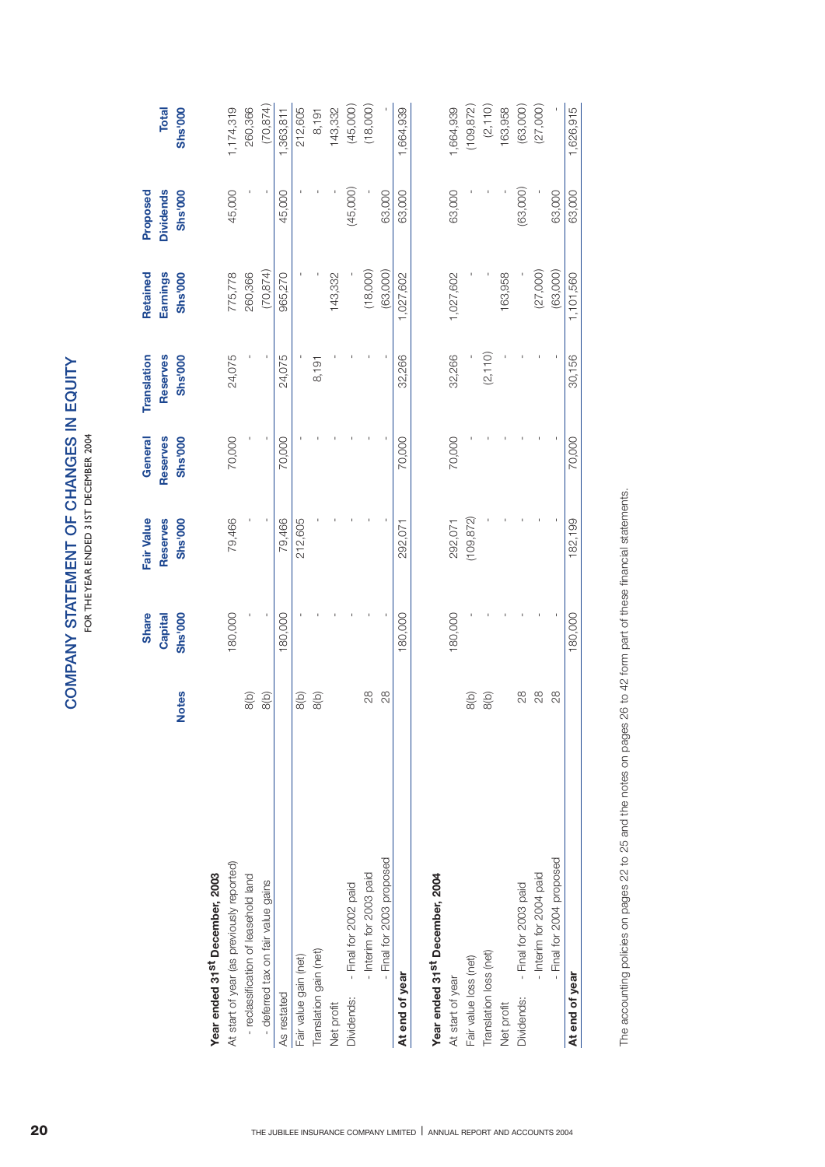|                                            |              | Share<br>Capital | Fair Value<br>Reserves | General<br>Reserves | Translation<br>Reserves | Retained<br>Earnings | <b>Dividends</b><br>Proposed | <b>Total</b> |
|--------------------------------------------|--------------|------------------|------------------------|---------------------|-------------------------|----------------------|------------------------------|--------------|
|                                            | <b>Notes</b> | <b>Shs'000</b>   | <b>Shs'000</b>         | Shs'000             | <b>Shs'000</b>          | <b>Shs'000</b>       | Shs'000                      | Shs'000      |
| Year ended 31st December, 2003             |              |                  |                        |                     |                         |                      |                              |              |
| At start of year (as previously reported)  |              | 180,000          | 79,466                 | 70,000              | 24,075                  | 775,778              | 45,000                       | 1,174,319    |
| - reclassification of leasehold land       | 8(b)         |                  |                        |                     |                         | 260,366              |                              | 260,366      |
| - deferred tax on fair value gains         | 8(b)         |                  |                        |                     |                         | (70, 874)            |                              | (70, 874)    |
| As restated                                |              | 180,000          | 79,466                 | 70,000              | 24,075                  | 965,270              | 45,000                       | 1,363,811    |
| Fair value gain (net)                      | 8(b)         |                  | 212,605                |                     |                         |                      |                              | 212,605      |
| Translation gain (net)                     | 8(b)         |                  |                        |                     | 8,191                   |                      |                              | 8,191        |
| Net profit                                 |              |                  |                        |                     |                         | 143,332              |                              | 143,332      |
| - Final for 2002 paid<br>Dividends:        |              |                  |                        |                     |                         |                      | (45,000)                     | (45,000)     |
| - Interim for 2003 paid                    | 28           |                  |                        |                     |                         | (18,000)             |                              | (18,000)     |
| - Final for 2003 proposed                  | 28           |                  |                        |                     |                         | (63,000)             | 63,000                       |              |
| At end of year                             |              | 180,000          | 292,071                | 70,000              | 32,266                  | 1,027,602            | 63,000                       | 1,664,939    |
| Year ended 31 <sup>St</sup> December, 2004 |              |                  |                        |                     |                         |                      |                              |              |
| At start of year                           |              | 180,000          | 292,071                | 70,000              | 32,266                  | 1,027,602            | 63,000                       | 1,664,939    |
| Fair value loss (net)                      | 8(b)         |                  | (109, 872)             |                     |                         |                      |                              | (109, 872)   |
| Translation loss (net)                     | 8(b)         |                  |                        |                     | (2, 110)                |                      |                              | (2, 110)     |
| Net profit                                 |              |                  |                        |                     |                         | 163,958              |                              | 163,958      |
| - Final for 2003 paid<br>Dividends:        | 28           |                  |                        |                     |                         |                      | (63,000)                     | (63,000)     |
| - Interim for 2004 paid                    | 28           |                  |                        |                     |                         | (27,000)             |                              | (27,000)     |
| - Final for 2004 proposed                  | 28           |                  |                        |                     |                         | (63,000)             | 63,000                       |              |
| At end of year                             |              | 180,000          | 182,199                | 70,000              | 30,156                  | 1,101,560            | 63,000                       | 1,626,915    |
|                                            |              |                  |                        |                     |                         |                      |                              |              |

The accounting policies on pages 22 to 25 and the notes on pages 26 to 42 form part of these financial statements. The accounting policies on pages 22 to 25 and the notes on pages 26 to 42 form part of these financial statements.

**COMPANY STATEMENT OF CHANGES IN EQUITY** FOR THE YEAR ENDED 31ST DECEMBER 2004

COMPANY STATEMENT OF CHANGES IN EQUITY FOR THE YEAR ENDED 31ST DECEMBER 2004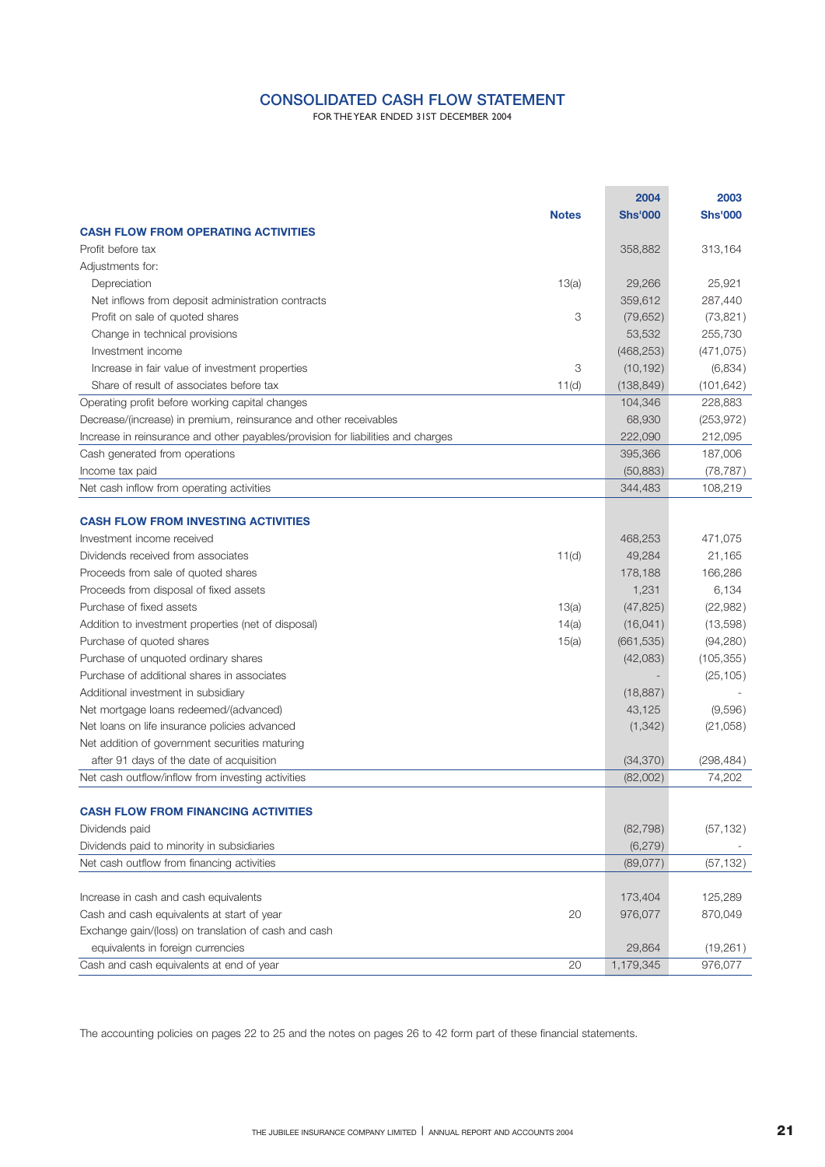## **CONSOLIDATED CASH FLOW STATEMENT**

FOR THE YEAR ENDED 31ST DECEMBER 2004

|                                                                                  |              | 2004           | 2003           |
|----------------------------------------------------------------------------------|--------------|----------------|----------------|
|                                                                                  | <b>Notes</b> | <b>Shs'000</b> | <b>Shs'000</b> |
| <b>CASH FLOW FROM OPERATING ACTIVITIES</b>                                       |              |                |                |
| Profit before tax                                                                |              | 358,882        | 313,164        |
| Adjustments for:                                                                 |              |                |                |
| Depreciation                                                                     | 13(a)        | 29.266         | 25.921         |
| Net inflows from deposit administration contracts                                |              | 359,612        | 287,440        |
| Profit on sale of quoted shares                                                  | 3            | (79, 652)      | (73, 821)      |
| Change in technical provisions                                                   |              | 53,532         | 255,730        |
| Investment income                                                                |              | (468, 253)     | (471, 075)     |
| Increase in fair value of investment properties                                  | 3            | (10, 192)      | (6,834)        |
| Share of result of associates before tax                                         | 11(d)        | (138, 849)     | (101, 642)     |
| Operating profit before working capital changes                                  |              | 104,346        | 228,883        |
| Decrease/(increase) in premium, reinsurance and other receivables                |              | 68,930         | (253, 972)     |
| Increase in reinsurance and other payables/provision for liabilities and charges |              | 222,090        | 212,095        |
| Cash generated from operations                                                   |              | 395,366        | 187,006        |
| Income tax paid                                                                  |              | (50, 883)      | (78, 787)      |
| Net cash inflow from operating activities                                        |              | 344,483        | 108,219        |
|                                                                                  |              |                |                |
| <b>CASH FLOW FROM INVESTING ACTIVITIES</b>                                       |              |                |                |
| Investment income received                                                       |              | 468,253        | 471,075        |
| Dividends received from associates                                               | 11(d)        | 49,284         | 21,165         |
| Proceeds from sale of quoted shares                                              |              | 178,188        | 166,286        |
| Proceeds from disposal of fixed assets                                           |              | 1,231          | 6,134          |
| Purchase of fixed assets                                                         | 13(a)        | (47, 825)      | (22,982)       |
| Addition to investment properties (net of disposal)                              | 14(a)        | (16, 041)      | (13,598)       |
| Purchase of quoted shares                                                        | 15(a)        | (661, 535)     | (94, 280)      |
| Purchase of unquoted ordinary shares                                             |              | (42,083)       | (105, 355)     |
| Purchase of additional shares in associates                                      |              |                | (25, 105)      |
| Additional investment in subsidiary                                              |              | (18, 887)      |                |
| Net mortgage loans redeemed/(advanced)                                           |              | 43,125         | (9,596)        |
| Net loans on life insurance policies advanced                                    |              | (1, 342)       | (21,058)       |
| Net addition of government securities maturing                                   |              |                |                |
| after 91 days of the date of acquisition                                         |              | (34, 370)      | (298, 484)     |
| Net cash outflow/inflow from investing activities                                |              | (82,002)       | 74,202         |
|                                                                                  |              |                |                |
| <b>CASH FLOW FROM FINANCING ACTIVITIES</b>                                       |              |                |                |
| Dividends paid                                                                   |              | (82, 798)      | (57, 132)      |
| Dividends paid to minority in subsidiaries                                       |              | (6, 279)       |                |
| Net cash outflow from financing activities                                       |              | (89,077)       | (57, 132)      |
|                                                                                  |              |                |                |
| Increase in cash and cash equivalents                                            |              | 173,404        | 125,289        |
| Cash and cash equivalents at start of year                                       | 20           | 976,077        | 870,049        |
| Exchange gain/(loss) on translation of cash and cash                             |              |                |                |
| equivalents in foreign currencies                                                |              | 29,864         | (19, 261)      |
| Cash and cash equivalents at end of year                                         | 20           | 1,179,345      | 976,077        |
|                                                                                  |              |                |                |

The accounting policies on pages 22 to 25 and the notes on pages 26 to 42 form part of these financial statements.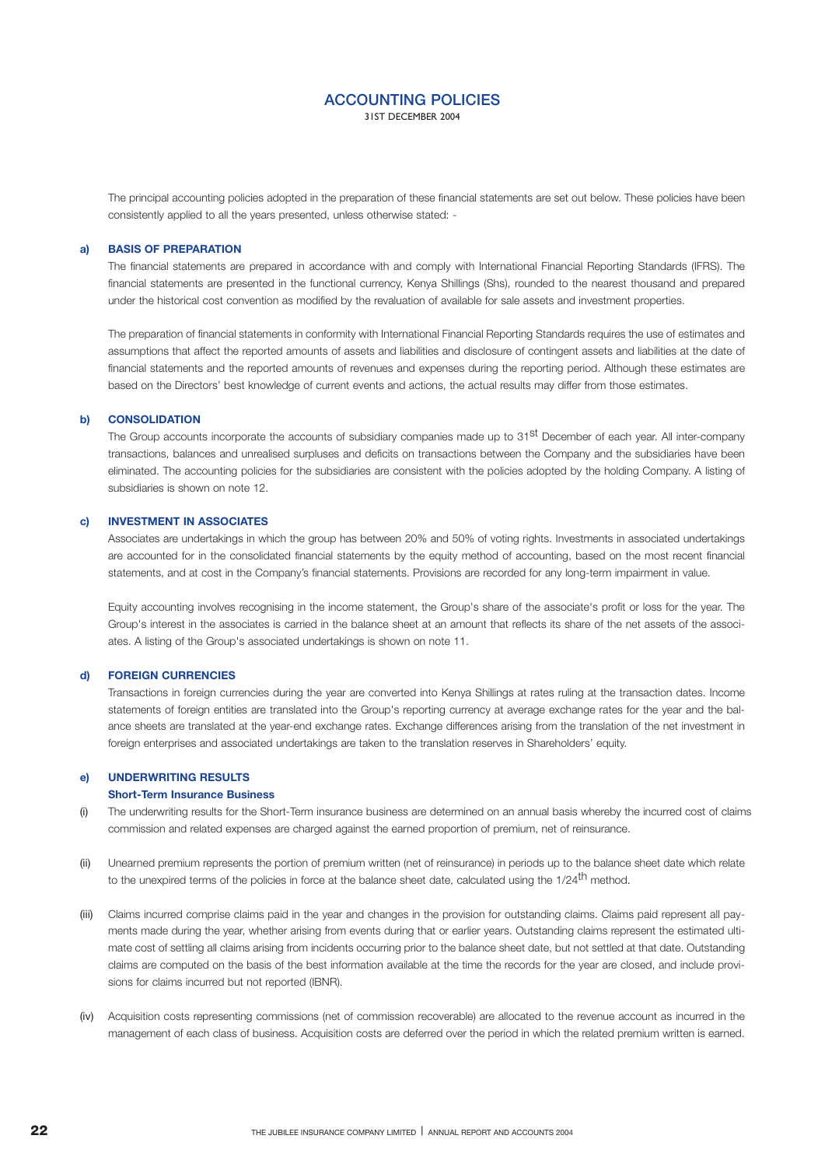31ST DECEMBER 2004

The principal accounting policies adopted in the preparation of these financial statements are set out below. These policies have been consistently applied to all the years presented, unless otherwise stated: -

#### **BASIS OF PREPARATION a)**

The financial statements are prepared in accordance with and comply with International Financial Reporting Standards (IFRS). The financial statements are presented in the functional currency, Kenya Shillings (Shs), rounded to the nearest thousand and prepared under the historical cost convention as modified by the revaluation of available for sale assets and investment properties.

The preparation of financial statements in conformity with International Financial Reporting Standards requires the use of estimates and assumptions that affect the reported amounts of assets and liabilities and disclosure of contingent assets and liabilities at the date of financial statements and the reported amounts of revenues and expenses during the reporting period. Although these estimates are based on the Directors' best knowledge of current events and actions, the actual results may differ from those estimates.

#### **CONSOLIDATION b)**

The Group accounts incorporate the accounts of subsidiary companies made up to 31<sup>st</sup> December of each year. All inter-company transactions, balances and unrealised surpluses and deficits on transactions between the Company and the subsidiaries have been eliminated. The accounting policies for the subsidiaries are consistent with the policies adopted by the holding Company. A listing of subsidiaries is shown on note 12.

#### **INVESTMENT IN ASSOCIATES c)**

Associates are undertakings in which the group has between 20% and 50% of voting rights. Investments in associated undertakings are accounted for in the consolidated financial statements by the equity method of accounting, based on the most recent financial statements, and at cost in the Company's financial statements. Provisions are recorded for any long-term impairment in value.

Equity accounting involves recognising in the income statement, the Group's share of the associate's profit or loss for the year. The Group's interest in the associates is carried in the balance sheet at an amount that reflects its share of the net assets of the associates. A listing of the Group's associated undertakings is shown on note 11.

#### **FOREIGN CURRENCIES d)**

Transactions in foreign currencies during the year are converted into Kenya Shillings at rates ruling at the transaction dates. Income statements of foreign entities are translated into the Group's reporting currency at average exchange rates for the year and the balance sheets are translated at the year-end exchange rates. Exchange differences arising from the translation of the net investment in foreign enterprises and associated undertakings are taken to the translation reserves in Shareholders' equity.

#### **UNDERWRITING RESULTS e)**

## **Short-Term Insurance Business**

- The underwriting results for the Short-Term insurance business are determined on an annual basis whereby the incurred cost of claims commission and related expenses are charged against the earned proportion of premium, net of reinsurance. (i)
- Unearned premium represents the portion of premium written (net of reinsurance) in periods up to the balance sheet date which relate to the unexpired terms of the policies in force at the balance sheet date, calculated using the 1/24<sup>th</sup> method. (ii)
- Claims incurred comprise claims paid in the year and changes in the provision for outstanding claims. Claims paid represent all payments made during the year, whether arising from events during that or earlier years. Outstanding claims represent the estimated ultimate cost of settling all claims arising from incidents occurring prior to the balance sheet date, but not settled at that date. Outstanding claims are computed on the basis of the best information available at the time the records for the year are closed, and include provisions for claims incurred but not reported (IBNR). (iii)
- Acquisition costs representing commissions (net of commission recoverable) are allocated to the revenue account as incurred in the (iv)management of each class of business. Acquisition costs are deferred over the period in which the related premium written is earned.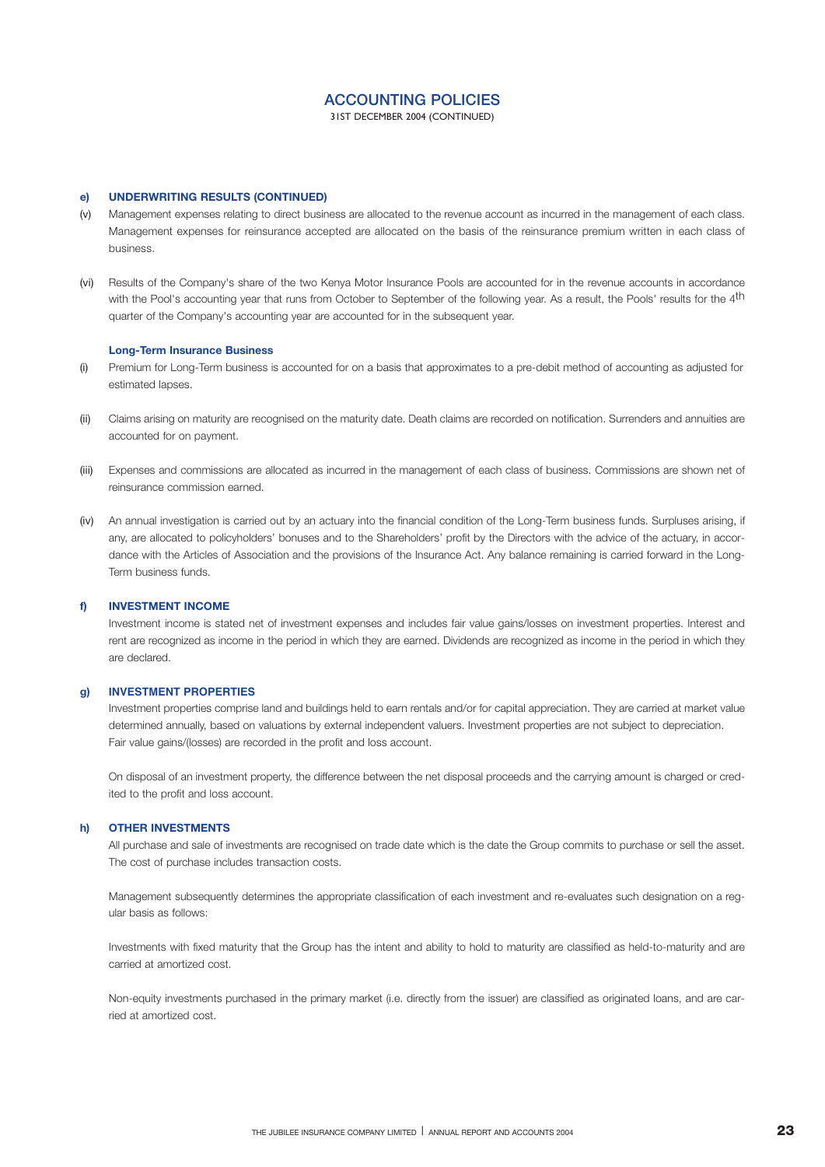31ST DECEMBER 2004 (CONTINUED)

#### **UNDERWRITING RESULTS (CONTINUED) e)**

- Management expenses relating to direct business are allocated to the revenue account as incurred in the management of each class. Management expenses for reinsurance accepted are allocated on the basis of the reinsurance premium written in each class of business. (v)
- (vi) Results of the Company's share of the two Kenya Motor Insurance Pools are accounted for in the revenue accounts in accordance with the Pool's accounting year that runs from October to September of the following year. As a result, the Pools' results for the 4<sup>th</sup> quarter of the Company's accounting year are accounted for in the subsequent year.

### **Long-Term Insurance Business**

- Premium for Long-Term business is accounted for on a basis that approximates to a pre-debit method of accounting as adjusted for estimated lapses. (i)
- Claims arising on maturity are recognised on the maturity date. Death claims are recorded on notification. Surrenders and annuities are accounted for on payment. (ii)
- Expenses and commissions are allocated as incurred in the management of each class of business. Commissions are shown net of reinsurance commission earned. (iii)
- An annual investigation is carried out by an actuary into the financial condition of the Long-Term business funds. Surpluses arising, if (iv) any, are allocated to policyholders' bonuses and to the Shareholders' profit by the Directors with the advice of the actuary, in accordance with the Articles of Association and the provisions of the Insurance Act. Any balance remaining is carried forward in the Long-Term business funds.

#### **INVESTMENT INCOME f)**

Investment income is stated net of investment expenses and includes fair value gains/losses on investment properties. Interest and rent are recognized as income in the period in which they are earned. Dividends are recognized as income in the period in which they are declared.

#### **INVESTMENT PROPERTIES g)**

Investment properties comprise land and buildings held to earn rentals and/or for capital appreciation. They are carried at market value determined annually, based on valuations by external independent valuers. Investment properties are not subject to depreciation. Fair value gains/(losses) are recorded in the profit and loss account.

On disposal of an investment property, the difference between the net disposal proceeds and the carrying amount is charged or credited to the profit and loss account.

#### **OTHER INVESTMENTS h)**

All purchase and sale of investments are recognised on trade date which is the date the Group commits to purchase or sell the asset. The cost of purchase includes transaction costs.

Management subsequently determines the appropriate classification of each investment and re-evaluates such designation on a regular basis as follows:

Investments with fixed maturity that the Group has the intent and ability to hold to maturity are classified as held-to-maturity and are carried at amortized cost.

Non-equity investments purchased in the primary market (i.e. directly from the issuer) are classified as originated loans, and are carried at amortized cost.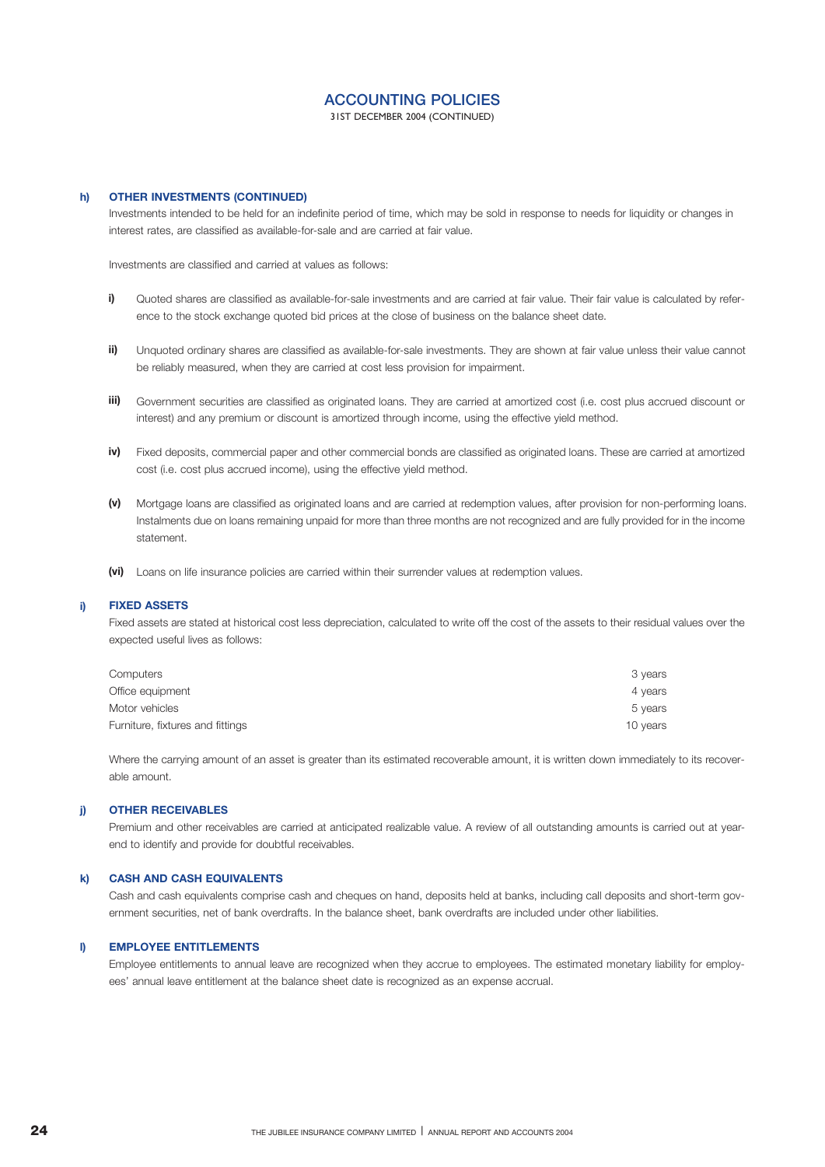31ST DECEMBER 2004 (CONTINUED)

#### **h) OTHER INVESTMENTS (CONTINUED)**

Investments intended to be held for an indefinite period of time, which may be sold in response to needs for liquidity or changes in interest rates, are classified as available-for-sale and are carried at fair value.

Investments are classified and carried at values as follows:

- Quoted shares are classified as available-for-sale investments and are carried at fair value. Their fair value is calculated by reference to the stock exchange quoted bid prices at the close of business on the balance sheet date. **i)**
- Unquoted ordinary shares are classified as available-for-sale investments. They are shown at fair value unless their value cannot be reliably measured, when they are carried at cost less provision for impairment. **ii)**
- Government securities are classified as originated loans. They are carried at amortized cost (i.e. cost plus accrued discount or interest) and any premium or discount is amortized through income, using the effective yield method. **iii)**
- Fixed deposits, commercial paper and other commercial bonds are classified as originated loans. These are carried at amortized cost (i.e. cost plus accrued income), using the effective yield method. **iv)**
- Mortgage loans are classified as originated loans and are carried at redemption values, after provision for non-performing loans. **(v)** Instalments due on loans remaining unpaid for more than three months are not recognized and are fully provided for in the income statement.
- Loans on life insurance policies are carried within their surrender values at redemption values. **(vi)**

#### **i) FIXED ASSETS**

Fixed assets are stated at historical cost less depreciation, calculated to write off the cost of the assets to their residual values over the expected useful lives as follows:

| Computers                        | 3 years  |
|----------------------------------|----------|
| Office equipment                 | 4 vears  |
| Motor vehicles                   | 5 years  |
| Furniture, fixtures and fittings | 10 years |

Where the carrying amount of an asset is greater than its estimated recoverable amount, it is written down immediately to its recoverable amount.

#### **j) OTHER RECEIVABLES**

Premium and other receivables are carried at anticipated realizable value. A review of all outstanding amounts is carried out at yearend to identify and provide for doubtful receivables.

#### **k) CASH AND CASH EQUIVALENTS**

Cash and cash equivalents comprise cash and cheques on hand, deposits held at banks, including call deposits and short-term government securities, net of bank overdrafts. In the balance sheet, bank overdrafts are included under other liabilities.

#### **l) EMPLOYEE ENTITLEMENTS**

Employee entitlements to annual leave are recognized when they accrue to employees. The estimated monetary liability for employees' annual leave entitlement at the balance sheet date is recognized as an expense accrual.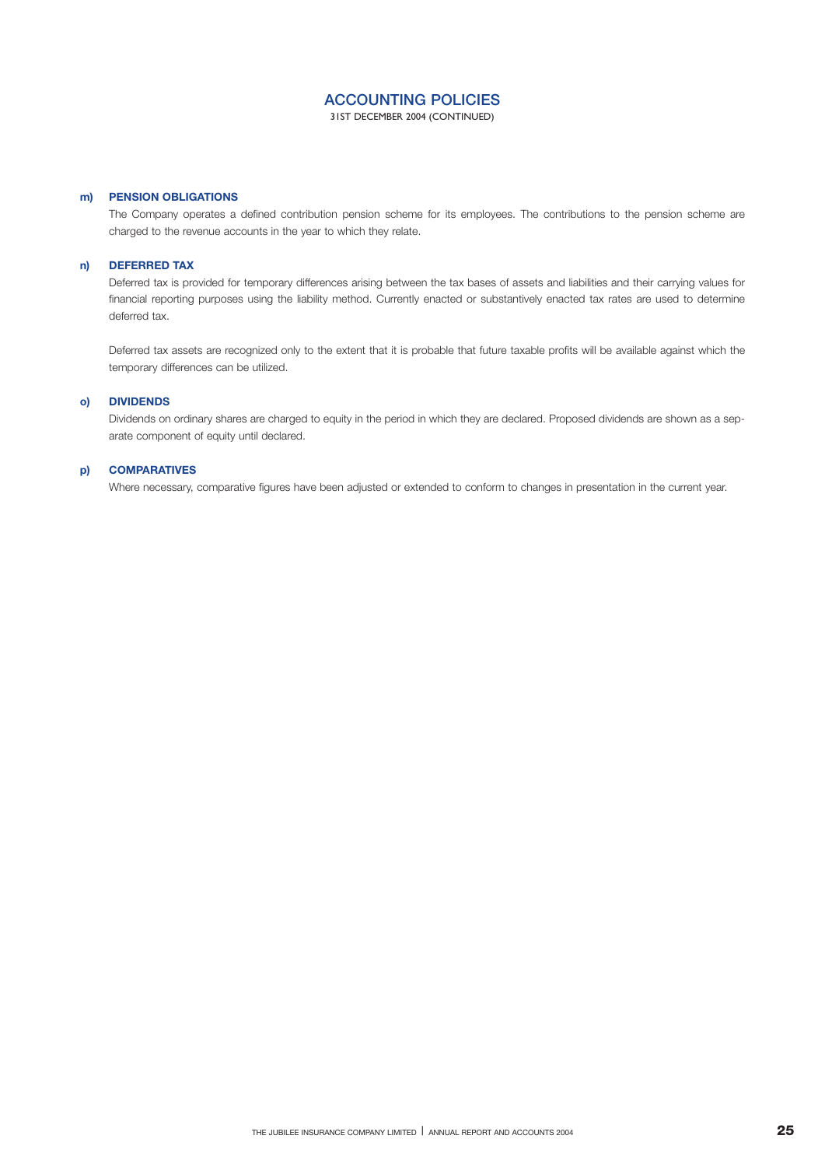31ST DECEMBER 2004 (CONTINUED)

### **PENSION OBLIGATIONS m)**

The Company operates a defined contribution pension scheme for its employees. The contributions to the pension scheme are charged to the revenue accounts in the year to which they relate.

#### **DEFERRED TAX n)**

Deferred tax is provided for temporary differences arising between the tax bases of assets and liabilities and their carrying values for financial reporting purposes using the liability method. Currently enacted or substantively enacted tax rates are used to determine deferred tax.

Deferred tax assets are recognized only to the extent that it is probable that future taxable profits will be available against which the temporary differences can be utilized.

#### **DIVIDENDS o)**

Dividends on ordinary shares are charged to equity in the period in which they are declared. Proposed dividends are shown as a separate component of equity until declared.

#### **COMPARATIVES p)**

Where necessary, comparative figures have been adjusted or extended to conform to changes in presentation in the current year.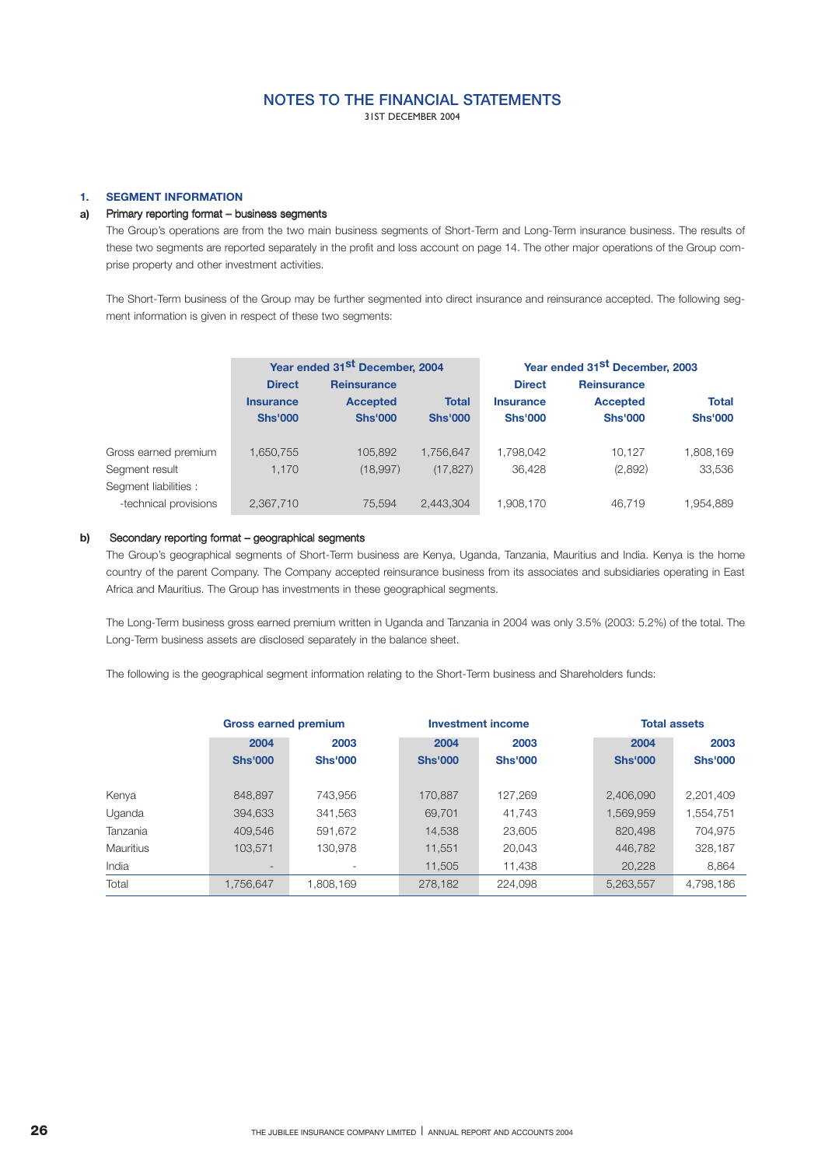31ST DECEMBER 2004

### 1. **SEGMENT INFORMATION**

#### Primary reporting format – business segments **a)**

The Group's operations are from the two main business segments of Short-Term and Long-Term insurance business. The results of these two segments are reported separately in the profit and loss account on page 14. The other major operations of the Group comprise property and other investment activities.

The Short-Term business of the Group may be further segmented into direct insurance and reinsurance accepted. The following segment information is given in respect of these two segments:

|                       |                  | Year ended 31 <sup>st</sup> December, 2004 |                |                  | Year ended 31 <sup>st</sup> December, 2003 |                |
|-----------------------|------------------|--------------------------------------------|----------------|------------------|--------------------------------------------|----------------|
|                       | <b>Direct</b>    | <b>Reinsurance</b>                         |                | <b>Direct</b>    | <b>Reinsurance</b>                         |                |
|                       | <b>Insurance</b> | <b>Accepted</b>                            | <b>Total</b>   | <b>Insurance</b> | <b>Accepted</b>                            | <b>Total</b>   |
|                       | <b>Shs'000</b>   | <b>Shs'000</b>                             | <b>Shs'000</b> | <b>Shs'000</b>   | <b>Shs'000</b>                             | <b>Shs'000</b> |
|                       |                  |                                            |                |                  |                                            |                |
| Gross earned premium  | 1,650,755        | 105.892                                    | 1.756.647      | 1.798.042        | 10.127                                     | 1,808,169      |
| Segment result        | 1.170            | (18,997)                                   | (17, 827)      | 36.428           | (2,892)                                    | 33,536         |
| Segment liabilities : |                  |                                            |                |                  |                                            |                |
| -technical provisions | 2.367.710        | 75.594                                     | 2.443.304      | 1.908.170        | 46.719                                     | 1.954.889      |

#### Secondary reporting format – geographical segments **b)**

The Group's geographical segments of Short-Term business are Kenya, Uganda, Tanzania, Mauritius and India. Kenya is the home country of the parent Company. The Company accepted reinsurance business from its associates and subsidiaries operating in East Africa and Mauritius. The Group has investments in these geographical segments.

The Long-Term business gross earned premium written in Uganda and Tanzania in 2004 was only 3.5% (2003: 5.2%) of the total. The Long-Term business assets are disclosed separately in the balance sheet.

The following is the geographical segment information relating to the Short-Term business and Shareholders funds:

|                  | <b>Gross earned premium</b> |                |                | <b>Investment income</b> | <b>Total assets</b> |                |
|------------------|-----------------------------|----------------|----------------|--------------------------|---------------------|----------------|
|                  | 2004                        | 2003           | 2004           | 2003                     | 2004                | 2003           |
|                  | <b>Shs'000</b>              | <b>Shs'000</b> | <b>Shs'000</b> | <b>Shs'000</b>           | <b>Shs'000</b>      | <b>Shs'000</b> |
|                  |                             |                |                |                          |                     |                |
| Kenya            | 848,897                     | 743.956        | 170.887        | 127,269                  | 2,406,090           | 2,201,409      |
| Uganda           | 394,633                     | 341,563        | 69,701         | 41,743                   | 1,569,959           | 1,554,751      |
| Tanzania         | 409,546                     | 591.672        | 14,538         | 23,605                   | 820,498             | 704,975        |
| <b>Mauritius</b> | 103,571                     | 130.978        | 11,551         | 20,043                   | 446,782             | 328,187        |
| India            | $\overline{\phantom{a}}$    | ۰              | 11,505         | 11,438                   | 20,228              | 8,864          |
| Total            | 1,756,647                   | 1,808,169      | 278,182        | 224,098                  | 5,263,557           | 4,798,186      |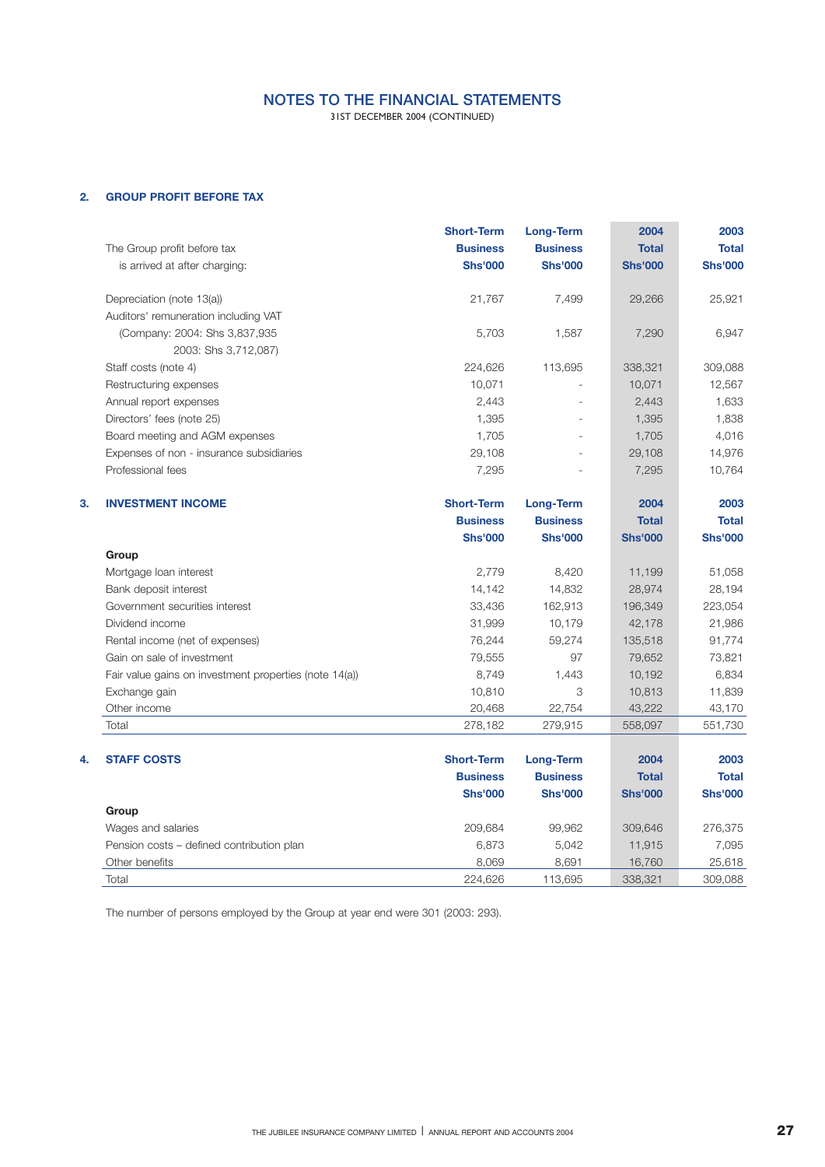31ST DECEMBER 2004 (CONTINUED)

## **2. GROUP PROFIT BEFORE TAX**

|    | The Group profit before tax<br>is arrived at after charging: | <b>Short-Term</b><br><b>Business</b><br><b>Shs'000</b> | <b>Long-Term</b><br><b>Business</b><br><b>Shs'000</b> | 2004<br><b>Total</b><br><b>Shs'000</b> | 2003<br><b>Total</b><br><b>Shs'000</b> |
|----|--------------------------------------------------------------|--------------------------------------------------------|-------------------------------------------------------|----------------------------------------|----------------------------------------|
|    | Depreciation (note 13(a))                                    | 21,767                                                 | 7,499                                                 | 29,266                                 | 25,921                                 |
|    | Auditors' remuneration including VAT                         |                                                        |                                                       |                                        |                                        |
|    | (Company: 2004: Shs 3,837,935                                | 5,703                                                  | 1,587                                                 | 7,290                                  | 6,947                                  |
|    | 2003: Shs 3,712,087)                                         |                                                        |                                                       |                                        |                                        |
|    | Staff costs (note 4)                                         | 224,626                                                | 113,695                                               | 338,321                                | 309,088                                |
|    | Restructuring expenses                                       | 10,071                                                 |                                                       | 10,071                                 | 12,567                                 |
|    | Annual report expenses                                       | 2,443                                                  |                                                       | 2,443                                  | 1,633                                  |
|    | Directors' fees (note 25)                                    | 1,395                                                  |                                                       | 1,395                                  | 1,838                                  |
|    | Board meeting and AGM expenses                               | 1,705                                                  |                                                       | 1,705                                  | 4,016                                  |
|    | Expenses of non - insurance subsidiaries                     | 29,108                                                 |                                                       | 29,108                                 | 14,976                                 |
|    | Professional fees                                            | 7,295                                                  |                                                       | 7,295                                  | 10,764                                 |
| 3. | <b>INVESTMENT INCOME</b>                                     | <b>Short-Term</b>                                      | <b>Long-Term</b>                                      | 2004                                   | 2003                                   |
|    |                                                              | <b>Business</b>                                        | <b>Business</b>                                       | <b>Total</b>                           | <b>Total</b>                           |
|    |                                                              | <b>Shs'000</b>                                         | <b>Shs'000</b>                                        | <b>Shs'000</b>                         | <b>Shs'000</b>                         |
|    | Group                                                        |                                                        |                                                       |                                        |                                        |
|    | Mortgage loan interest                                       | 2,779                                                  | 8,420                                                 | 11,199                                 | 51,058                                 |
|    | Bank deposit interest                                        | 14,142                                                 | 14,832                                                | 28,974                                 | 28,194                                 |
|    | Government securities interest                               | 33,436                                                 | 162,913                                               | 196,349                                | 223,054                                |
|    | Dividend income                                              | 31,999                                                 | 10,179                                                | 42,178                                 | 21,986                                 |
|    | Rental income (net of expenses)                              | 76,244                                                 | 59,274                                                | 135,518                                | 91,774                                 |
|    | Gain on sale of investment                                   | 79,555                                                 | 97                                                    | 79,652                                 | 73,821                                 |
|    | Fair value gains on investment properties (note 14(a))       | 8,749                                                  | 1,443                                                 | 10,192                                 | 6,834                                  |
|    | Exchange gain                                                | 10,810                                                 | 3                                                     | 10,813                                 | 11,839                                 |
|    | Other income                                                 | 20,468                                                 | 22,754                                                | 43,222                                 | 43,170                                 |
|    | Total                                                        | 278,182                                                | 279,915                                               | 558,097                                | 551,730                                |
| 4. | <b>STAFF COSTS</b>                                           | <b>Short-Term</b>                                      | <b>Long-Term</b>                                      | 2004                                   | 2003                                   |
|    |                                                              | <b>Business</b>                                        | <b>Business</b>                                       | <b>Total</b>                           | <b>Total</b>                           |
|    |                                                              | <b>Shs'000</b>                                         | <b>Shs'000</b>                                        | <b>Shs'000</b>                         | <b>Shs'000</b>                         |
|    | Group                                                        |                                                        |                                                       |                                        |                                        |
|    | Wages and salaries                                           | 209,684                                                | 99,962                                                | 309,646                                | 276,375                                |
|    | Pension costs - defined contribution plan                    | 6,873                                                  | 5,042                                                 | 11,915                                 | 7,095                                  |
|    | Other benefits                                               | 8,069                                                  | 8,691                                                 | 16,760                                 | 25,618                                 |
|    | Total                                                        | 224,626                                                | 113,695                                               | 338,321                                | 309,088                                |

The number of persons employed by the Group at year end were 301 (2003: 293).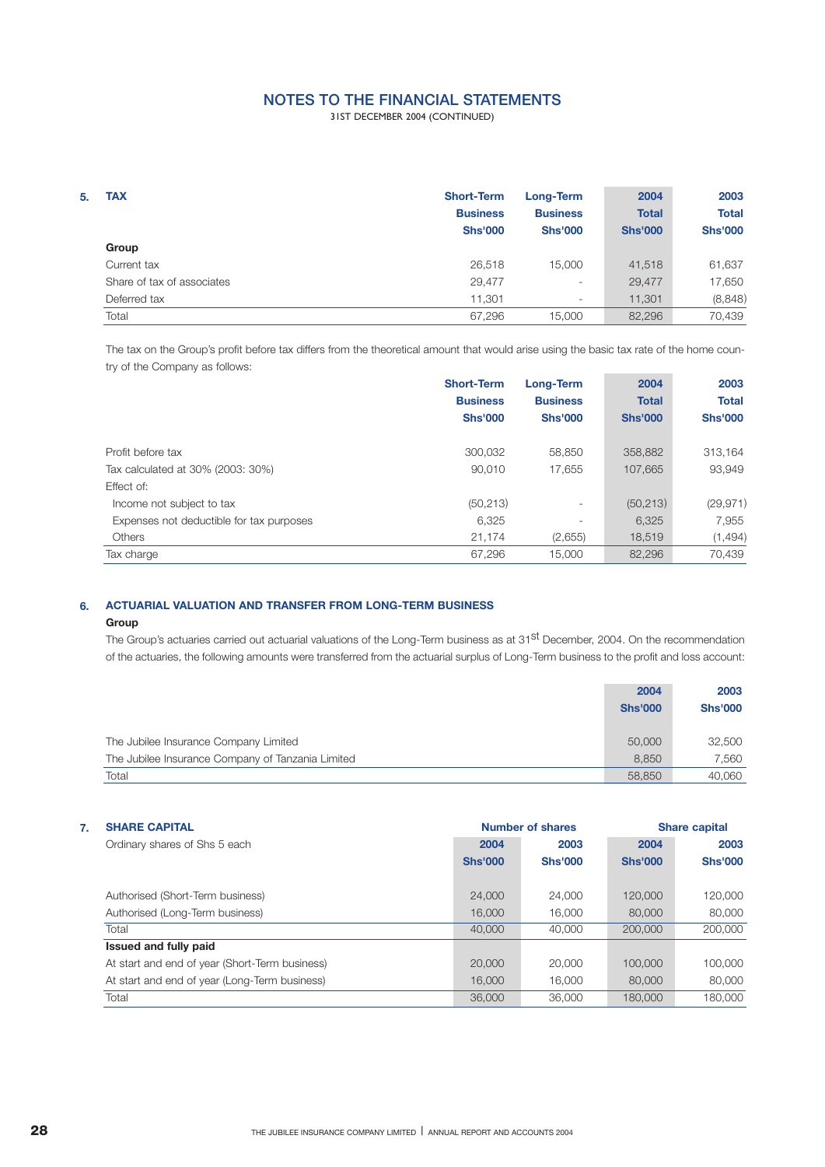31ST DECEMBER 2004 (CONTINUED)

| 5. | <b>TAX</b>                 | <b>Short-Term</b><br><b>Business</b><br><b>Shs'000</b> | Long-Term<br><b>Business</b><br><b>Shs'000</b> | 2004<br><b>Total</b><br><b>Shs'000</b> | 2003<br><b>Total</b><br><b>Shs'000</b> |
|----|----------------------------|--------------------------------------------------------|------------------------------------------------|----------------------------------------|----------------------------------------|
|    | Group                      |                                                        |                                                |                                        |                                        |
|    | Current tax                | 26,518                                                 | 15,000                                         | 41,518                                 | 61,637                                 |
|    | Share of tax of associates | 29,477                                                 | $\overline{\phantom{a}}$                       | 29,477                                 | 17,650                                 |
|    | Deferred tax               | 11,301                                                 | $\overline{\phantom{a}}$                       | 11,301                                 | (8,848)                                |
|    | Total                      | 67,296                                                 | 15.000                                         | 82,296                                 | 70.439                                 |

The tax on the Group's profit before tax differs from the theoretical amount that would arise using the basic tax rate of the home country of the Company as follows: ×. ÷

|                                          | <b>Short-Term</b> | Long-Term                | 2004           | 2003           |
|------------------------------------------|-------------------|--------------------------|----------------|----------------|
|                                          | <b>Business</b>   | <b>Business</b>          | <b>Total</b>   | <b>Total</b>   |
|                                          | <b>Shs'000</b>    | <b>Shs'000</b>           | <b>Shs'000</b> | <b>Shs'000</b> |
|                                          |                   |                          |                |                |
| Profit before tax                        | 300,032           | 58,850                   | 358,882        | 313,164        |
| Tax calculated at 30% (2003: 30%)        | 90,010            | 17,655                   | 107.665        | 93,949         |
| Effect of:                               |                   |                          |                |                |
| Income not subject to tax                | (50, 213)         | $\overline{\phantom{a}}$ | (50, 213)      | (29, 971)      |
| Expenses not deductible for tax purposes | 6,325             | $\overline{\phantom{a}}$ | 6,325          | 7,955          |
| Others                                   | 21,174            | (2,655)                  | 18,519         | (1,494)        |
| Tax charge                               | 67,296            | 15,000                   | 82,296         | 70,439         |

### **ACTUARIAL VALUATION AND TRANSFER FROM LONG-TERM BUSINESS 6.**

### **Group**

The Group's actuaries carried out actuarial valuations of the Long-Term business as at 31<sup>st</sup> December, 2004. On the recommendation of the actuaries, the following amounts were transferred from the actuarial surplus of Long-Term business to the profit and loss account:

|                                                   | 2004           | 2003           |
|---------------------------------------------------|----------------|----------------|
|                                                   | <b>Shs'000</b> | <b>Shs'000</b> |
|                                                   |                |                |
| The Jubilee Insurance Company Limited             | 50,000         | 32,500         |
| The Jubilee Insurance Company of Tanzania Limited | 8.850          | 7.560          |
| Total                                             | 58,850         | 40.060         |

| 7. | <b>SHARE CAPITAL</b>                           |                | <b>Number of shares</b> |                | <b>Share capital</b> |
|----|------------------------------------------------|----------------|-------------------------|----------------|----------------------|
|    | Ordinary shares of Shs 5 each                  | 2004           | 2003                    | 2004           | 2003                 |
|    |                                                | <b>Shs'000</b> | <b>Shs'000</b>          | <b>Shs'000</b> | <b>Shs'000</b>       |
|    |                                                |                |                         |                |                      |
|    | Authorised (Short-Term business)               | 24,000         | 24,000                  | 120,000        | 120,000              |
|    | Authorised (Long-Term business)                | 16,000         | 16,000                  | 80,000         | 80,000               |
|    | Total                                          | 40,000         | 40,000                  | 200,000        | 200,000              |
|    | Issued and fully paid                          |                |                         |                |                      |
|    | At start and end of year (Short-Term business) | 20,000         | 20,000                  | 100,000        | 100,000              |
|    | At start and end of year (Long-Term business)  | 16,000         | 16,000                  | 80,000         | 80,000               |
|    | Total                                          | 36,000         | 36,000                  | 180,000        | 180,000              |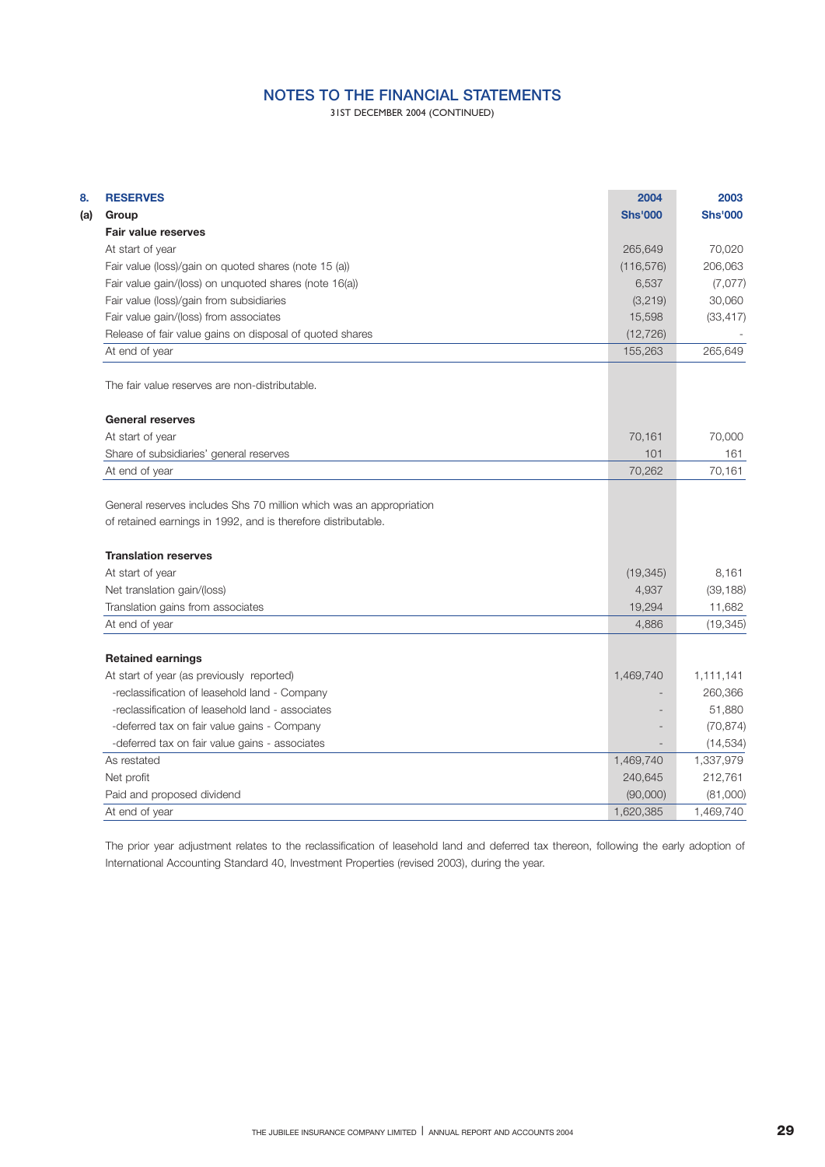31ST DECEMBER 2004 (CONTINUED)

| <b>RESERVES</b>                                                                              | 2004           | 2003           |
|----------------------------------------------------------------------------------------------|----------------|----------------|
| Group                                                                                        | <b>Shs'000</b> | <b>Shs'000</b> |
| <b>Fair value reserves</b>                                                                   |                |                |
| At start of year                                                                             | 265,649        | 70,020         |
| Fair value (loss)/gain on quoted shares (note 15 (a))                                        | (116, 576)     | 206,063        |
| Fair value gain/(loss) on unquoted shares (note 16(a))                                       | 6,537          | (7,077)        |
| Fair value (loss)/gain from subsidiaries                                                     | (3,219)        | 30,060         |
| Fair value gain/(loss) from associates                                                       | 15,598         | (33, 417)      |
| Release of fair value gains on disposal of quoted shares                                     | (12, 726)      |                |
| At end of year                                                                               | 155,263        | 265,649        |
| The fair value reserves are non-distributable.                                               |                |                |
| <b>General reserves</b>                                                                      |                |                |
| At start of year                                                                             | 70,161         | 70,000         |
| Share of subsidiaries' general reserves                                                      | 101            | 161            |
| At end of year                                                                               | 70,262         | 70,161         |
| of retained earnings in 1992, and is therefore distributable.<br><b>Translation reserves</b> |                |                |
| At start of year                                                                             | (19, 345)      | 8,161          |
| Net translation gain/(loss)                                                                  | 4,937          | (39, 188)      |
| Translation gains from associates                                                            | 19,294         | 11,682         |
| At end of year                                                                               | 4,886          | (19, 345)      |
| <b>Retained earnings</b>                                                                     |                |                |
| At start of year (as previously reported)                                                    | 1,469,740      | 1,111,141      |
| -reclassification of leasehold land - Company                                                |                | 260,366        |
| -reclassification of leasehold land - associates                                             |                | 51,880         |
| -deferred tax on fair value gains - Company                                                  |                | (70, 874)      |
| -deferred tax on fair value gains - associates                                               |                | (14, 534)      |
| As restated                                                                                  | 1,469,740      | 1,337,979      |
| Net profit                                                                                   | 240,645        | 212,761        |
| Paid and proposed dividend                                                                   | (90,000)       | (81,000)       |
| At end of year                                                                               | 1,620,385      | 1,469,740      |
|                                                                                              |                |                |

The prior year adjustment relates to the reclassification of leasehold land and deferred tax thereon, following the early adoption of International Accounting Standard 40, Investment Properties (revised 2003), during the year.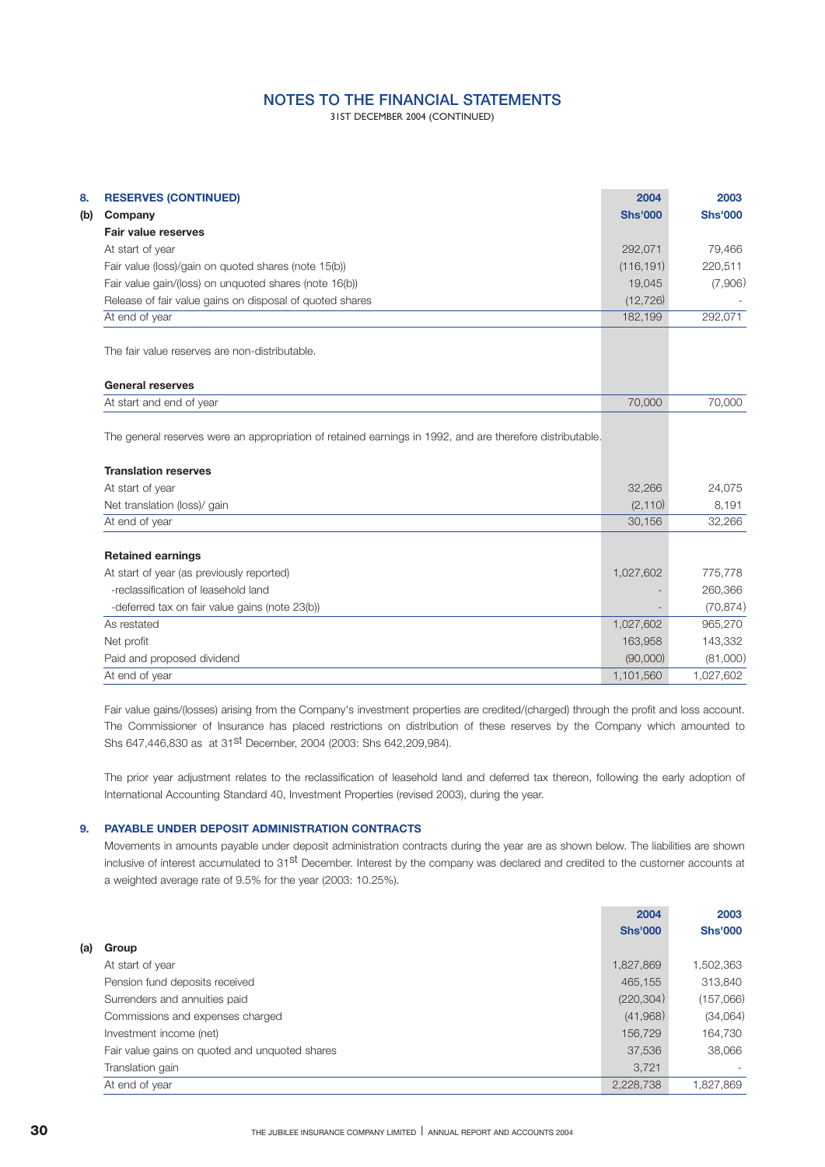31ST DECEMBER 2004 (CONTINUED)

|     |                                                                                                                                                                                                                                                                                                                                                                                                                                                                                                                                                                                                                                                                                                                                                                                       | 2004           | 2003           |
|-----|---------------------------------------------------------------------------------------------------------------------------------------------------------------------------------------------------------------------------------------------------------------------------------------------------------------------------------------------------------------------------------------------------------------------------------------------------------------------------------------------------------------------------------------------------------------------------------------------------------------------------------------------------------------------------------------------------------------------------------------------------------------------------------------|----------------|----------------|
| (b) |                                                                                                                                                                                                                                                                                                                                                                                                                                                                                                                                                                                                                                                                                                                                                                                       | <b>Shs'000</b> | <b>Shs'000</b> |
|     |                                                                                                                                                                                                                                                                                                                                                                                                                                                                                                                                                                                                                                                                                                                                                                                       |                |                |
|     | <b>RESERVES (CONTINUED)</b><br>Company<br><b>Fair value reserves</b><br>At start of year<br>Fair value (loss)/gain on quoted shares (note 15(b))<br>Fair value gain/(loss) on unquoted shares (note 16(b))<br>Release of fair value gains on disposal of quoted shares<br>At end of year<br>The fair value reserves are non-distributable.<br><b>General reserves</b><br>At start and end of year<br>The general reserves were an appropriation of retained earnings in 1992, and are therefore distributable.<br><b>Translation reserves</b><br>At start of year<br>Net translation (loss)/ gain<br>At end of year<br><b>Retained earnings</b><br>At start of year (as previously reported)<br>-reclassification of leasehold land<br>-deferred tax on fair value gains (note 23(b)) | 292,071        | 79,466         |
|     |                                                                                                                                                                                                                                                                                                                                                                                                                                                                                                                                                                                                                                                                                                                                                                                       | (116, 191)     | 220.511        |
|     |                                                                                                                                                                                                                                                                                                                                                                                                                                                                                                                                                                                                                                                                                                                                                                                       | 19,045         | (7,906)        |
|     |                                                                                                                                                                                                                                                                                                                                                                                                                                                                                                                                                                                                                                                                                                                                                                                       | (12, 726)      |                |
|     |                                                                                                                                                                                                                                                                                                                                                                                                                                                                                                                                                                                                                                                                                                                                                                                       | 182,199        | 292,071        |
|     |                                                                                                                                                                                                                                                                                                                                                                                                                                                                                                                                                                                                                                                                                                                                                                                       |                |                |
|     |                                                                                                                                                                                                                                                                                                                                                                                                                                                                                                                                                                                                                                                                                                                                                                                       |                |                |
|     |                                                                                                                                                                                                                                                                                                                                                                                                                                                                                                                                                                                                                                                                                                                                                                                       | 70,000         | 70,000         |
|     |                                                                                                                                                                                                                                                                                                                                                                                                                                                                                                                                                                                                                                                                                                                                                                                       |                |                |
|     |                                                                                                                                                                                                                                                                                                                                                                                                                                                                                                                                                                                                                                                                                                                                                                                       |                |                |
|     |                                                                                                                                                                                                                                                                                                                                                                                                                                                                                                                                                                                                                                                                                                                                                                                       | 32,266         | 24,075         |
|     |                                                                                                                                                                                                                                                                                                                                                                                                                                                                                                                                                                                                                                                                                                                                                                                       | (2, 110)       | 8,191          |
|     |                                                                                                                                                                                                                                                                                                                                                                                                                                                                                                                                                                                                                                                                                                                                                                                       | 30,156         | 32,266         |
|     |                                                                                                                                                                                                                                                                                                                                                                                                                                                                                                                                                                                                                                                                                                                                                                                       |                |                |
|     |                                                                                                                                                                                                                                                                                                                                                                                                                                                                                                                                                                                                                                                                                                                                                                                       | 1,027,602      | 775,778        |
|     |                                                                                                                                                                                                                                                                                                                                                                                                                                                                                                                                                                                                                                                                                                                                                                                       |                | 260,366        |
|     |                                                                                                                                                                                                                                                                                                                                                                                                                                                                                                                                                                                                                                                                                                                                                                                       |                | (70, 874)      |
|     | As restated                                                                                                                                                                                                                                                                                                                                                                                                                                                                                                                                                                                                                                                                                                                                                                           | 1,027,602      | 965,270        |
|     | Net profit                                                                                                                                                                                                                                                                                                                                                                                                                                                                                                                                                                                                                                                                                                                                                                            | 163,958        | 143,332        |
|     | Paid and proposed dividend                                                                                                                                                                                                                                                                                                                                                                                                                                                                                                                                                                                                                                                                                                                                                            | (90,000)       | (81,000)       |

Fair value gains/(losses) arising from the Company's investment properties are credited/(charged) through the profit and loss account. The Commissioner of Insurance has placed restrictions on distribution of these reserves by the Company which amounted to Shs 647,446,830 as at 31st December, 2004 (2003: Shs 642,209,984).

The prior year adjustment relates to the reclassification of leasehold land and deferred tax thereon, following the early adoption of International Accounting Standard 40, Investment Properties (revised 2003), during the year.

## **9. PAYABLE UNDER DEPOSIT ADMINISTRATION CONTRACTS**

Movements in amounts payable under deposit administration contracts during the year are as shown below. The liabilities are shown inclusive of interest accumulated to 31<sup>st</sup> December. Interest by the company was declared and credited to the customer accounts at a weighted average rate of 9.5% for the year (2003: 10.25%).

|     |                                                | 2004           | 2003                     |
|-----|------------------------------------------------|----------------|--------------------------|
|     |                                                | <b>Shs'000</b> | <b>Shs'000</b>           |
| (a) | Group                                          |                |                          |
|     | At start of year                               | 1,827,869      | 1,502,363                |
|     | Pension fund deposits received                 | 465.155        | 313,840                  |
|     | Surrenders and annuities paid                  | (220, 304)     | (157,066)                |
|     | Commissions and expenses charged               | (41,968)       | (34,064)                 |
|     | Investment income (net)                        | 156.729        | 164,730                  |
|     | Fair value gains on quoted and unquoted shares | 37,536         | 38,066                   |
|     | Translation gain                               | 3,721          | $\overline{\phantom{a}}$ |
|     | At end of year                                 | 2,228,738      | 1,827,869                |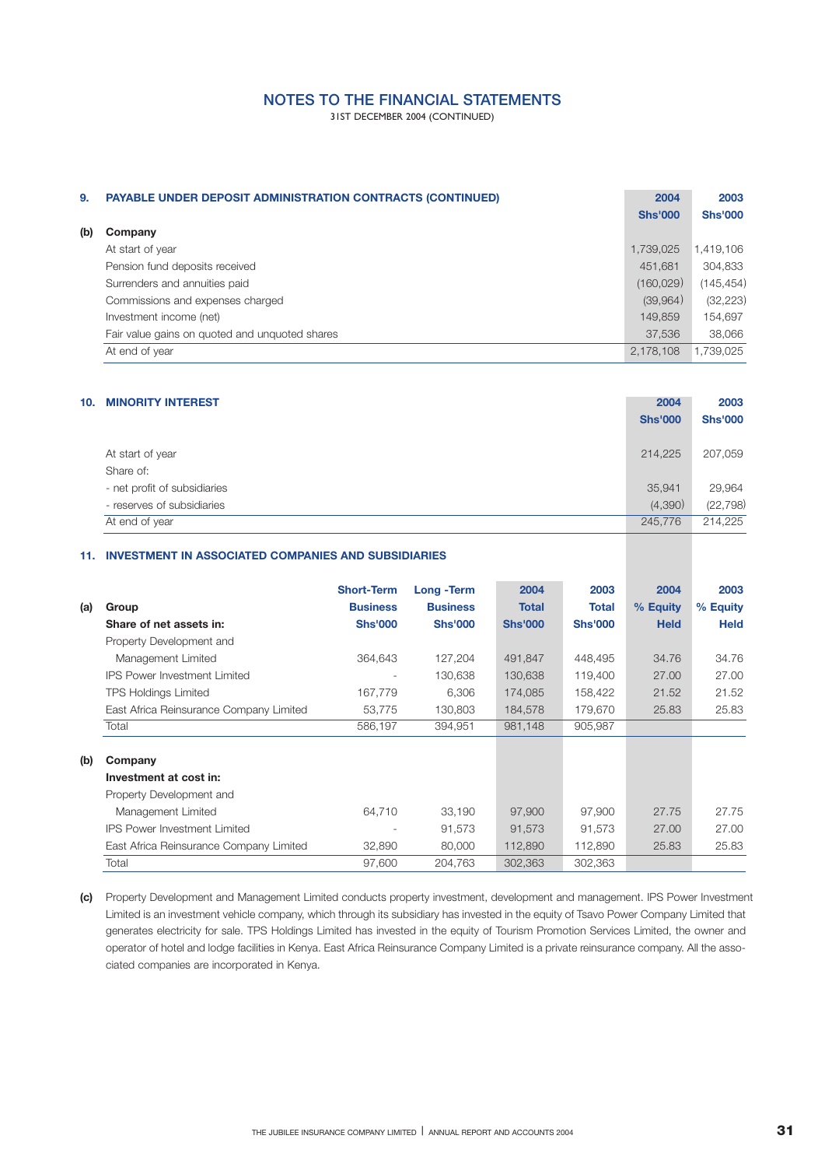31ST DECEMBER 2004 (CONTINUED)

| 9.  | <b>PAYABLE UNDER DEPOSIT ADMINISTRATION CONTRACTS (CONTINUED)</b> | 2004<br><b>Shs'000</b> | 2003<br><b>Shs'000</b> |
|-----|-------------------------------------------------------------------|------------------------|------------------------|
| (b) | Company                                                           |                        |                        |
|     | At start of year                                                  | 1,739,025              | 1,419,106              |
|     | Pension fund deposits received                                    | 451,681                | 304,833                |
|     | Surrenders and annuities paid                                     | (160, 029)             | (145, 454)             |
|     | Commissions and expenses charged                                  | (39,964)               | (32, 223)              |
|     | Investment income (net)                                           | 149,859                | 154,697                |
|     | Fair value gains on guoted and unguoted shares                    | 37,536                 | 38.066                 |
|     | At end of year                                                    | 2,178,108              | 1,739,025              |

| 10. | <b>MINORITY INTEREST</b>      | 2004<br><b>Shs'000</b> | 2003<br><b>Shs'000</b> |
|-----|-------------------------------|------------------------|------------------------|
|     | At start of year<br>Share of: | 214.225                | 207,059                |
|     | - net profit of subsidiaries  | 35,941                 | 29,964                 |
|     | - reserves of subsidiaries    | (4,390)                | (22, 798)              |
|     | At end of year                | 245,776                | 214,225                |

### **11. INVESTMENT IN ASSOCIATED COMPANIES AND SUBSIDIARIES**

|     |                                         | <b>Short-Term</b> | Long - Term     | 2004           | 2003           | 2004        | 2003        |
|-----|-----------------------------------------|-------------------|-----------------|----------------|----------------|-------------|-------------|
|     | Group                                   | <b>Business</b>   | <b>Business</b> | <b>Total</b>   | <b>Total</b>   | % Equity    | % Equity    |
| (a) |                                         |                   |                 |                |                |             |             |
|     | Share of net assets in:                 | <b>Shs'000</b>    | <b>Shs'000</b>  | <b>Shs'000</b> | <b>Shs'000</b> | <b>Held</b> | <b>Held</b> |
|     | Property Development and                |                   |                 |                |                |             |             |
|     | Management Limited                      | 364.643           | 127,204         | 491,847        | 448,495        | 34.76       | 34.76       |
|     | <b>IPS Power Investment Limited</b>     |                   | 130,638         | 130,638        | 119,400        | 27.00       | 27.00       |
|     | <b>TPS Holdings Limited</b>             | 167,779           | 6,306           | 174,085        | 158,422        | 21.52       | 21.52       |
|     | East Africa Reinsurance Company Limited | 53,775            | 130,803         | 184,578        | 179,670        | 25.83       | 25.83       |
|     | Total                                   | 586,197           | 394,951         | 981,148        | 905,987        |             |             |
|     |                                         |                   |                 |                |                |             |             |
| (b) | Company                                 |                   |                 |                |                |             |             |
|     | Investment at cost in:                  |                   |                 |                |                |             |             |
|     | Property Development and                |                   |                 |                |                |             |             |
|     | Management Limited                      | 64,710            | 33,190          | 97,900         | 97,900         | 27.75       | 27.75       |
|     | <b>IPS Power Investment Limited</b>     | ٠                 | 91,573          | 91,573         | 91,573         | 27.00       | 27.00       |
|     | East Africa Reinsurance Company Limited | 32,890            | 80,000          | 112,890        | 112,890        | 25.83       | 25.83       |
|     | Total                                   | 97,600            | 204,763         | 302,363        | 302,363        |             |             |

Property Development and Management Limited conducts property investment, development and management. IPS Power Investment **(c)** Limited is an investment vehicle company, which through its subsidiary has invested in the equity of Tsavo Power Company Limited that generates electricity for sale. TPS Holdings Limited has invested in the equity of Tourism Promotion Services Limited, the owner and operator of hotel and lodge facilities in Kenya. East Africa Reinsurance Company Limited is a private reinsurance company. All the associated companies are incorporated in Kenya.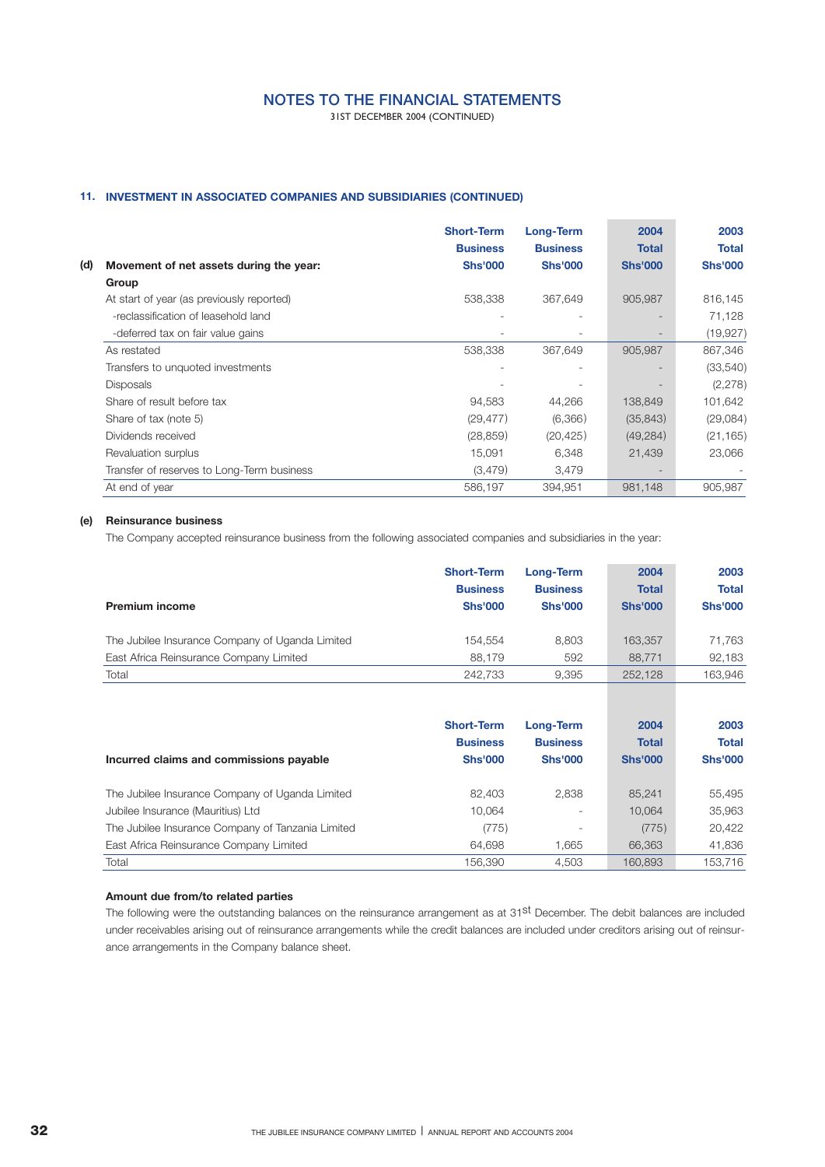31ST DECEMBER 2004 (CONTINUED)

## **11. INVESTMENT IN ASSOCIATED COMPANIES AND SUBSIDIARIES (CONTINUED)**

|                                                | <b>Short-Term</b><br><b>Business</b> | <b>Long-Term</b><br><b>Business</b> | 2004<br><b>Total</b> | 2003<br>Total  |
|------------------------------------------------|--------------------------------------|-------------------------------------|----------------------|----------------|
| (d)<br>Movement of net assets during the year: | <b>Shs'000</b>                       | <b>Shs'000</b>                      | <b>Shs'000</b>       | <b>Shs'000</b> |
| Group                                          |                                      |                                     |                      |                |
| At start of year (as previously reported)      | 538,338                              | 367,649                             | 905,987              | 816,145        |
| -reclassification of leasehold land            |                                      |                                     |                      | 71,128         |
| -deferred tax on fair value gains              |                                      |                                     |                      | (19, 927)      |
| As restated                                    | 538,338                              | 367,649                             | 905,987              | 867,346        |
| Transfers to unquoted investments              |                                      |                                     |                      | (33, 540)      |
| <b>Disposals</b>                               |                                      |                                     |                      | (2,278)        |
| Share of result before tax                     | 94,583                               | 44,266                              | 138,849              | 101,642        |
| Share of tax (note 5)                          | (29, 477)                            | (6,366)                             | (35, 843)            | (29,084)       |
| Dividends received                             | (28, 859)                            | (20, 425)                           | (49, 284)            | (21, 165)      |
| Revaluation surplus                            | 15,091                               | 6,348                               | 21,439               | 23,066         |
| Transfer of reserves to Long-Term business     | (3,479)                              | 3,479                               |                      |                |
| At end of year                                 | 586,197                              | 394,951                             | 981,148              | 905,987        |

### **(e) Reinsurance business**

The Company accepted reinsurance business from the following associated companies and subsidiaries in the year:

| <b>Premium income</b>                           | <b>Short-Term</b><br><b>Business</b><br><b>Shs'000</b> | <b>Long-Term</b><br><b>Business</b><br><b>Shs'000</b> | 2004<br><b>Total</b><br><b>Shs'000</b> | 2003<br><b>Total</b><br><b>Shs'000</b> |
|-------------------------------------------------|--------------------------------------------------------|-------------------------------------------------------|----------------------------------------|----------------------------------------|
| The Jubilee Insurance Company of Uganda Limited | 154.554                                                | 8.803                                                 | 163.357                                | 71.763                                 |
| East Africa Reinsurance Company Limited         | 88.179                                                 | 592                                                   | 88.771                                 | 92.183                                 |
| Total                                           | 242.733                                                | 9.395                                                 | 252.128                                | 163.946                                |

| Incurred claims and commissions payable           | <b>Short-Term</b><br><b>Business</b><br><b>Shs'000</b> | Long-Term<br><b>Business</b><br><b>Shs'000</b> | 2004<br><b>Total</b><br><b>Shs'000</b> | 2003<br><b>Total</b><br><b>Shs'000</b> |
|---------------------------------------------------|--------------------------------------------------------|------------------------------------------------|----------------------------------------|----------------------------------------|
| The Jubilee Insurance Company of Uganda Limited   | 82.403                                                 | 2,838                                          | 85.241                                 | 55.495                                 |
| Jubilee Insurance (Mauritius) Ltd                 | 10.064                                                 | $\sim$                                         | 10.064                                 | 35,963                                 |
| The Jubilee Insurance Company of Tanzania Limited | (775)                                                  | $\overline{\phantom{a}}$                       | (775)                                  | 20,422                                 |
| East Africa Reinsurance Company Limited           | 64.698                                                 | 1.665                                          | 66.363                                 | 41.836                                 |
| Total                                             | 156.390                                                | 4.503                                          | 160.893                                | 153.716                                |

## **Amount due from/to related parties**

The following were the outstanding balances on the reinsurance arrangement as at 31<sup>st</sup> December. The debit balances are included under receivables arising out of reinsurance arrangements while the credit balances are included under creditors arising out of reinsurance arrangements in the Company balance sheet.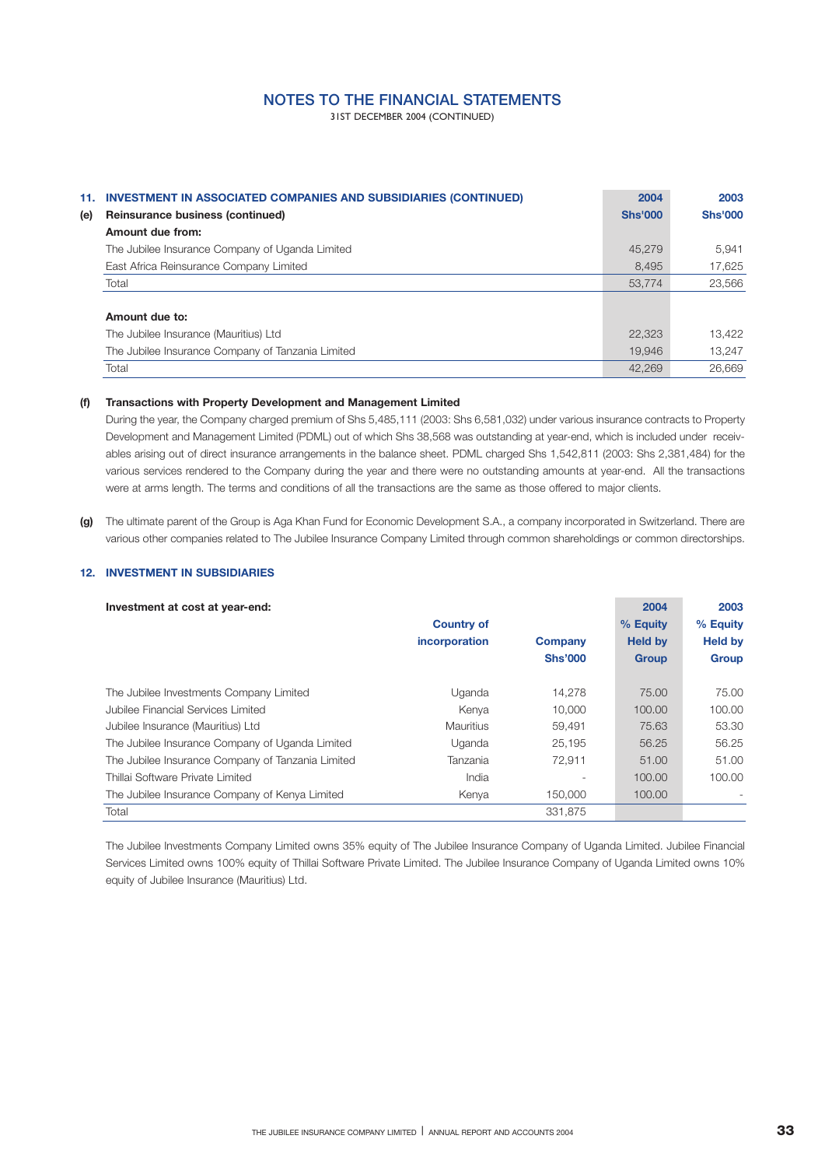31ST DECEMBER 2004 (CONTINUED)

| 11. | <b>INVESTMENT IN ASSOCIATED COMPANIES AND SUBSIDIARIES (CONTINUED)</b> | 2004           | 2003           |
|-----|------------------------------------------------------------------------|----------------|----------------|
| (e) | Reinsurance business (continued)                                       | <b>Shs'000</b> | <b>Shs'000</b> |
|     | Amount due from:                                                       |                |                |
|     | The Jubilee Insurance Company of Uganda Limited                        | 45.279         | 5.941          |
|     | East Africa Reinsurance Company Limited                                | 8.495          | 17.625         |
|     | Total                                                                  | 53,774         | 23,566         |
|     |                                                                        |                |                |
|     | Amount due to:                                                         |                |                |
|     | The Jubilee Insurance (Mauritius) Ltd                                  | 22.323         | 13.422         |
|     | The Jubilee Insurance Company of Tanzania Limited                      | 19.946         | 13.247         |
|     | Total                                                                  | 42.269         | 26,669         |

### **(f) Transactions with Property Development and Management Limited**

During the year, the Company charged premium of Shs 5,485,111 (2003: Shs 6,581,032) under various insurance contracts to Property Development and Management Limited (PDML) out of which Shs 38,568 was outstanding at year-end, which is included under receivables arising out of direct insurance arrangements in the balance sheet. PDML charged Shs 1,542,811 (2003: Shs 2,381,484) for the various services rendered to the Company during the year and there were no outstanding amounts at year-end. All the transactions were at arms length. The terms and conditions of all the transactions are the same as those offered to major clients.

**(g)** The ultimate parent of the Group is Aga Khan Fund for Economic Development S.A., a company incorporated in Switzerland. There are various other companies related to The Jubilee Insurance Company Limited through common shareholdings or common directorships.

### **12. INVESTMENT IN SUBSIDIARIES**

| Investment at cost at year-end:                   | <b>Country of</b><br>incorporation | Company<br><b>Shs'000</b> | 2004<br>% Equity<br><b>Held by</b><br><b>Group</b> | 2003<br>% Equity<br><b>Held by</b><br><b>Group</b> |
|---------------------------------------------------|------------------------------------|---------------------------|----------------------------------------------------|----------------------------------------------------|
| The Jubilee Investments Company Limited           | Uganda                             | 14.278                    | 75.00                                              | 75.00                                              |
| Jubilee Financial Services Limited                | Kenya                              | 10,000                    | 100.00                                             | 100.00                                             |
| Jubilee Insurance (Mauritius) Ltd                 | Mauritius                          | 59,491                    | 75.63                                              | 53.30                                              |
| The Jubilee Insurance Company of Uganda Limited   | Uganda                             | 25,195                    | 56.25                                              | 56.25                                              |
| The Jubilee Insurance Company of Tanzania Limited | Tanzania                           | 72.911                    | 51.00                                              | 51.00                                              |
| Thillai Software Private Limited                  | India                              |                           | 100.00                                             | 100.00                                             |
| The Jubilee Insurance Company of Kenya Limited    | Kenya                              | 150,000                   | 100.00                                             |                                                    |
| Total                                             |                                    | 331,875                   |                                                    |                                                    |

The Jubilee Investments Company Limited owns 35% equity of The Jubilee Insurance Company of Uganda Limited. Jubilee Financial Services Limited owns 100% equity of Thillai Software Private Limited. The Jubilee Insurance Company of Uganda Limited owns 10% equity of Jubilee Insurance (Mauritius) Ltd.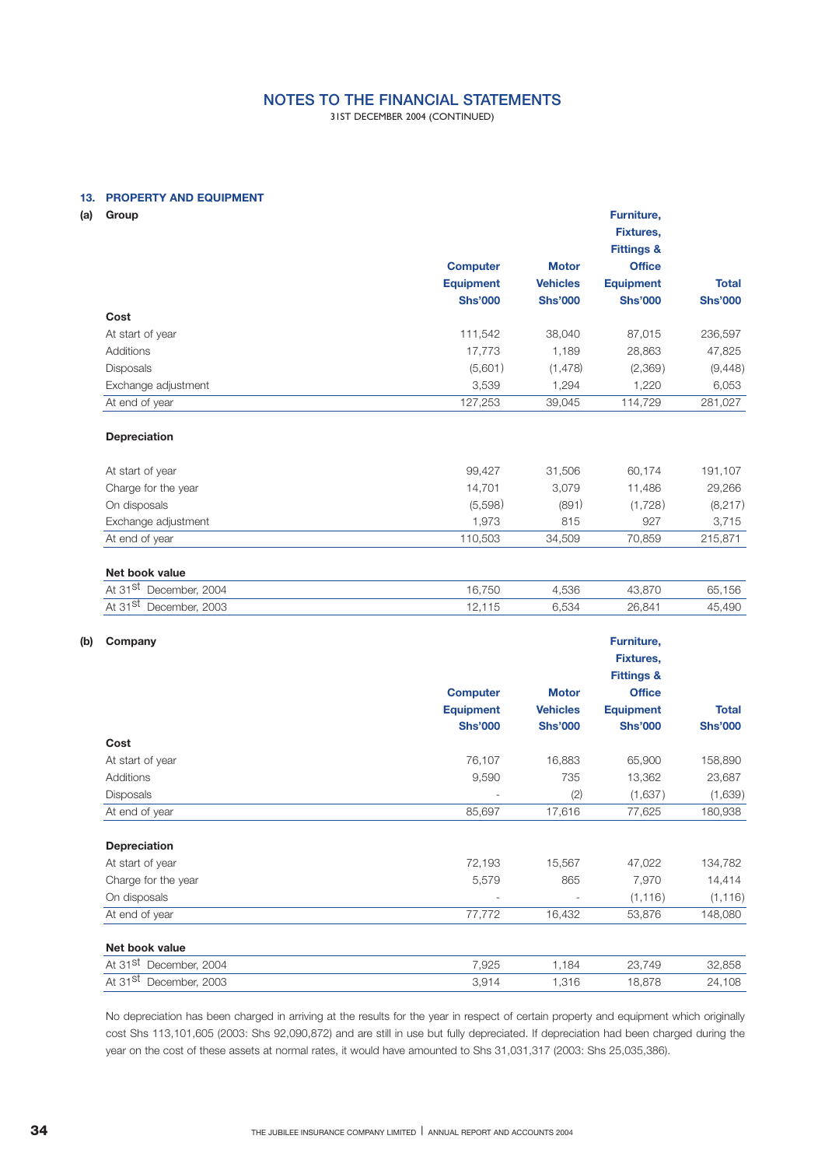31ST DECEMBER 2004 (CONTINUED)

## **13. PROPERTY AND EQUIPMENT**

| (a) | Group                                                |                  |                 | Furniture,<br><b>Fixtures,</b><br><b>Fittings &amp;</b>                  |                |
|-----|------------------------------------------------------|------------------|-----------------|--------------------------------------------------------------------------|----------------|
|     |                                                      | <b>Computer</b>  | <b>Motor</b>    | <b>Office</b>                                                            |                |
|     |                                                      | <b>Equipment</b> | <b>Vehicles</b> | <b>Equipment</b>                                                         | <b>Total</b>   |
|     |                                                      | <b>Shs'000</b>   | <b>Shs'000</b>  | <b>Shs'000</b>                                                           | <b>Shs'000</b> |
|     | Cost                                                 |                  |                 |                                                                          |                |
|     | At start of year                                     | 111,542          | 38,040          | 87,015                                                                   | 236,597        |
|     | <b>Additions</b>                                     | 17,773           | 1,189           | 28,863                                                                   | 47,825         |
|     | <b>Disposals</b>                                     | (5,601)          | (1, 478)        | (2,369)                                                                  | (9,448)        |
|     | Exchange adjustment                                  | 3,539            | 1,294           | 1,220                                                                    | 6,053          |
|     | At end of year                                       | 127,253          | 39,045          | 114,729                                                                  | 281,027        |
|     | Depreciation                                         |                  |                 |                                                                          |                |
|     | At start of year                                     | 99,427           | 31,506          | 60,174                                                                   | 191,107        |
|     | Charge for the year                                  | 14,701           | 3,079           | 11,486                                                                   | 29,266         |
|     | On disposals                                         | (5,598)          | (891)           | (1,728)                                                                  | (8,217)        |
|     | Exchange adjustment                                  | 1,973            | 815             | 927                                                                      | 3,715          |
|     | At end of year                                       | 110,503          | 34,509          | 70,859                                                                   | 215,871        |
|     | Net book value<br>At 31 <sup>st</sup> December, 2004 | 16,750           | 4,536           | 43,870                                                                   | 65,156         |
|     | At 31 <sup>st</sup> December, 2003                   |                  | 6,534           | 26,841                                                                   |                |
|     |                                                      | 12,115           |                 |                                                                          | 45,490         |
| (b) | Company                                              | <b>Computer</b>  | <b>Motor</b>    | Furniture,<br><b>Fixtures,</b><br><b>Fittings &amp;</b><br><b>Office</b> |                |
|     |                                                      | <b>Equipment</b> | <b>Vehicles</b> | <b>Equipment</b>                                                         | <b>Total</b>   |
|     |                                                      | <b>Shs'000</b>   | <b>Shs'000</b>  | <b>Shs'000</b>                                                           | <b>Shs'000</b> |
|     | Cost                                                 |                  |                 |                                                                          |                |
|     | At start of year                                     | 76,107           | 16,883          | 65,900                                                                   | 158,890        |
|     | Additions                                            | 9,590            | 735             | 13,362                                                                   | 23,687         |
|     | <b>Disposals</b>                                     |                  | (2)             | (1,637)                                                                  | (1,639)        |
|     | At end of year                                       | 85,697           | 17,616          | 77,625                                                                   | 180,938        |
|     | Depreciation                                         |                  |                 |                                                                          |                |
|     | At start of year                                     | 72,193           | 15,567          | 47,022                                                                   | 134,782        |
|     | Charge for the year                                  | 5,579            | 865             | 7,970                                                                    | 14,414         |
|     | On disposals                                         |                  |                 | (1, 116)                                                                 | (1, 116)       |
|     |                                                      |                  |                 |                                                                          |                |

| Net book value                     |       |      |        |        |
|------------------------------------|-------|------|--------|--------|
| At 31 <sup>st</sup> December, 2004 | 7.925 | .184 | 23,749 | 32.858 |
| At 31 $st$<br>December, 2003       | 3.914 | .316 | 18.878 | 24,108 |

No depreciation has been charged in arriving at the results for the year in respect of certain property and equipment which originally cost Shs 113,101,605 (2003: Shs 92,090,872) and are still in use but fully depreciated. If depreciation had been charged during the year on the cost of these assets at normal rates, it would have amounted to Shs 31,031,317 (2003: Shs 25,035,386).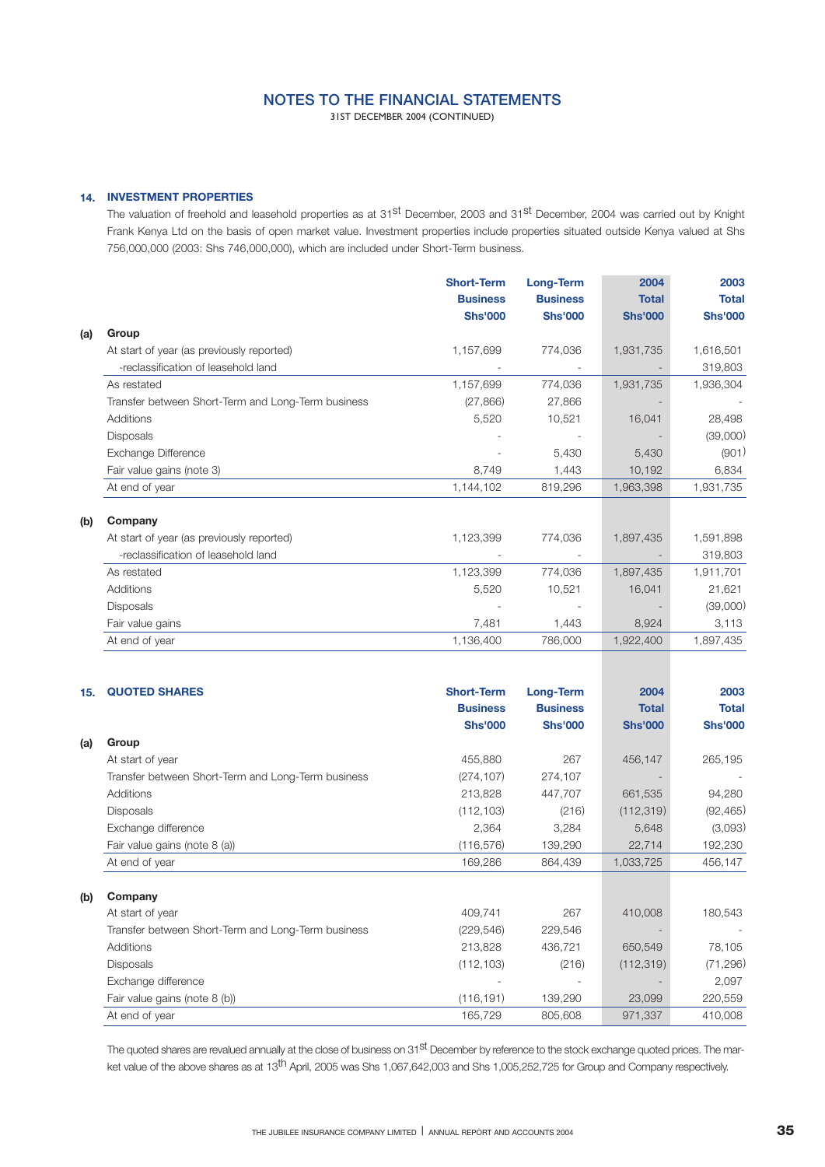31ST DECEMBER 2004 (CONTINUED)

## **14. INVESTMENT PROPERTIES**

The valuation of freehold and leasehold properties as at 31<sup>st</sup> December, 2003 and 31<sup>st</sup> December, 2004 was carried out by Knight Frank Kenya Ltd on the basis of open market value. Investment properties include properties situated outside Kenya valued at Shs 756,000,000 (2003: Shs 746,000,000), which are included under Short-Term business.

|     |                                                    | <b>Short-Term</b> | Long-Term       | 2004           | 2003           |
|-----|----------------------------------------------------|-------------------|-----------------|----------------|----------------|
|     |                                                    | <b>Business</b>   | <b>Business</b> | <b>Total</b>   | <b>Total</b>   |
|     |                                                    | <b>Shs'000</b>    | <b>Shs'000</b>  | <b>Shs'000</b> | <b>Shs'000</b> |
| (a) | Group                                              |                   |                 |                |                |
|     | At start of year (as previously reported)          | 1,157,699         | 774,036         | 1,931,735      | 1,616,501      |
|     | -reclassification of leasehold land                |                   |                 |                | 319,803        |
|     | As restated                                        | 1,157,699         | 774,036         | 1,931,735      | 1,936,304      |
|     | Transfer between Short-Term and Long-Term business | (27, 866)         | 27,866          |                |                |
|     | Additions                                          | 5,520             | 10,521          | 16,041         | 28,498         |
|     | <b>Disposals</b>                                   |                   |                 |                | (39,000)       |
|     | Exchange Difference                                |                   | 5,430           | 5,430          | (901)          |
|     | Fair value gains (note 3)                          | 8,749             | 1,443           | 10,192         | 6,834          |
|     | At end of year                                     | 1,144,102         | 819,296         | 1,963,398      | 1,931,735      |
| (b) | Company                                            |                   |                 |                |                |
|     | At start of year (as previously reported)          | 1,123,399         | 774,036         | 1,897,435      | 1,591,898      |
|     | -reclassification of leasehold land                |                   |                 |                | 319,803        |
|     | As restated                                        | 1,123,399         | 774,036         | 1,897,435      | 1,911,701      |
|     | Additions                                          | 5,520             | 10,521          | 16,041         | 21,621         |
|     | Disposals                                          |                   |                 |                | (39,000)       |
|     | Fair value gains                                   | 7,481             | 1,443           | 8,924          | 3,113          |
|     | At end of year                                     | 1,136,400         | 786,000         | 1,922,400      | 1,897,435      |
|     |                                                    |                   |                 |                |                |

| 15. | <b>QUOTED SHARES</b>                               | <b>Short-Term</b> | Long-Term       | 2004           | 2003           |
|-----|----------------------------------------------------|-------------------|-----------------|----------------|----------------|
|     |                                                    | <b>Business</b>   | <b>Business</b> | <b>Total</b>   | <b>Total</b>   |
|     |                                                    | <b>Shs'000</b>    | <b>Shs'000</b>  | <b>Shs'000</b> | <b>Shs'000</b> |
| (a) | Group                                              |                   |                 |                |                |
|     | At start of year                                   | 455,880           | 267             | 456,147        | 265,195        |
|     | Transfer between Short-Term and Long-Term business | (274, 107)        | 274,107         |                |                |
|     | Additions                                          | 213,828           | 447,707         | 661,535        | 94,280         |
|     | <b>Disposals</b>                                   | (112, 103)        | (216)           | (112, 319)     | (92, 465)      |
|     | Exchange difference                                | 2,364             | 3,284           | 5,648          | (3,093)        |
|     | Fair value gains (note 8 (a))                      | (116, 576)        | 139,290         | 22,714         | 192,230        |
|     | At end of year                                     | 169,286           | 864,439         | 1,033,725      | 456,147        |
| (b) | Company                                            |                   |                 |                |                |
|     | At start of year                                   | 409,741           | 267             | 410,008        | 180,543        |
|     | Transfer between Short-Term and Long-Term business | (229, 546)        | 229,546         |                |                |
|     | Additions                                          | 213,828           | 436,721         | 650,549        | 78,105         |
|     | <b>Disposals</b>                                   | (112, 103)        | (216)           | (112, 319)     | (71, 296)      |
|     | Exchange difference                                |                   |                 |                | 2,097          |
|     | Fair value gains (note 8 (b))                      | (116, 191)        | 139,290         | 23,099         | 220,559        |
|     | At end of year                                     | 165,729           | 805,608         | 971,337        | 410,008        |

The quoted shares are revalued annually at the close of business on 31<sup>st</sup> December by reference to the stock exchange quoted prices. The market value of the above shares as at 13<sup>th</sup> April, 2005 was Shs 1,067,642,003 and Shs 1,005,252,725 for Group and Company respectively.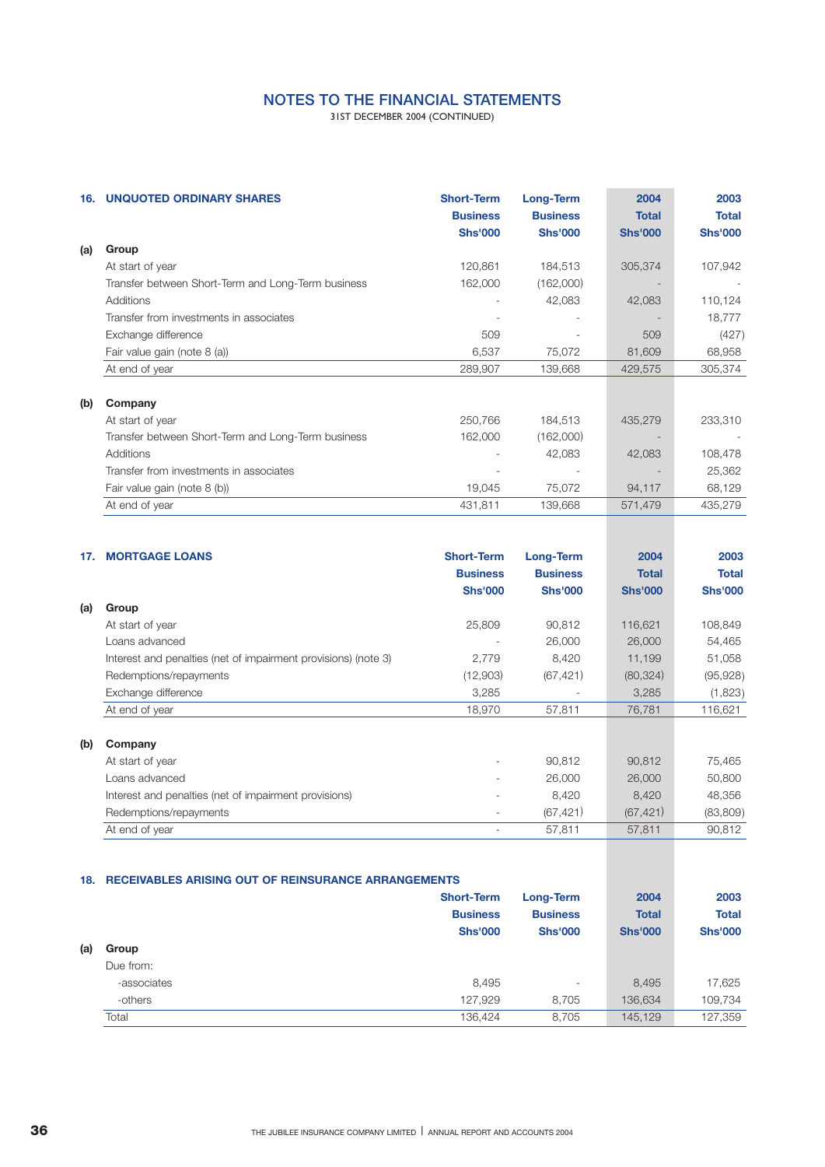31ST DECEMBER 2004 (CONTINUED)

| 16. | <b>UNQUOTED ORDINARY SHARES</b>                    | <b>Short-Term</b><br><b>Business</b><br><b>Shs'000</b> | Long-Term<br><b>Business</b><br><b>Shs'000</b> | 2004<br><b>Total</b><br><b>Shs'000</b> | 2003<br><b>Total</b><br><b>Shs'000</b> |
|-----|----------------------------------------------------|--------------------------------------------------------|------------------------------------------------|----------------------------------------|----------------------------------------|
| (a) | Group                                              |                                                        |                                                |                                        |                                        |
|     | At start of year                                   | 120,861                                                | 184,513                                        | 305,374                                | 107,942                                |
|     | Transfer between Short-Term and Long-Term business | 162,000                                                | (162,000)                                      |                                        |                                        |
|     | Additions                                          |                                                        | 42,083                                         | 42,083                                 | 110,124                                |
|     | Transfer from investments in associates            |                                                        |                                                |                                        | 18,777                                 |
|     | Exchange difference                                | 509                                                    |                                                | 509                                    | (427)                                  |
|     | Fair value gain (note 8 (a))                       | 6,537                                                  | 75,072                                         | 81,609                                 | 68,958                                 |
|     | At end of year                                     | 289,907                                                | 139,668                                        | 429,575                                | 305,374                                |
| (b) | Company                                            |                                                        |                                                |                                        |                                        |
|     | At start of year                                   | 250,766                                                | 184,513                                        | 435,279                                | 233,310                                |
|     | Transfer between Short-Term and Long-Term business | 162,000                                                | (162,000)                                      |                                        |                                        |
|     | Additions                                          |                                                        | 42,083                                         | 42,083                                 | 108,478                                |
|     | Transfer from investments in associates            |                                                        |                                                |                                        | 25,362                                 |
|     | Fair value gain (note 8 (b))                       | 19,045                                                 | 75,072                                         | 94,117                                 | 68,129                                 |
|     | At end of year                                     | 431,811                                                | 139,668                                        | 571,479                                | 435,279                                |

| 17. | <b>MORTGAGE LOANS</b>                                          | <b>Short-Term</b><br><b>Business</b><br><b>Shs'000</b> | <b>Long-Term</b><br><b>Business</b><br><b>Shs'000</b> | 2004<br><b>Total</b><br><b>Shs'000</b> | 2003<br><b>Total</b><br><b>Shs'000</b> |
|-----|----------------------------------------------------------------|--------------------------------------------------------|-------------------------------------------------------|----------------------------------------|----------------------------------------|
| (a) | Group                                                          |                                                        |                                                       |                                        |                                        |
|     | At start of year                                               | 25,809                                                 | 90,812                                                | 116,621                                | 108,849                                |
|     | Loans advanced                                                 |                                                        | 26,000                                                | 26,000                                 | 54,465                                 |
|     | Interest and penalties (net of impairment provisions) (note 3) | 2,779                                                  | 8,420                                                 | 11,199                                 | 51,058                                 |
|     | Redemptions/repayments                                         | (12,903)                                               | (67, 421)                                             | (80, 324)                              | (95, 928)                              |
|     | Exchange difference                                            | 3,285                                                  |                                                       | 3,285                                  | (1,823)                                |
|     | At end of year                                                 | 18,970                                                 | 57,811                                                | 76,781                                 | 116,621                                |
| (b) | Company                                                        |                                                        |                                                       |                                        |                                        |
|     | At start of year                                               |                                                        | 90,812                                                | 90,812                                 | 75,465                                 |
|     | Loans advanced                                                 |                                                        | 26,000                                                | 26,000                                 | 50,800                                 |
|     | Interest and penalties (net of impairment provisions)          |                                                        | 8,420                                                 | 8,420                                  | 48,356                                 |
|     | Redemptions/repayments                                         |                                                        | (67, 421)                                             | (67, 421)                              | (83,809)                               |
|     | At end of year                                                 |                                                        | 57,811                                                | 57,811                                 | 90,812                                 |

### **18. RECEIVABLES ARISING OUT OF REINSURANCE ARRANGEMENTS**

|     |             | <b>Short-Term</b><br><b>Business</b><br><b>Shs'000</b> | Long-Term<br><b>Business</b><br><b>Shs'000</b> | 2004<br><b>Total</b><br><b>Shs'000</b> | 2003<br><b>Total</b><br><b>Shs'000</b> |
|-----|-------------|--------------------------------------------------------|------------------------------------------------|----------------------------------------|----------------------------------------|
| (a) | Group       |                                                        |                                                |                                        |                                        |
|     | Due from:   |                                                        |                                                |                                        |                                        |
|     | -associates | 8,495                                                  | $\overline{\phantom{a}}$                       | 8,495                                  | 17,625                                 |
|     | -others     | 127.929                                                | 8.705                                          | 136,634                                | 109,734                                |
|     | Total       | 136.424                                                | 8,705                                          | 145,129                                | 127,359                                |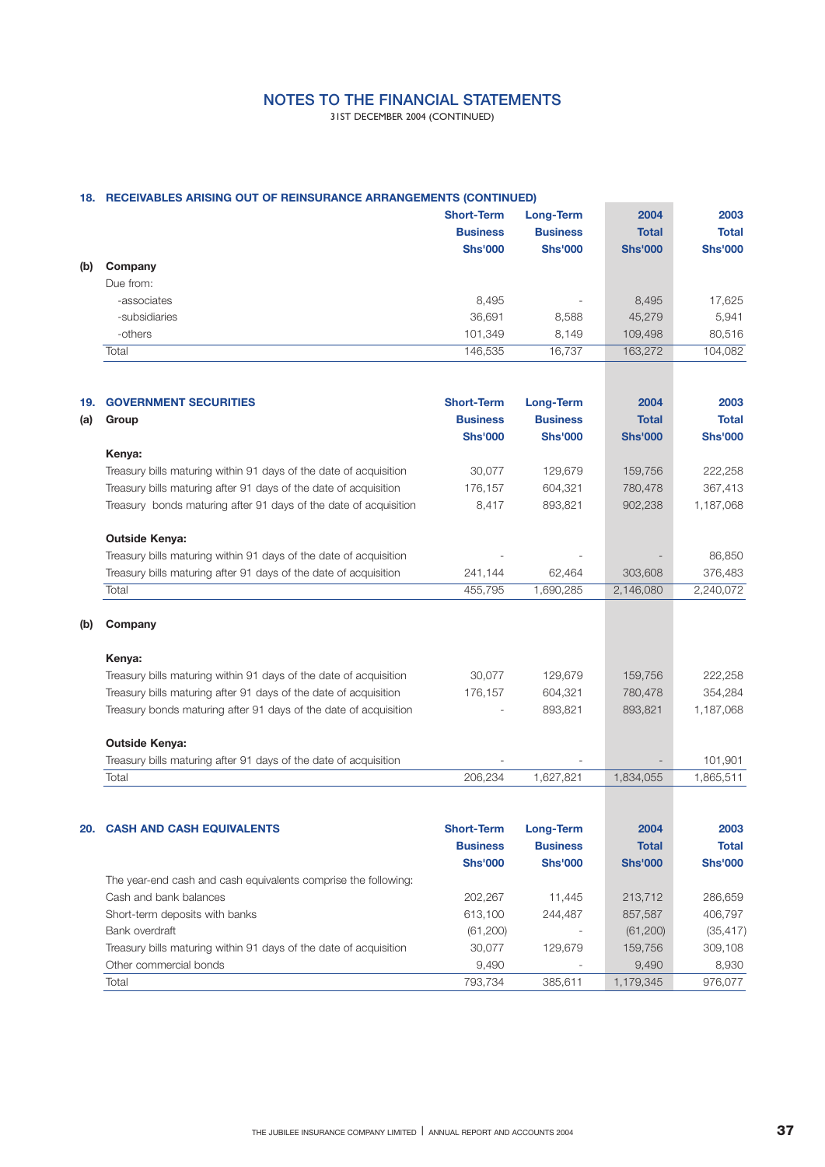31ST DECEMBER 2004 (CONTINUED)

## **18. RECEIVABLES ARISING OUT OF REINSURANCE ARRANGEMENTS (CONTINUED)**

|     |               | <b>Short-Term</b><br><b>Business</b><br><b>Shs'000</b> | Long-Term<br><b>Business</b><br><b>Shs'000</b> | 2004<br><b>Total</b><br><b>Shs'000</b> | 2003<br><b>Total</b><br><b>Shs'000</b> |
|-----|---------------|--------------------------------------------------------|------------------------------------------------|----------------------------------------|----------------------------------------|
| (b) | Company       |                                                        |                                                |                                        |                                        |
|     | Due from:     |                                                        |                                                |                                        |                                        |
|     | -associates   | 8,495                                                  | $\overline{\phantom{a}}$                       | 8,495                                  | 17,625                                 |
|     | -subsidiaries | 36,691                                                 | 8,588                                          | 45,279                                 | 5,941                                  |
|     | -others       | 101,349                                                | 8,149                                          | 109,498                                | 80,516                                 |
|     | Total         | 146,535                                                | 16,737                                         | 163,272                                | 104,082                                |

| 19.<br>(a) | <b>GOVERNMENT SECURITIES</b><br>Group                             | <b>Short-Term</b><br><b>Business</b><br><b>Shs'000</b> | Long-Term<br><b>Business</b><br><b>Shs'000</b> | 2004<br><b>Total</b><br><b>Shs'000</b> | 2003<br><b>Total</b><br><b>Shs'000</b> |
|------------|-------------------------------------------------------------------|--------------------------------------------------------|------------------------------------------------|----------------------------------------|----------------------------------------|
|            | Kenya:                                                            |                                                        |                                                |                                        |                                        |
|            | Treasury bills maturing within 91 days of the date of acquisition | 30,077                                                 | 129,679                                        | 159,756                                | 222,258                                |
|            | Treasury bills maturing after 91 days of the date of acquisition  | 176,157                                                | 604.321                                        | 780,478                                | 367,413                                |
|            | Treasury bonds maturing after 91 days of the date of acquisition  | 8,417                                                  | 893,821                                        | 902,238                                | 1,187,068                              |
|            | <b>Outside Kenya:</b>                                             |                                                        |                                                |                                        |                                        |
|            | Treasury bills maturing within 91 days of the date of acquisition |                                                        |                                                |                                        | 86,850                                 |
|            | Treasury bills maturing after 91 days of the date of acquisition  | 241,144                                                | 62,464                                         | 303,608                                | 376,483                                |
|            | Total                                                             | 455,795                                                | 1,690,285                                      | 2,146,080                              | 2,240,072                              |
| (b)        | Company                                                           |                                                        |                                                |                                        |                                        |
|            | Kenya:                                                            |                                                        |                                                |                                        |                                        |
|            | Treasury bills maturing within 91 days of the date of acquisition | 30,077                                                 | 129,679                                        | 159,756                                | 222,258                                |
|            | Treasury bills maturing after 91 days of the date of acquisition  | 176.157                                                | 604.321                                        | 780,478                                | 354,284                                |
|            | Treasury bonds maturing after 91 days of the date of acquisition  |                                                        | 893,821                                        | 893,821                                | 1,187,068                              |
|            | <b>Outside Kenya:</b>                                             |                                                        |                                                |                                        |                                        |
|            | Treasury bills maturing after 91 days of the date of acquisition  |                                                        |                                                |                                        | 101,901                                |
|            | Total                                                             | 206,234                                                | 1,627,821                                      | 1,834,055                              | 1,865,511                              |
|            |                                                                   |                                                        |                                                |                                        |                                        |
| 20.        | <b>CASH AND CASH EQUIVALENTS</b>                                  | <b>Short-Term</b>                                      | <b>Long-Term</b>                               | 2004                                   | 2003                                   |

| <u> YAYII AINY YAYII LWYIIALUI Y</u>                              | <u>UNURISHIN</u> | ------          | $-00T$         | ----           |
|-------------------------------------------------------------------|------------------|-----------------|----------------|----------------|
|                                                                   | <b>Business</b>  | <b>Business</b> | <b>Total</b>   | <b>Total</b>   |
|                                                                   | <b>Shs'000</b>   | <b>Shs'000</b>  | <b>Shs'000</b> | <b>Shs'000</b> |
| The year-end cash and cash equivalents comprise the following:    |                  |                 |                |                |
| Cash and bank balances                                            | 202.267          | 11.445          | 213.712        | 286.659        |
| Short-term deposits with banks                                    | 613,100          | 244.487         | 857,587        | 406.797        |
| Bank overdraft                                                    | (61,200)         |                 | (61, 200)      | (35, 417)      |
| Treasury bills maturing within 91 days of the date of acquisition | 30.077           | 129.679         | 159.756        | 309,108        |
| Other commercial bonds                                            | 9,490            |                 | 9,490          | 8.930          |
| Total                                                             | 793.734          | 385.611         | 1.179.345      | 976.077        |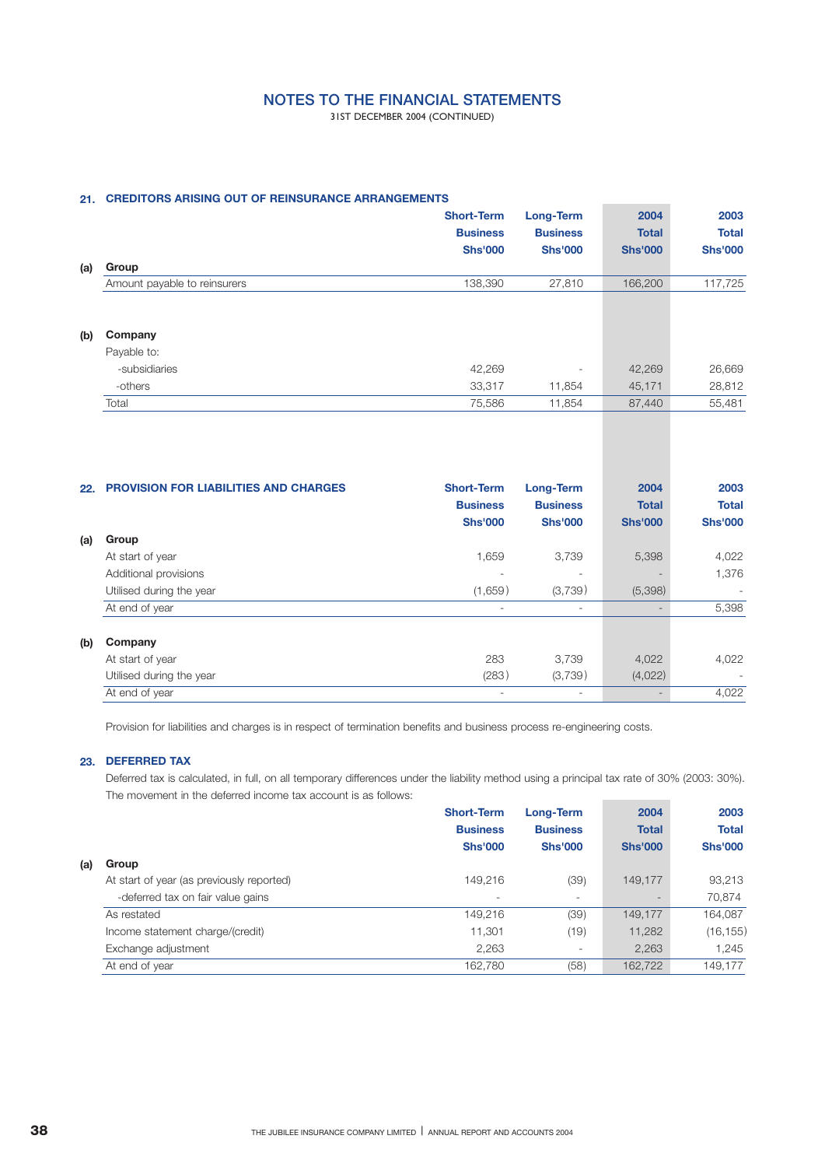31ST DECEMBER 2004 (CONTINUED)

## **21. CREDITORS ARISING OUT OF REINSURANCE ARRANGEMENTS**

|     |                              | <b>Short-Term</b><br><b>Business</b> | Long-Term<br><b>Business</b> | 2004<br><b>Total</b> | 2003<br><b>Total</b> |
|-----|------------------------------|--------------------------------------|------------------------------|----------------------|----------------------|
|     |                              | <b>Shs'000</b>                       | <b>Shs'000</b>               | <b>Shs'000</b>       | <b>Shs'000</b>       |
| (a) | Group                        |                                      |                              |                      |                      |
|     | Amount payable to reinsurers | 138,390                              | 27,810                       | 166,200              | 117,725              |
|     |                              |                                      |                              |                      |                      |
| (b) | Company                      |                                      |                              |                      |                      |
|     | Payable to:                  |                                      |                              |                      |                      |
|     | -subsidiaries                | 42,269                               |                              | 42,269               | 26,669               |
|     | -others                      | 33,317                               | 11,854                       | 45,171               | 28,812               |
|     | Total                        | 75,586                               | 11,854                       | 87,440               | 55,481               |

| 22. | <b>PROVISION FOR LIABILITIES AND CHARGES</b> | <b>Short-Term</b><br><b>Business</b><br><b>Shs'000</b> | Long-Term<br><b>Business</b><br><b>Shs'000</b> | 2004<br><b>Total</b><br><b>Shs'000</b> | 2003<br><b>Total</b><br><b>Shs'000</b> |
|-----|----------------------------------------------|--------------------------------------------------------|------------------------------------------------|----------------------------------------|----------------------------------------|
| (a) | Group                                        |                                                        |                                                |                                        |                                        |
|     | At start of year                             | 1,659                                                  | 3.739                                          | 5,398                                  | 4,022                                  |
|     | Additional provisions                        | ۰                                                      | $\overline{\phantom{a}}$                       |                                        | 1,376                                  |
|     | Utilised during the year                     | (1,659)                                                | (3,739)                                        | (5,398)                                | $\overline{\phantom{a}}$               |
|     | At end of year                               | ۰                                                      | $\overline{\phantom{a}}$                       |                                        | 5,398                                  |
| (b) | Company                                      |                                                        |                                                |                                        |                                        |
|     | At start of year                             | 283                                                    | 3,739                                          | 4,022                                  | 4,022                                  |
|     | Utilised during the year                     | (283)                                                  | (3,739)                                        | (4,022)                                |                                        |
|     | At end of year                               | ۰                                                      | $\sim$                                         |                                        | 4,022                                  |

Provision for liabilities and charges is in respect of termination benefits and business process re-engineering costs.

### **23. DEFERRED TAX**

Deferred tax is calculated, in full, on all temporary differences under the liability method using a principal tax rate of 30% (2003: 30%). The movement in the deferred income tax account is as follows: 

|     |                                           | <b>Short-Term</b> | Long-Term                | 2004           | 2003           |
|-----|-------------------------------------------|-------------------|--------------------------|----------------|----------------|
|     |                                           | <b>Business</b>   | <b>Business</b>          | <b>Total</b>   | <b>Total</b>   |
|     |                                           | <b>Shs'000</b>    | <b>Shs'000</b>           | <b>Shs'000</b> | <b>Shs'000</b> |
| (a) | Group                                     |                   |                          |                |                |
|     | At start of year (as previously reported) | 149.216           | (39)                     | 149.177        | 93,213         |
|     | -deferred tax on fair value gains         | ۰                 | -                        |                | 70.874         |
|     | As restated                               | 149,216           | (39)                     | 149,177        | 164,087        |
|     | Income statement charge/(credit)          | 11,301            | (19)                     | 11,282         | (16, 155)      |
|     | Exchange adjustment                       | 2,263             | $\overline{\phantom{a}}$ | 2,263          | 1.245          |
|     | At end of year                            | 162,780           | (58)                     | 162,722        | 149,177        |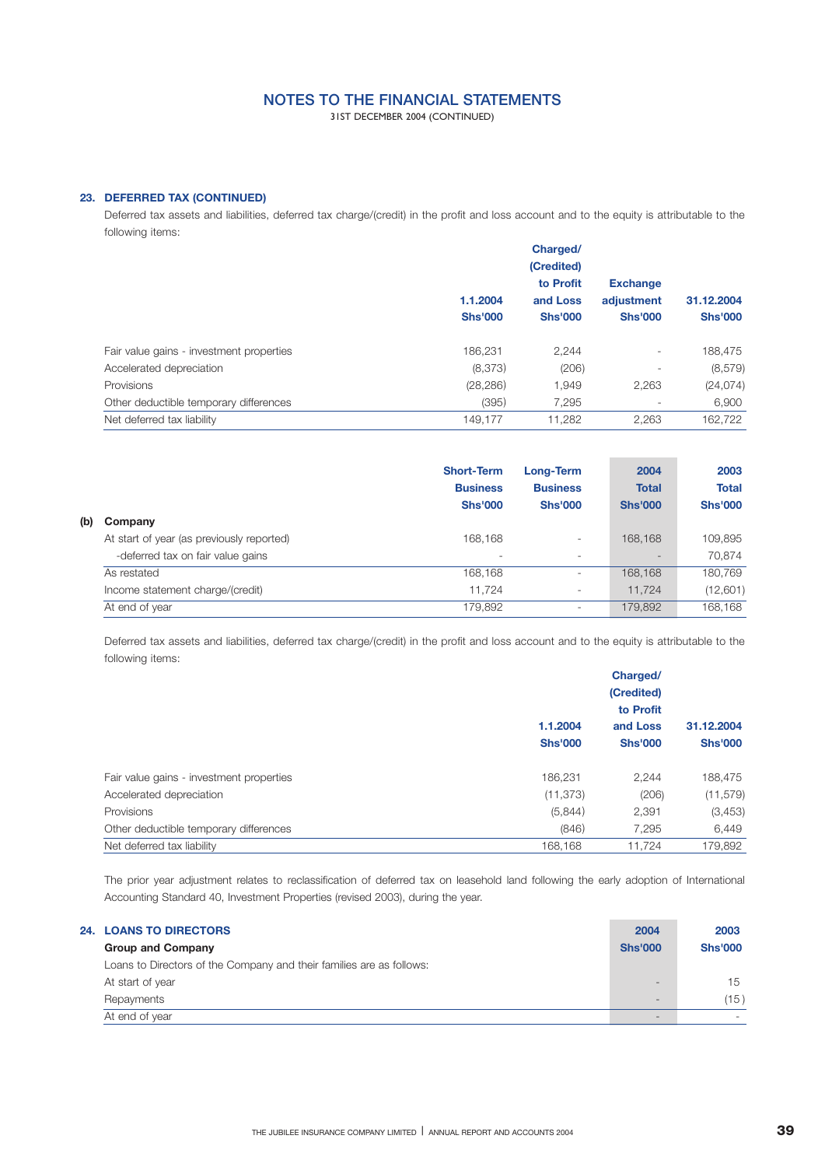31ST DECEMBER 2004 (CONTINUED)

### **23. DEFERRED TAX (CONTINUED)**

Deferred tax assets and liabilities, deferred tax charge/(credit) in the profit and loss account and to the equity is attributable to the following items:

|                                          |                | Charged/<br>(Credited)                  |                                                 |                |
|------------------------------------------|----------------|-----------------------------------------|-------------------------------------------------|----------------|
|                                          | 1.1.2004       | to Profit<br>and Loss<br><b>Shs'000</b> | <b>Exchange</b><br>adjustment<br><b>Shs'000</b> | 31.12.2004     |
|                                          | <b>Shs'000</b> |                                         |                                                 | <b>Shs'000</b> |
| Fair value gains - investment properties | 186,231        | 2,244                                   |                                                 | 188,475        |
| Accelerated depreciation                 | (8,373)        | (206)                                   |                                                 | (8,579)        |
| Provisions                               | (28, 286)      | 1,949                                   | 2,263                                           | (24, 074)      |
| Other deductible temporary differences   | (395)          | 7,295                                   |                                                 | 6,900          |
| Net deferred tax liability               | 149,177        | 11,282                                  | 2,263                                           | 162,722        |
|                                          |                |                                         |                                                 |                |

|     |                                           | <b>Short-Term</b><br><b>Business</b><br><b>Shs'000</b> | <b>Long-Term</b><br><b>Business</b><br><b>Shs'000</b> | 2004<br><b>Total</b><br><b>Shs'000</b> | 2003<br><b>Total</b><br><b>Shs'000</b> |
|-----|-------------------------------------------|--------------------------------------------------------|-------------------------------------------------------|----------------------------------------|----------------------------------------|
| (b) | Company                                   |                                                        |                                                       |                                        |                                        |
|     | At start of year (as previously reported) | 168.168                                                | $\overline{\phantom{a}}$                              | 168.168                                | 109,895                                |
|     | -deferred tax on fair value gains         | -                                                      |                                                       | -                                      | 70.874                                 |
|     | As restated                               | 168,168                                                | -                                                     | 168,168                                | 180,769                                |
|     | Income statement charge/(credit)          | 11.724                                                 | $\overline{\phantom{a}}$                              | 11.724                                 | (12,601)                               |
|     | At end of year                            | 179,892                                                | $\overline{\phantom{a}}$                              | 179,892                                | 168,168                                |

Deferred tax assets and liabilities, deferred tax charge/(credit) in the profit and loss account and to the equity is attributable to the following items:

|                                          |                | Charged/       |                |  |
|------------------------------------------|----------------|----------------|----------------|--|
|                                          |                | (Credited)     |                |  |
|                                          |                | to Profit      |                |  |
|                                          | 1.1.2004       | and Loss       | 31.12.2004     |  |
|                                          | <b>Shs'000</b> | <b>Shs'000</b> | <b>Shs'000</b> |  |
| Fair value gains - investment properties | 186,231        | 2.244          | 188,475        |  |
| Accelerated depreciation                 | (11, 373)      | (206)          | (11, 579)      |  |
| Provisions                               | (5,844)        | 2,391          | (3,453)        |  |
| Other deductible temporary differences   | (846)          | 7,295          | 6,449          |  |
| Net deferred tax liability               | 168,168        | 11.724         | 179,892        |  |

The prior year adjustment relates to reclassification of deferred tax on leasehold land following the early adoption of International Accounting Standard 40, Investment Properties (revised 2003), during the year.

| <b>24. LOANS TO DIRECTORS</b>                                        | 2004           | 2003           |
|----------------------------------------------------------------------|----------------|----------------|
| <b>Group and Company</b>                                             | <b>Shs'000</b> | <b>Shs'000</b> |
| Loans to Directors of the Company and their families are as follows: |                |                |
| At start of year                                                     |                | 15             |
| Repayments                                                           |                | (15)           |
| At end of year                                                       |                |                |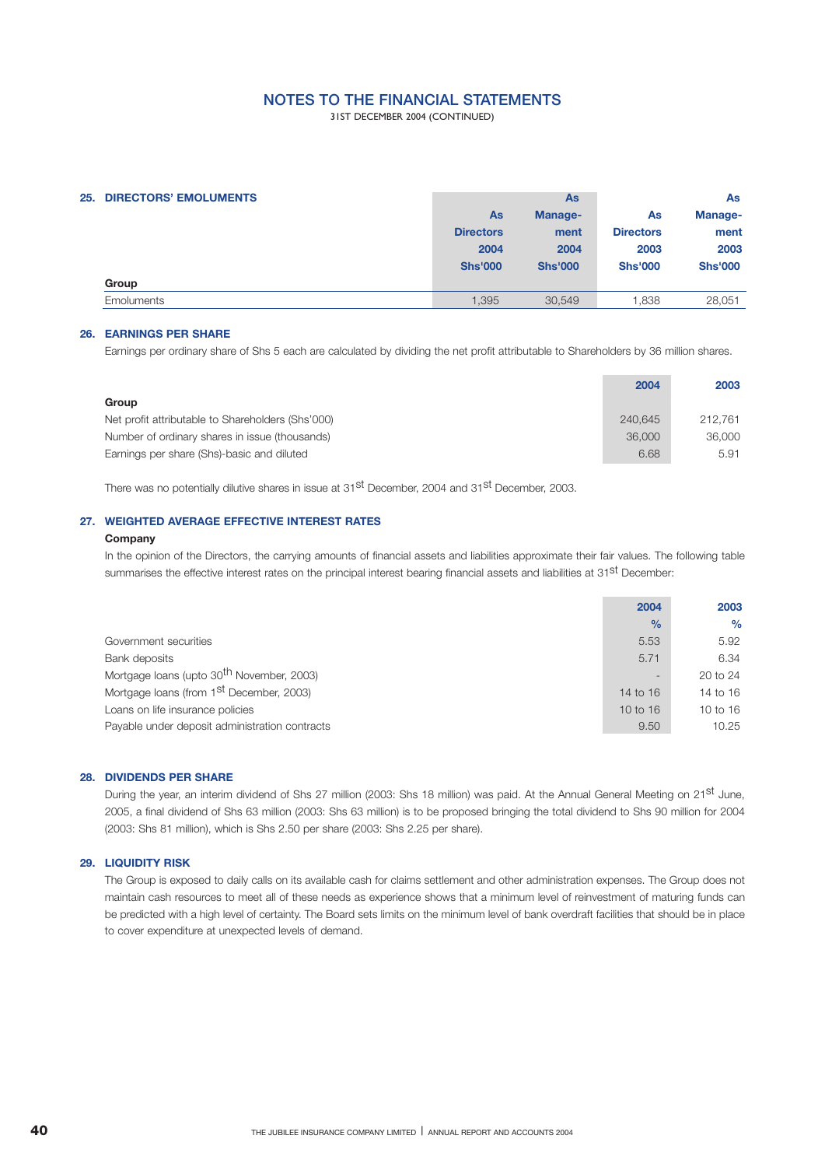31ST DECEMBER 2004 (CONTINUED)

| <b>25. DIRECTORS' EMOLUMENTS</b> |                  | <b>As</b>      | As               |                |  |
|----------------------------------|------------------|----------------|------------------|----------------|--|
|                                  | As               | Manage-        | As               | Manage-        |  |
|                                  | <b>Directors</b> | ment           | <b>Directors</b> | ment           |  |
|                                  | 2004             | 2004           | 2003             | 2003           |  |
|                                  | <b>Shs'000</b>   | <b>Shs'000</b> | <b>Shs'000</b>   | <b>Shs'000</b> |  |
| Group                            |                  |                |                  |                |  |
| <b>Emoluments</b>                | 1.395            | 30.549         | .838             | 28,051         |  |
|                                  |                  |                |                  |                |  |

### **EARNINGS PER SHARE 26.**

Earnings per ordinary share of Shs 5 each are calculated by dividing the net profit attributable to Shareholders by 36 million shares.

|                                                   | 2004    | 2003    |
|---------------------------------------------------|---------|---------|
| Group                                             |         |         |
| Net profit attributable to Shareholders (Shs'000) | 240.645 | 212.761 |
| Number of ordinary shares in issue (thousands)    | 36,000  | 36,000  |
| Earnings per share (Shs)-basic and diluted        | 6.68    | 5.91    |

There was no potentially dilutive shares in issue at 31<sup>st</sup> December, 2004 and 31<sup>st</sup> December, 2003.

### **WEIGHTED AVERAGE EFFECTIVE INTEREST RATES 27.**

## **Company**

In the opinion of the Directors, the carrying amounts of financial assets and liabilities approximate their fair values. The following table summarises the effective interest rates on the principal interest bearing financial assets and liabilities at 31<sup>st</sup> December:

|                                                       | 2004          | 2003          |
|-------------------------------------------------------|---------------|---------------|
|                                                       | $\frac{0}{0}$ | $\frac{0}{0}$ |
| Government securities                                 | 5.53          | 5.92          |
| Bank deposits                                         | 5.71          | 6.34          |
| Mortgage loans (upto 30 <sup>th</sup> November, 2003) |               | $20$ to $24$  |
| Mortgage loans (from 1 <sup>st</sup> December, 2003)  | 14 to $16$    | 14 to 16      |
| Loans on life insurance policies                      | $10$ to $16$  | 10 to 16      |
| Payable under deposit administration contracts        | 9.50          | 10.25         |

### **DIVIDENDS PER SHARE 28.**

During the year, an interim dividend of Shs 27 million (2003: Shs 18 million) was paid. At the Annual General Meeting on 21<sup>st</sup> June, 2005, a final dividend of Shs 63 million (2003: Shs 63 million) is to be proposed bringing the total dividend to Shs 90 million for 2004 (2003: Shs 81 million), which is Shs 2.50 per share (2003: Shs 2.25 per share).

### **LIQUIDITY RISK 29.**

The Group is exposed to daily calls on its available cash for claims settlement and other administration expenses. The Group does not maintain cash resources to meet all of these needs as experience shows that a minimum level of reinvestment of maturing funds can be predicted with a high level of certainty. The Board sets limits on the minimum level of bank overdraft facilities that should be in place to cover expenditure at unexpected levels of demand.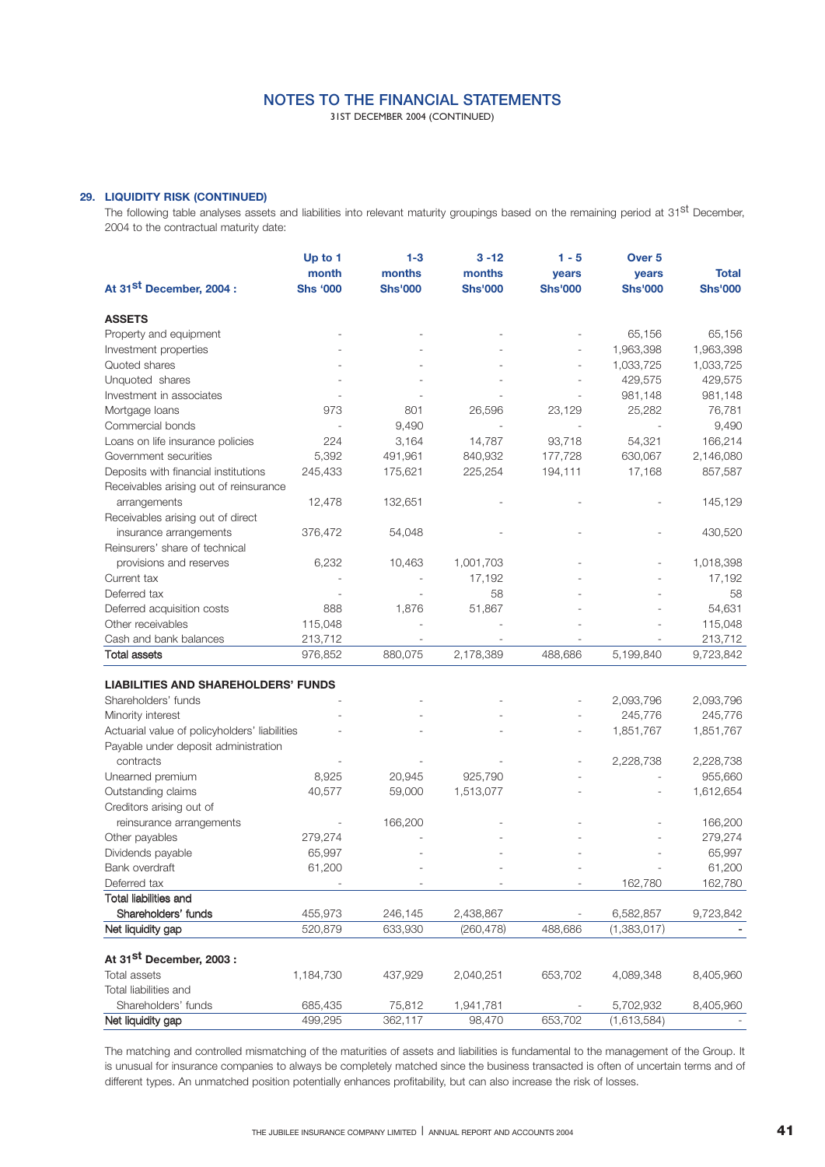31ST DECEMBER 2004 (CONTINUED)

## **29. LIQUIDITY RISK (CONTINUED)**

The following table analyses assets and liabilities into relevant maturity groupings based on the remaining period at 31<sup>st</sup> December, 2004 to the contractual maturity date:

|                                                | Up to 1         | $1 - 3$        | $3 - 12$       | $1 - 5$        | Over <sub>5</sub> |                |
|------------------------------------------------|-----------------|----------------|----------------|----------------|-------------------|----------------|
|                                                | month           | months         | months         | years          | <b>vears</b>      | <b>Total</b>   |
| At 31 <sup>st</sup> December, 2004 :           | <b>Shs '000</b> | <b>Shs'000</b> | <b>Shs'000</b> | <b>Shs'000</b> | <b>Shs'000</b>    | <b>Shs'000</b> |
| <b>ASSETS</b>                                  |                 |                |                |                |                   |                |
| Property and equipment                         |                 |                |                |                | 65,156            | 65,156         |
| Investment properties                          |                 |                |                |                | 1,963,398         | 1,963,398      |
| Quoted shares                                  |                 |                |                |                | 1,033,725         | 1,033,725      |
| Unquoted shares                                |                 |                |                |                | 429,575           | 429,575        |
| Investment in associates                       |                 |                |                |                | 981,148           | 981,148        |
| Mortgage loans                                 | 973             | 801            | 26,596         | 23,129         | 25,282            | 76,781         |
| Commercial bonds                               |                 | 9,490          |                |                |                   | 9,490          |
| Loans on life insurance policies               | 224             | 3,164          | 14,787         | 93,718         | 54,321            | 166,214        |
| Government securities                          | 5,392           | 491,961        | 840,932        | 177,728        | 630,067           | 2,146,080      |
| Deposits with financial institutions           | 245,433         | 175,621        | 225,254        | 194,111        | 17,168            | 857,587        |
| Receivables arising out of reinsurance         |                 |                |                |                |                   |                |
| arrangements                                   | 12,478          | 132,651        |                |                |                   | 145,129        |
| Receivables arising out of direct              |                 |                |                |                |                   |                |
| insurance arrangements                         | 376,472         | 54,048         |                |                |                   | 430,520        |
| Reinsurers' share of technical                 |                 |                |                |                |                   |                |
| provisions and reserves                        | 6,232           | 10,463         | 1,001,703      |                |                   | 1,018,398      |
| Current tax                                    |                 |                | 17,192         |                |                   | 17,192         |
| Deferred tax                                   |                 |                | 58             |                |                   | 58             |
| Deferred acquisition costs                     | 888             | 1,876          | 51,867         |                |                   | 54,631         |
| Other receivables                              | 115,048         |                |                |                |                   | 115,048        |
| Cash and bank balances                         | 213,712         |                |                |                |                   | 213,712        |
| Total assets                                   | 976,852         | 880,075        | 2,178,389      | 488,686        | 5,199,840         | 9,723,842      |
| <b>LIABILITIES AND SHAREHOLDERS' FUNDS</b>     |                 |                |                |                |                   |                |
| Shareholders' funds                            |                 |                |                |                | 2,093,796         | 2,093,796      |
| Minority interest                              |                 |                |                |                | 245,776           | 245,776        |
| Actuarial value of policyholders' liabilities  |                 |                |                |                | 1,851,767         | 1,851,767      |
| Payable under deposit administration           |                 |                |                |                |                   |                |
| contracts                                      |                 |                |                |                | 2,228,738         | 2,228,738      |
| Unearned premium                               | 8,925           | 20,945         | 925,790        |                |                   | 955,660        |
|                                                | 40,577          |                |                |                |                   |                |
| Outstanding claims<br>Creditors arising out of |                 | 59,000         | 1,513,077      |                |                   | 1,612,654      |
| reinsurance arrangements                       |                 | 166,200        |                |                |                   | 166,200        |
| Other payables                                 | 279,274         |                |                |                |                   | 279,274        |
| Dividends payable                              | 65,997          |                |                |                |                   | 65,997         |
| Bank overdraft                                 | 61,200          |                |                |                |                   | 61,200         |
| Deferred tax                                   |                 |                |                |                | 162,780           |                |
| Total liabilities and                          |                 |                |                |                |                   | 162,780        |
| Shareholders' funds                            | 455,973         | 246,145        | 2,438,867      |                | 6,582,857         | 9,723,842      |
| Net liquidity gap                              | 520,879         | 633,930        | (260, 478)     | 488,686        | (1,383,017)       |                |
|                                                |                 |                |                |                |                   |                |
| At 31 <sup>st</sup> December, 2003:            |                 |                |                |                |                   |                |
| <b>Total assets</b>                            | 1,184,730       | 437,929        | 2,040,251      | 653,702        | 4,089,348         | 8,405,960      |
| Total liabilities and                          |                 |                |                |                |                   |                |
| Shareholders' funds                            | 685,435         | 75,812         | 1,941,781      |                | 5,702,932         | 8,405,960      |
| Net liquidity gap                              | 499,295         | 362,117        | 98,470         | 653,702        | (1,613,584)       |                |

The matching and controlled mismatching of the maturities of assets and liabilities is fundamental to the management of the Group. It is unusual for insurance companies to always be completely matched since the business transacted is often of uncertain terms and of different types. An unmatched position potentially enhances profitability, but can also increase the risk of losses.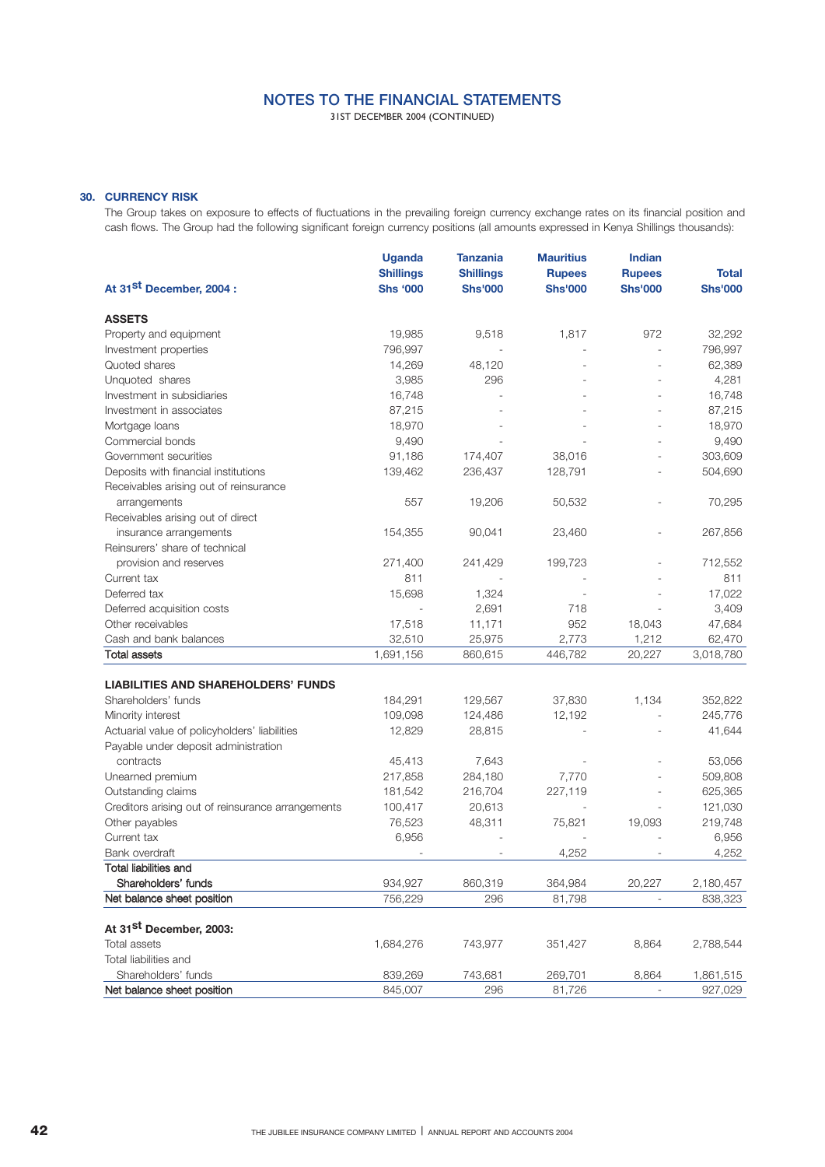31ST DECEMBER 2004 (CONTINUED)

### **30. CURRENCY RISK**

The Group takes on exposure to effects of fluctuations in the prevailing foreign currency exchange rates on its financial position and cash flows. The Group had the following significant foreign currency positions (all amounts expressed in Kenya Shillings thousands):

|                                                   | <b>Uganda</b>    | <b>Tanzania</b>  | <b>Mauritius</b> | <b>Indian</b>  |                |
|---------------------------------------------------|------------------|------------------|------------------|----------------|----------------|
|                                                   | <b>Shillings</b> | <b>Shillings</b> | <b>Rupees</b>    | <b>Rupees</b>  | <b>Total</b>   |
| At 31 <sup>st</sup> December, 2004 :              | <b>Shs '000</b>  | <b>Shs'000</b>   | <b>Shs'000</b>   | <b>Shs'000</b> | <b>Shs'000</b> |
| <b>ASSETS</b>                                     |                  |                  |                  |                |                |
| Property and equipment                            | 19,985           | 9,518            | 1,817            | 972            | 32,292         |
| Investment properties                             | 796,997          |                  |                  |                | 796,997        |
| Quoted shares                                     | 14,269           | 48,120           |                  |                | 62,389         |
| Unquoted shares                                   | 3,985            | 296              |                  |                | 4,281          |
| Investment in subsidiaries                        | 16,748           |                  |                  |                | 16,748         |
| Investment in associates                          | 87,215           |                  |                  |                | 87,215         |
| Mortgage loans                                    | 18,970           |                  |                  |                | 18,970         |
| Commercial bonds                                  | 9,490            |                  |                  |                | 9,490          |
| Government securities                             | 91,186           | 174,407          | 38,016           |                | 303,609        |
| Deposits with financial institutions              | 139,462          | 236,437          | 128,791          |                | 504,690        |
| Receivables arising out of reinsurance            |                  |                  |                  |                |                |
| arrangements                                      | 557              | 19,206           | 50,532           |                | 70,295         |
| Receivables arising out of direct                 |                  |                  |                  |                |                |
| insurance arrangements                            | 154,355          | 90,041           | 23,460           |                | 267,856        |
| Reinsurers' share of technical                    |                  |                  |                  |                |                |
| provision and reserves                            | 271,400          | 241,429          | 199,723          |                | 712,552        |
| Current tax                                       | 811              |                  |                  |                | 811            |
| Deferred tax                                      | 15,698           | 1,324            |                  |                | 17,022         |
| Deferred acquisition costs                        |                  | 2,691            | 718              |                | 3,409          |
| Other receivables                                 | 17,518           | 11,171           | 952              | 18,043         | 47,684         |
| Cash and bank balances                            | 32,510           | 25,975           | 2,773            | 1,212          | 62,470         |
| <b>Total assets</b>                               | 1,691,156        | 860,615          | 446,782          | 20,227         | 3,018,780      |
| <b>LIABILITIES AND SHAREHOLDERS' FUNDS</b>        |                  |                  |                  |                |                |
| Shareholders' funds                               | 184,291          | 129,567          | 37,830           | 1,134          | 352,822        |
| Minority interest                                 | 109,098          | 124,486          | 12,192           |                | 245,776        |
| Actuarial value of policyholders' liabilities     | 12,829           | 28,815           |                  |                | 41,644         |
| Payable under deposit administration              |                  |                  |                  |                |                |
| contracts                                         | 45,413           | 7,643            |                  |                | 53,056         |
| Unearned premium                                  | 217,858          | 284,180          | 7,770            |                | 509,808        |
| Outstanding claims                                | 181,542          | 216,704          | 227,119          |                | 625,365        |
| Creditors arising out of reinsurance arrangements | 100,417          | 20,613           |                  |                | 121,030        |
| Other payables                                    | 76,523           | 48,311           | 75,821           | 19,093         | 219,748        |
| Current tax                                       | 6,956            |                  |                  |                | 6,956          |
| Bank overdraft                                    | ÷                |                  | 4,252            |                | 4,252          |
| <b>Total liabilities and</b>                      |                  |                  |                  |                |                |
| Shareholders' funds                               | 934,927          | 860,319          | 364,984          | 20,227         | 2,180,457      |
| Net balance sheet position                        | 756,229          | 296              | 81,798           |                | 838,323        |
| At 31 <sup>st</sup> December, 2003:               |                  |                  |                  |                |                |
| <b>Total assets</b>                               | 1,684,276        | 743,977          | 351,427          | 8,864          | 2,788,544      |
| Total liabilities and                             |                  |                  |                  |                |                |
| Shareholders' funds                               | 839,269          | 743,681          | 269,701          | 8,864          | 1,861,515      |
| Net balance sheet position                        | 845,007          | 296              | 81,726           |                | 927,029        |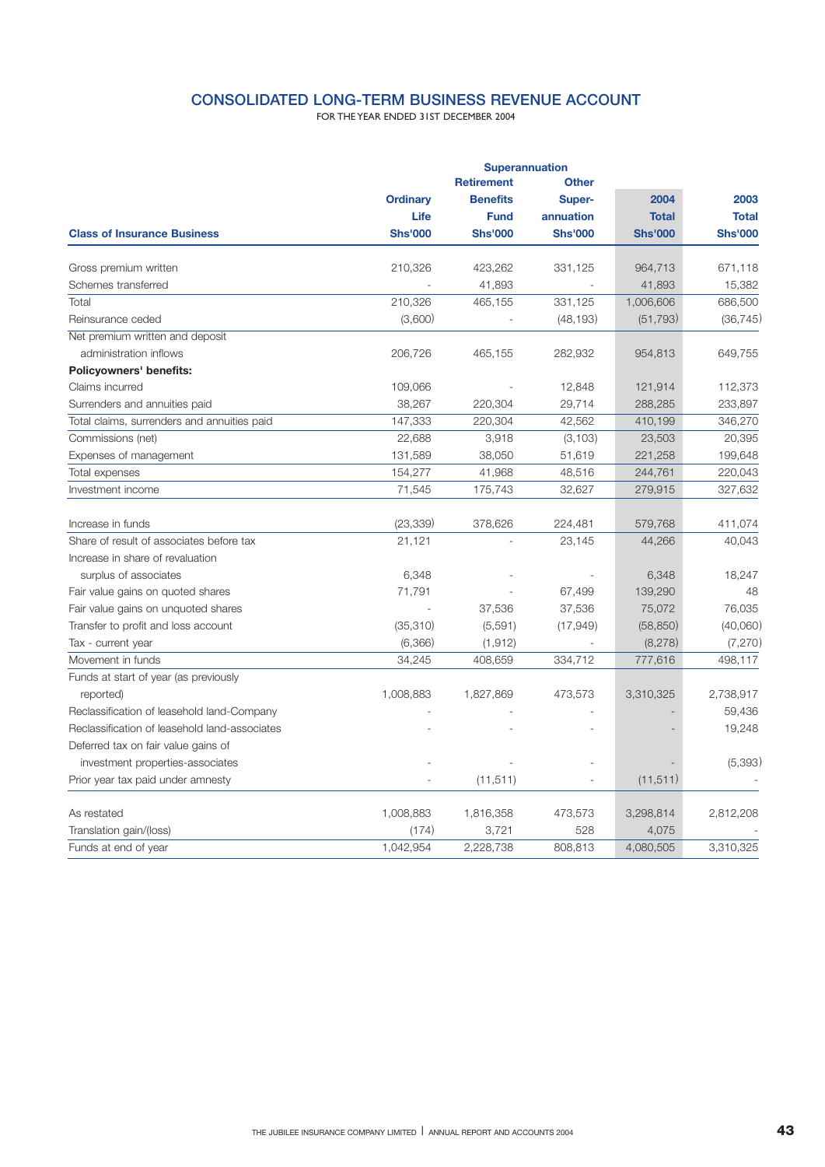## **CONSOLIDATED LONG-TERM BUSINESS REVENUE ACCOUNT**

FOR THE YEAR ENDED 31ST DECEMBER 2004

|                                               | <b>Superannuation</b> |                 |                |                |                |  |  |
|-----------------------------------------------|-----------------------|-----------------|----------------|----------------|----------------|--|--|
|                                               |                       |                 |                |                |                |  |  |
|                                               | <b>Ordinary</b>       | <b>Benefits</b> | Super-         | 2004           | 2003           |  |  |
|                                               | Life                  | <b>Fund</b>     | annuation      | <b>Total</b>   | <b>Total</b>   |  |  |
| <b>Class of Insurance Business</b>            | <b>Shs'000</b>        | <b>Shs'000</b>  | <b>Shs'000</b> | <b>Shs'000</b> | <b>Shs'000</b> |  |  |
| Gross premium written                         | 210,326               | 423,262         | 331,125        | 964,713        | 671,118        |  |  |
| Schemes transferred                           |                       | 41,893          |                | 41,893         | 15,382         |  |  |
| Total                                         | 210,326               | 465,155         | 331,125        | 1,006,606      | 686,500        |  |  |
| Reinsurance ceded                             | (3,600)               |                 | (48, 193)      | (51, 793)      | (36, 745)      |  |  |
| Net premium written and deposit               |                       |                 |                |                |                |  |  |
| administration inflows                        | 206,726               | 465,155         | 282,932        | 954,813        | 649,755        |  |  |
| Policyowners' benefits:                       |                       |                 |                |                |                |  |  |
| Claims incurred                               | 109,066               |                 | 12,848         | 121,914        | 112,373        |  |  |
| Surrenders and annuities paid                 | 38,267                | 220,304         | 29,714         | 288,285        | 233,897        |  |  |
| Total claims, surrenders and annuities paid   | 147,333               | 220,304         | 42,562         | 410,199        | 346,270        |  |  |
| Commissions (net)                             | 22,688                | 3,918           | (3, 103)       | 23,503         | 20,395         |  |  |
| Expenses of management                        | 131,589               | 38,050          | 51,619         | 221,258        | 199,648        |  |  |
| Total expenses                                | 154,277               | 41,968          | 48,516         | 244,761        | 220,043        |  |  |
| Investment income                             | 71,545                | 175,743         | 32,627         | 279,915        | 327,632        |  |  |
| Increase in funds                             | (23, 339)             | 378,626         | 224,481        | 579,768        | 411,074        |  |  |
| Share of result of associates before tax      | 21,121                |                 | 23,145         | 44,266         | 40,043         |  |  |
| Increase in share of revaluation              |                       |                 |                |                |                |  |  |
| surplus of associates                         | 6,348                 |                 |                | 6,348          | 18,247         |  |  |
| Fair value gains on quoted shares             | 71,791                |                 | 67,499         | 139,290        | 48             |  |  |
| Fair value gains on unquoted shares           |                       | 37,536          | 37,536         | 75,072         | 76,035         |  |  |
| Transfer to profit and loss account           | (35,310)              | (5,591)         | (17,949)       | (58, 850)      | (40,060)       |  |  |
| Tax - current year                            | (6,366)               | (1, 912)        |                | (8,278)        | (7,270)        |  |  |
| Movement in funds                             | 34,245                | 408,659         | 334,712        | 777,616        | 498,117        |  |  |
| Funds at start of year (as previously         |                       |                 |                |                |                |  |  |
| reported)                                     | 1,008,883             | 1,827,869       | 473,573        | 3,310,325      | 2,738,917      |  |  |
| Reclassification of leasehold land-Company    |                       |                 |                |                | 59,436         |  |  |
| Reclassification of leasehold land-associates |                       |                 |                |                | 19,248         |  |  |
| Deferred tax on fair value gains of           |                       |                 |                |                |                |  |  |
| investment properties-associates              |                       |                 |                |                | (5,393)        |  |  |
| Prior year tax paid under amnesty             |                       | (11, 511)       |                | (11, 511)      |                |  |  |
| As restated                                   | 1,008,883             | 1,816,358       | 473,573        | 3,298,814      | 2,812,208      |  |  |
| Translation gain/(loss)                       | (174)                 | 3,721           | 528            | 4,075          |                |  |  |
| Funds at end of year                          | 1,042,954             | 2,228,738       | 808,813        | 4,080,505      | 3,310,325      |  |  |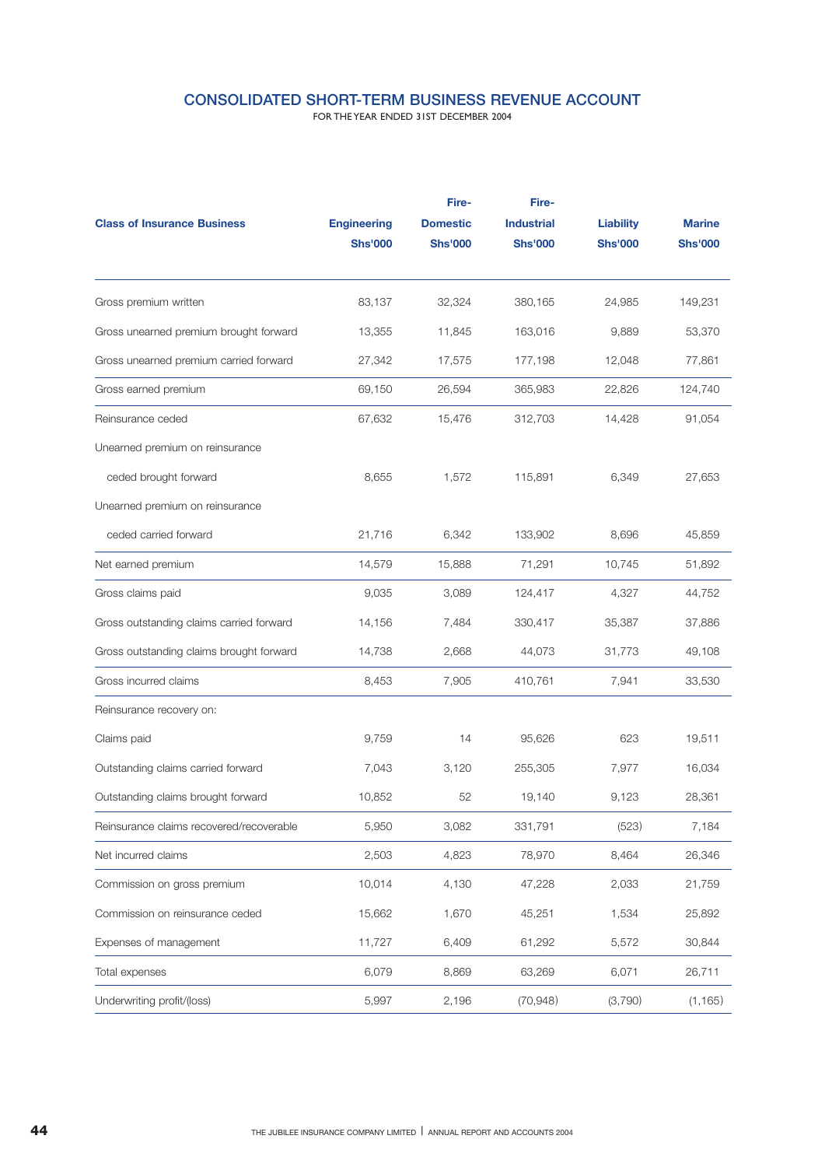## **CONSOLIDATED SHORT-TERM BUSINESS REVENUE ACCOUNT**

FOR THE YEAR ENDED 31ST DECEMBER 2004

|                                          |                    | Fire-           | Fire-             |                  |                |
|------------------------------------------|--------------------|-----------------|-------------------|------------------|----------------|
| <b>Class of Insurance Business</b>       | <b>Engineering</b> | <b>Domestic</b> | <b>Industrial</b> | <b>Liability</b> | <b>Marine</b>  |
|                                          | <b>Shs'000</b>     | <b>Shs'000</b>  | <b>Shs'000</b>    | <b>Shs'000</b>   | <b>Shs'000</b> |
| Gross premium written                    | 83,137             | 32,324          | 380,165           | 24,985           | 149,231        |
| Gross unearned premium brought forward   | 13,355             | 11,845          | 163,016           | 9,889            | 53,370         |
| Gross unearned premium carried forward   | 27,342             | 17,575          | 177,198           | 12,048           | 77,861         |
| Gross earned premium                     | 69,150             | 26,594          | 365,983           | 22,826           | 124,740        |
| Reinsurance ceded                        | 67,632             | 15,476          | 312,703           | 14,428           | 91,054         |
| Unearned premium on reinsurance          |                    |                 |                   |                  |                |
| ceded brought forward                    | 8,655              | 1,572           | 115,891           | 6,349            | 27,653         |
| Unearned premium on reinsurance          |                    |                 |                   |                  |                |
| ceded carried forward                    | 21,716             | 6,342           | 133,902           | 8,696            | 45,859         |
| Net earned premium                       | 14,579             | 15,888          | 71,291            | 10,745           | 51,892         |
| Gross claims paid                        | 9,035              | 3,089           | 124,417           | 4,327            | 44,752         |
| Gross outstanding claims carried forward | 14,156             | 7,484           | 330,417           | 35,387           | 37,886         |
| Gross outstanding claims brought forward | 14,738             | 2,668           | 44,073            | 31,773           | 49,108         |
| Gross incurred claims                    | 8,453              | 7,905           | 410,761           | 7,941            | 33,530         |
| Reinsurance recovery on:                 |                    |                 |                   |                  |                |
| Claims paid                              | 9,759              | 14              | 95,626            | 623              | 19,511         |
| Outstanding claims carried forward       | 7,043              | 3,120           | 255,305           | 7,977            | 16,034         |
| Outstanding claims brought forward       | 10,852             | 52              | 19,140            | 9,123            | 28,361         |
| Reinsurance claims recovered/recoverable | 5,950              | 3,082           | 331,791           | (523)            | 7,184          |
| Net incurred claims                      | 2,503              | 4,823           | 78,970            | 8,464            | 26,346         |
| Commission on gross premium              | 10,014             | 4,130           | 47,228            | 2,033            | 21,759         |
| Commission on reinsurance ceded          | 15,662             | 1,670           | 45,251            | 1,534            | 25,892         |
| Expenses of management                   | 11,727             | 6,409           | 61,292            | 5,572            | 30,844         |
| Total expenses                           | 6,079              | 8,869           | 63,269            | 6,071            | 26,711         |
| Underwriting profit/(loss)               | 5,997              | 2,196           | (70, 948)         | (3,790)          | (1, 165)       |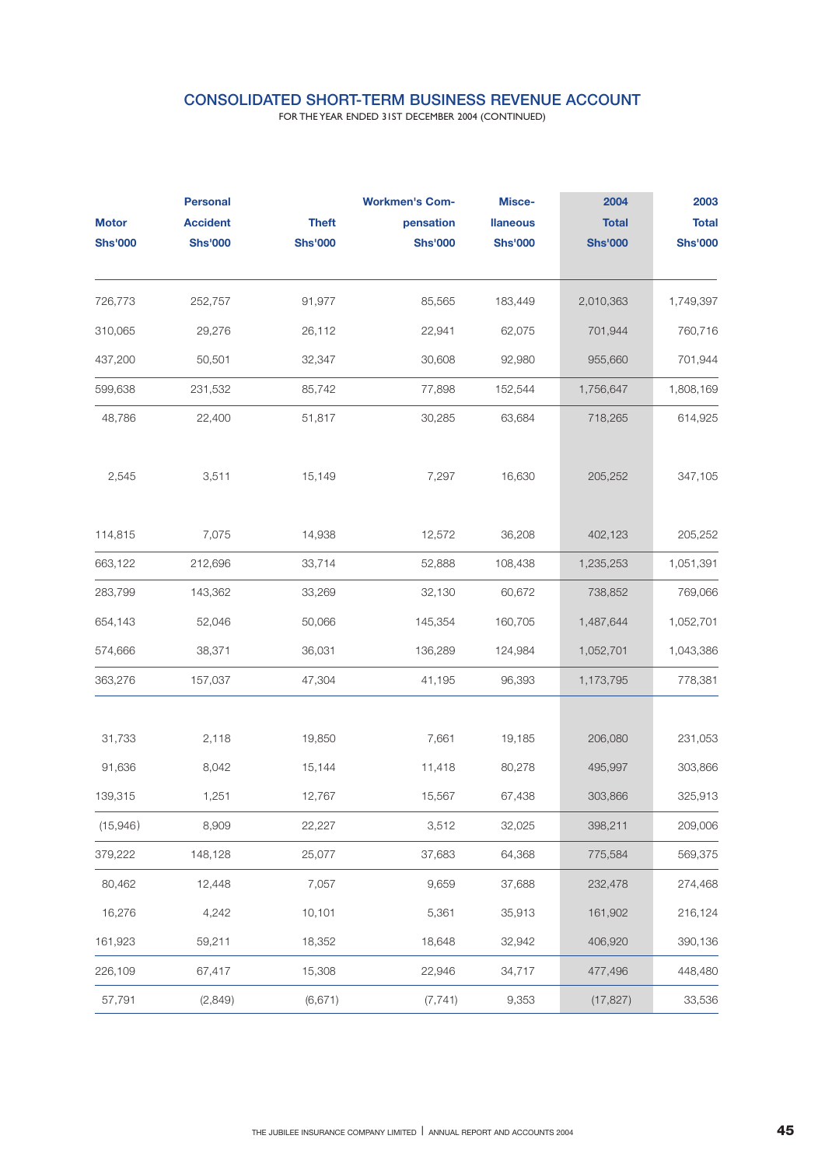## **CONSOLIDATED SHORT-TERM BUSINESS REVENUE ACCOUNT**

FOR THE YEAR ENDED 31ST DECEMBER 2004 (CONTINUED)

|                | <b>Personal</b> |                | <b>Workmen's Com-</b> | Misce-          | 2004           | 2003           |
|----------------|-----------------|----------------|-----------------------|-----------------|----------------|----------------|
| <b>Motor</b>   | <b>Accident</b> | <b>Theft</b>   | pensation             | <b>Ilaneous</b> | <b>Total</b>   | <b>Total</b>   |
| <b>Shs'000</b> | <b>Shs'000</b>  | <b>Shs'000</b> | <b>Shs'000</b>        | <b>Shs'000</b>  | <b>Shs'000</b> | <b>Shs'000</b> |
| 726,773        | 252,757         | 91,977         | 85,565                | 183,449         | 2,010,363      | 1,749,397      |
| 310,065        | 29,276          | 26,112         | 22,941                | 62,075          | 701,944        | 760,716        |
| 437,200        | 50,501          | 32,347         | 30,608                | 92,980          | 955,660        | 701,944        |
| 599,638        | 231,532         | 85,742         | 77,898                | 152,544         | 1,756,647      | 1,808,169      |
| 48,786         | 22,400          | 51,817         | 30,285                | 63,684          | 718,265        | 614,925        |
| 2,545          | 3,511           | 15,149         | 7,297                 | 16,630          | 205,252        | 347,105        |
| 114,815        | 7,075           | 14,938         | 12,572                | 36,208          | 402,123        | 205,252        |
| 663,122        | 212,696         | 33,714         | 52,888                | 108,438         | 1,235,253      | 1,051,391      |
| 283,799        | 143,362         | 33,269         | 32,130                | 60,672          | 738,852        | 769,066        |
| 654,143        | 52,046          | 50,066         | 145,354               | 160,705         | 1,487,644      | 1,052,701      |
| 574,666        | 38,371          | 36,031         | 136,289               | 124,984         | 1,052,701      | 1,043,386      |
| 363,276        | 157,037         | 47,304         | 41,195                | 96,393          | 1,173,795      | 778,381        |
| 31,733         | 2,118           | 19,850         | 7,661                 | 19,185          | 206,080        | 231,053        |
| 91,636         | 8,042           | 15,144         | 11,418                | 80,278          | 495,997        | 303,866        |
| 139,315        | 1,251           | 12,767         | 15,567                | 67,438          | 303,866        | 325,913        |
| (15,946)       | 8,909           | 22,227         | 3,512                 | 32,025          | 398,211        | 209,006        |
| 379,222        | 148,128         | 25,077         | 37,683                | 64,368          | 775,584        | 569,375        |
| 80,462         | 12,448          | 7,057          | 9,659                 | 37,688          | 232,478        | 274,468        |
| 16,276         | 4,242           | 10,101         | 5,361                 | 35,913          | 161,902        | 216,124        |
| 161,923        | 59,211          | 18,352         | 18,648                | 32,942          | 406,920        | 390,136        |
| 226,109        | 67,417          | 15,308         | 22,946                | 34,717          | 477,496        | 448,480        |
| 57,791         | (2,849)         | (6,671)        | (7, 741)              | 9,353           | (17, 827)      | 33,536         |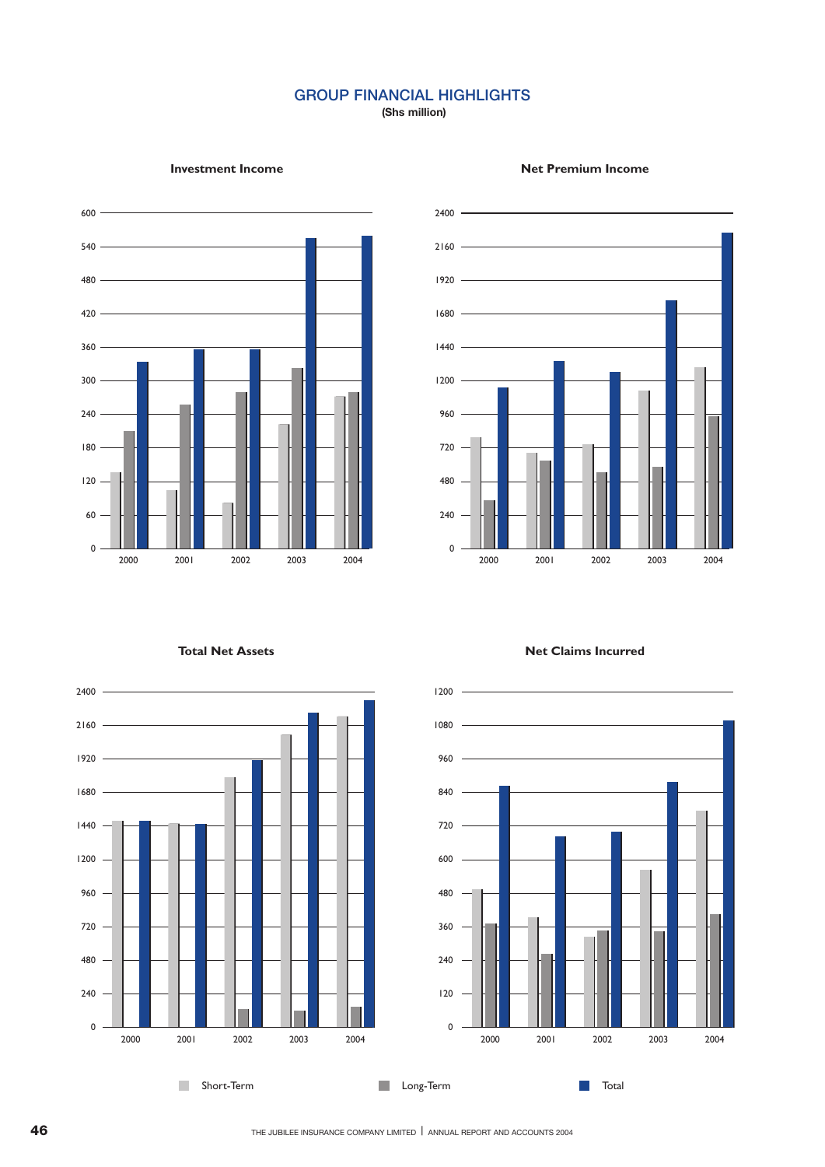## **GROUP FINANCIAL HIGHLIGHTS**

**(Shs million)**









 $\mathcal{C}$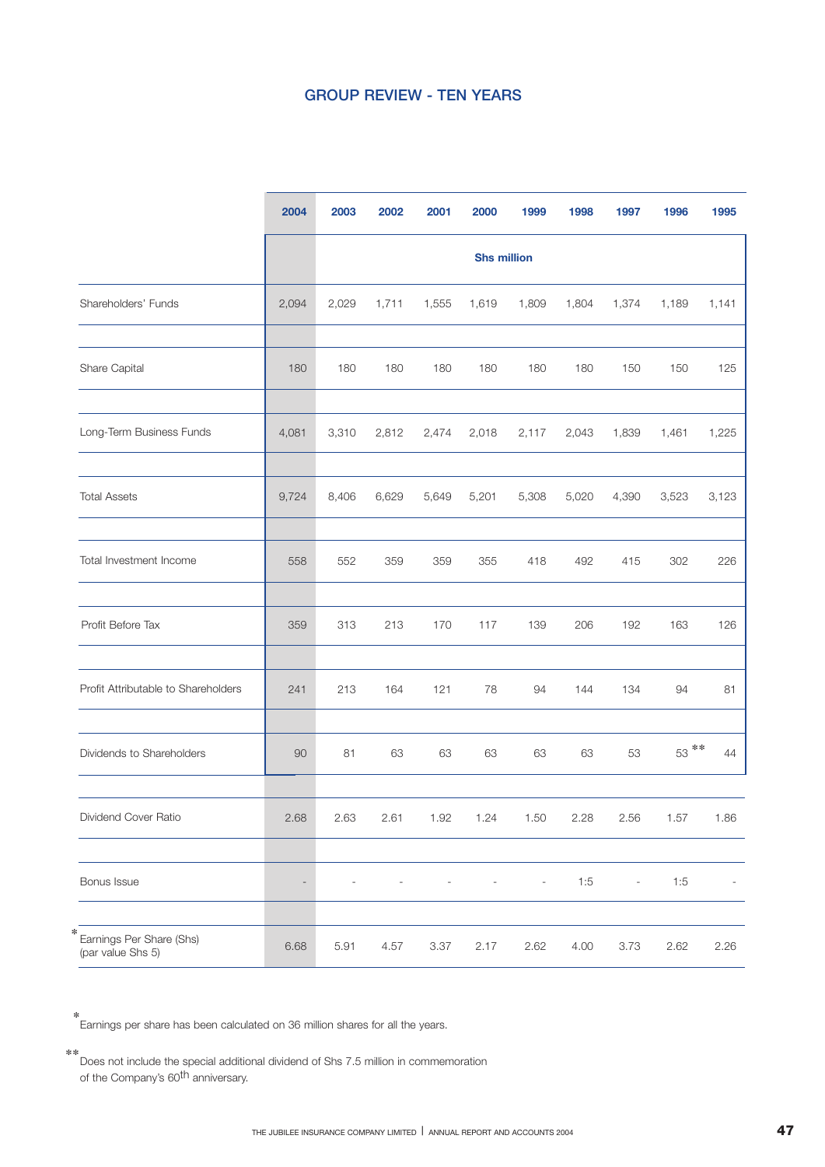## **GROUP REVIEW - TEN YEARS**

|                                                    | 2004                     | 2003  | 2002  | 2001  | 2000               | 1999                     | 1998  | 1997                     | 1996    | 1995  |
|----------------------------------------------------|--------------------------|-------|-------|-------|--------------------|--------------------------|-------|--------------------------|---------|-------|
|                                                    |                          |       |       |       | <b>Shs million</b> |                          |       |                          |         |       |
| Shareholders' Funds                                | 2,094                    | 2,029 | 1,711 | 1,555 | 1,619              | 1,809                    | 1,804 | 1,374                    | 1,189   | 1,141 |
| Share Capital                                      | 180                      | 180   | 180   | 180   | 180                | 180                      | 180   | 150                      | 150     | 125   |
| Long-Term Business Funds                           | 4,081                    | 3,310 | 2,812 | 2,474 | 2,018              | 2,117                    | 2,043 | 1,839                    | 1,461   | 1,225 |
| <b>Total Assets</b>                                | 9,724                    | 8,406 | 6,629 | 5,649 | 5,201              | 5,308                    | 5,020 | 4,390                    | 3,523   | 3,123 |
| Total Investment Income                            | 558                      | 552   | 359   | 359   | 355                | 418                      | 492   | 415                      | 302     | 226   |
| Profit Before Tax                                  | 359                      | 313   | 213   | 170   | 117                | 139                      | 206   | 192                      | 163     | 126   |
| Profit Attributable to Shareholders                | 241                      | 213   | 164   | 121   | 78                 | 94                       | 144   | 134                      | 94      | 81    |
| Dividends to Shareholders                          | 90                       | 81    | 63    | 63    | 63                 | 63                       | 63    | 53                       | $53***$ | 44    |
| Dividend Cover Ratio                               | 2.68                     | 2.63  | 2.61  | 1.92  | 1.24               | 1.50                     | 2.28  | 2.56                     | 1.57    | 1.86  |
| Bonus Issue                                        | $\overline{\phantom{a}}$ |       |       |       |                    | $\overline{\phantom{a}}$ | 1:5   | $\overline{\phantom{a}}$ | 1:5     |       |
| ∗<br>Earnings Per Share (Shs)<br>(par value Shs 5) | 6.68                     | 5.91  | 4.57  | 3.37  | 2.17               | 2.62                     | 4.00  | 3.73                     | 2.62    | 2.26  |

Earnings per share has been calculated on 36 million shares for all the years. \*

Does not include the special additional dividend of Shs 7.5 million in commemoration \*\* of the Company's 60th anniversary.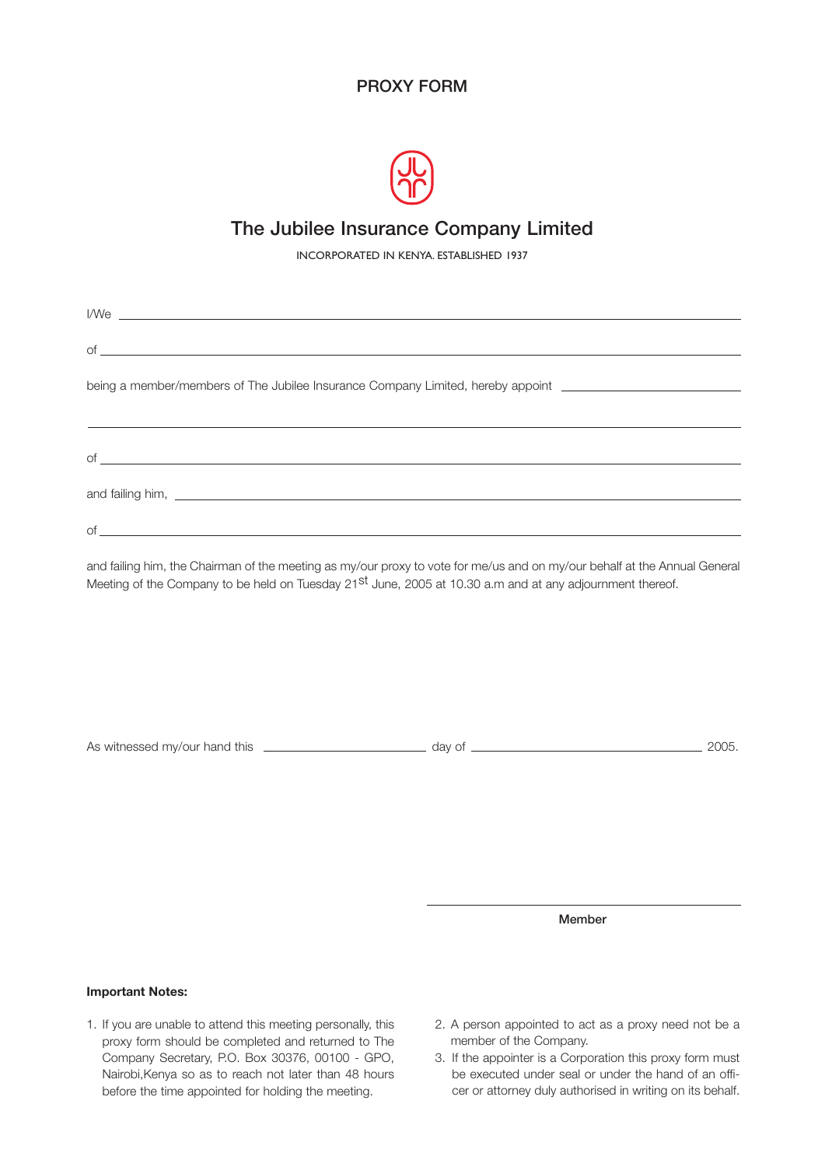## **PROXY FORM**



## **The Jubilee Insurance Company Limited**

INCORPORATED IN KENYA. ESTABLISHED 1937

| I/We <u>example and the second contract of the second contract of the second contract of the second contract of the second contract of the second contract of the second contract of the second contract of the second contract </u>               |
|----------------------------------------------------------------------------------------------------------------------------------------------------------------------------------------------------------------------------------------------------|
|                                                                                                                                                                                                                                                    |
| being a member/members of The Jubilee Insurance Company Limited, hereby appoint ____________________                                                                                                                                               |
|                                                                                                                                                                                                                                                    |
|                                                                                                                                                                                                                                                    |
|                                                                                                                                                                                                                                                    |
| and failing him, the Chairman of the meeting as my/our proxy to vote for me/us and on my/our behalf at the Annual General<br>Meeting of the Company to be held on Tuesday 21 <sup>st</sup> June, 2005 at 10.30 a.m and at any adjournment thereof. |
|                                                                                                                                                                                                                                                    |
|                                                                                                                                                                                                                                                    |

As witnessed my/our hand this **2005.** day of 2005.

**Member**

## **Important Notes:**

- 1. If you are unable to attend this meeting personally, this proxy form should be completed and returned to The Company Secretary, P.O. Box 30376, 00100 - GPO, Nairobi,Kenya so as to reach not later than 48 hours before the time appointed for holding the meeting.
- 2. A person appointed to act as a proxy need not be a member of the Company.
- 3. If the appointer is a Corporation this proxy form must be executed under seal or under the hand of an officer or attorney duly authorised in writing on its behalf.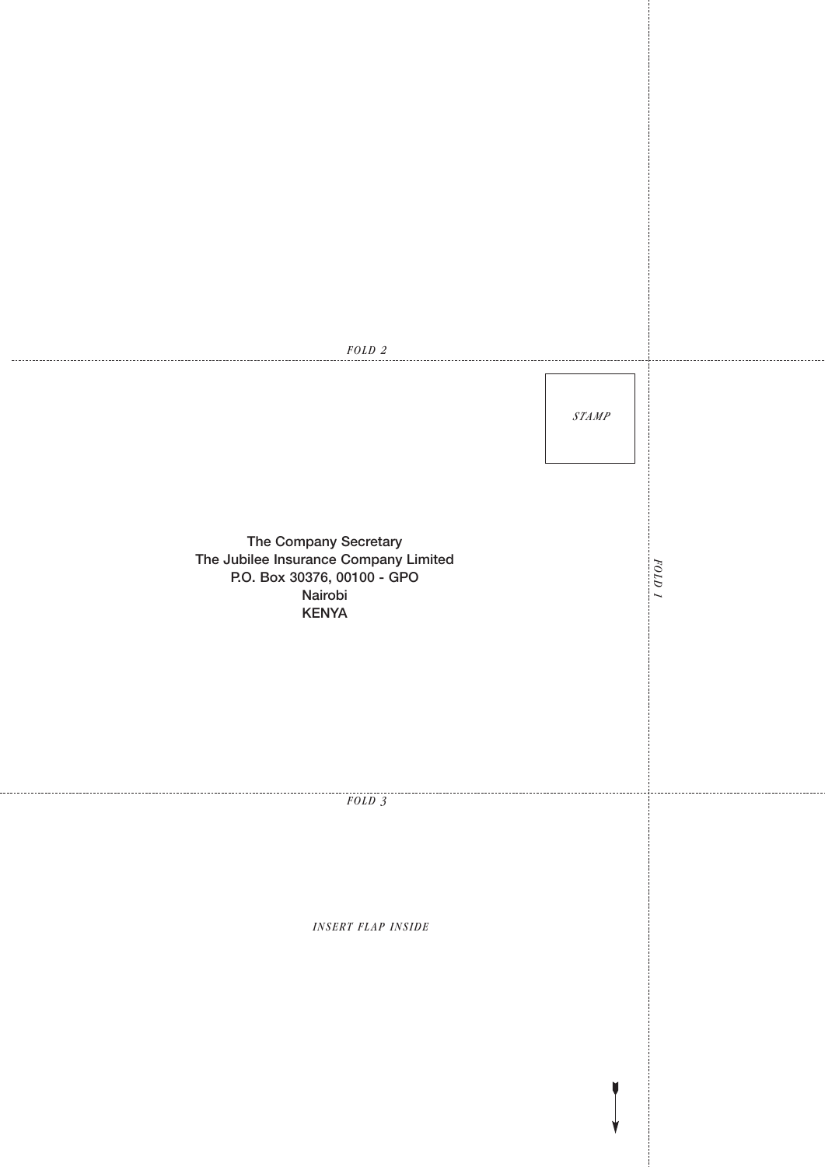